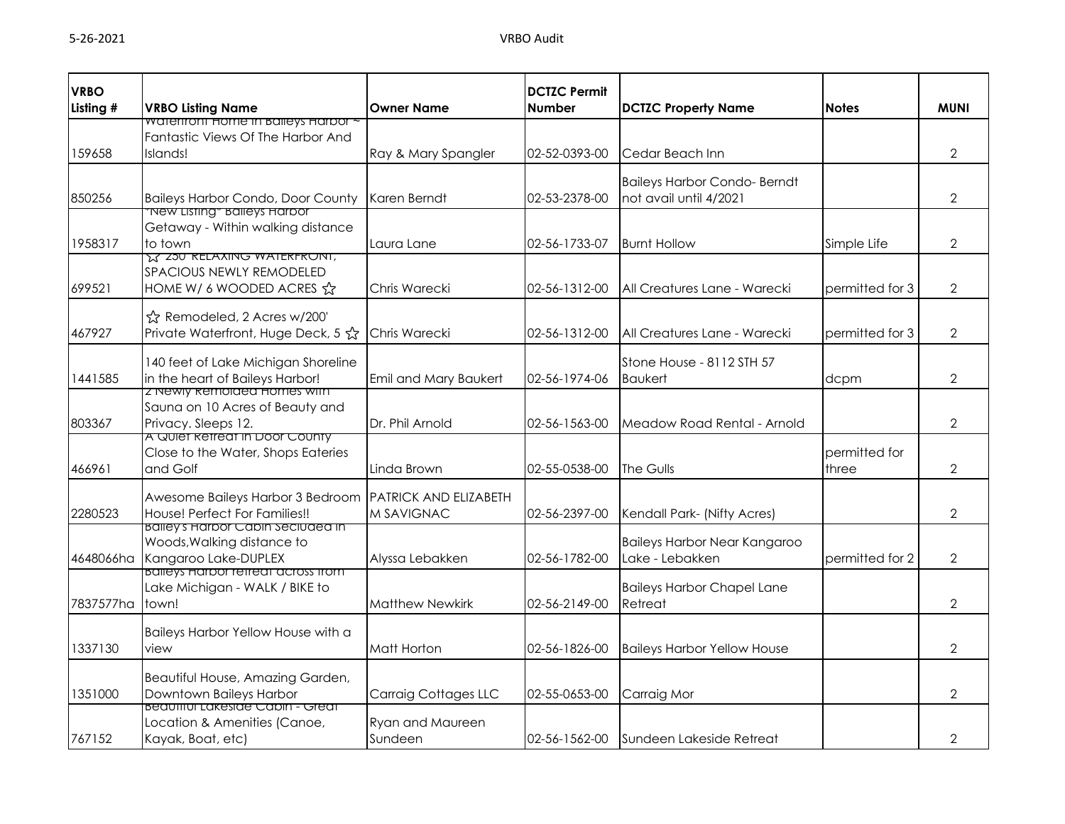| <b>VRBO</b> |                                                                                  |                               | <b>DCTZC Permit</b> |                                             |                 |                |
|-------------|----------------------------------------------------------------------------------|-------------------------------|---------------------|---------------------------------------------|-----------------|----------------|
| Listing #   | <b>VRBO Listing Name</b>                                                         | <b>Owner Name</b>             | <b>Number</b>       | <b>DCTZC Property Name</b>                  | <b>Notes</b>    | <b>MUNI</b>    |
|             | waterfront Home in Balleys Harbor<br>Fantastic Views Of The Harbor And           |                               |                     |                                             |                 |                |
| 159658      | Islands!                                                                         | Ray & Mary Spangler           | 02-52-0393-00       | Cedar Beach Inn                             |                 | $\overline{2}$ |
|             |                                                                                  |                               |                     |                                             |                 |                |
|             |                                                                                  |                               |                     | <b>Baileys Harbor Condo-Berndt</b>          |                 |                |
| 850256      | <b>Baileys Harbor Condo, Door County</b><br><u> Tiew Listing" Balleys Harbor</u> | Karen Berndt                  | 02-53-2378-00       | not avail until 4/2021                      |                 | $\overline{2}$ |
|             | Getaway - Within walking distance                                                |                               |                     |                                             |                 |                |
| 1958317     | to town                                                                          | Laura Lane                    | 02-56-1733-07       | <b>Burnt Hollow</b>                         | Simple Life     | $\mathbf{2}$   |
|             | <b>IS 250 RELAXING WATERFRONT,</b>                                               |                               |                     |                                             |                 |                |
|             | SPACIOUS NEWLY REMODELED                                                         |                               |                     |                                             |                 |                |
| 699521      | HOME W/ 6 WOODED ACRES &                                                         | Chris Warecki                 | 02-56-1312-00       | All Creatures Lane - Warecki                | permitted for 3 | 2              |
|             | ☆ Remodeled, 2 Acres w/200'                                                      |                               |                     |                                             |                 |                |
| 467927      | Private Waterfront, Huge Deck, 5 ☆                                               | Chris Warecki                 | 02-56-1312-00       | All Creatures Lane - Warecki                | permitted for 3 | $\overline{2}$ |
|             |                                                                                  |                               |                     |                                             |                 |                |
| 1441585     | 140 feet of Lake Michigan Shoreline<br>in the heart of Baileys Harbor!           | Emil and Mary Baukert         | 02-56-1974-06       | Stone House - 8112 STH 57<br><b>Baukert</b> | dcpm            | 2              |
|             | z newly kemolaed Homes with                                                      |                               |                     |                                             |                 |                |
|             | Sauna on 10 Acres of Beauty and                                                  |                               |                     |                                             |                 |                |
| 803367      | Privacy. Sleeps 12.                                                              | Dr. Phil Arnold               | 02-56-1563-00       | Meadow Road Rental - Arnold                 |                 | $\overline{2}$ |
|             | A QUIET RETTECT IN DOOF COUNTY<br>Close to the Water, Shops Eateries             |                               |                     |                                             | permitted for   |                |
| 466961      | and Golf                                                                         | Linda Brown                   | 02-55-0538-00       | The Gulls                                   | three           | $\overline{2}$ |
|             |                                                                                  |                               |                     |                                             |                 |                |
|             | Awesome Baileys Harbor 3 Bedroom                                                 | <b>IPATRICK AND ELIZABETH</b> |                     |                                             |                 |                |
| 2280523     | House! Perfect For Families!!<br><u>balley's Harbor Cabin Seciuded in</u>        | M SAVIGNAC                    | 02-56-2397-00       | Kendall Park- (Nifty Acres)                 |                 | $\overline{2}$ |
|             | Woods, Walking distance to                                                       |                               |                     | Baileys Harbor Near Kangaroo                |                 |                |
| 4648066ha   | Kangaroo Lake-DUPLEX                                                             | Alyssa Lebakken               | 02-56-1782-00       | Lake - Lebakken                             | permitted for 2 | $\overline{2}$ |
|             | <b>Balleys Harbor refreat across from</b>                                        |                               |                     |                                             |                 |                |
|             | Lake Michigan - WALK / BIKE to                                                   |                               |                     | <b>Baileys Harbor Chapel Lane</b>           |                 |                |
| 7837577ha   | town!                                                                            | <b>Matthew Newkirk</b>        | 02-56-2149-00       | Retreat                                     |                 | 2              |
|             | Baileys Harbor Yellow House with a                                               |                               |                     |                                             |                 |                |
| 1337130     | view                                                                             | Matt Horton                   | 02-56-1826-00       | <b>Baileys Harbor Yellow House</b>          |                 | $\overline{2}$ |
|             |                                                                                  |                               |                     |                                             |                 |                |
| 1351000     | Beautiful House, Amazing Garden,<br>Downtown Baileys Harbor                      | Carraig Cottages LLC          | 02-55-0653-00       | Carraig Mor                                 |                 | $\overline{2}$ |
|             | <u> Beaufiful Lakesiae Capin - Greaf</u>                                         |                               |                     |                                             |                 |                |
|             | Location & Amenities (Canoe,                                                     | Ryan and Maureen              |                     |                                             |                 |                |
| 767152      | Kayak, Boat, etc)                                                                | Sundeen                       | 02-56-1562-00       | Sundeen Lakeside Retreat                    |                 | $\overline{2}$ |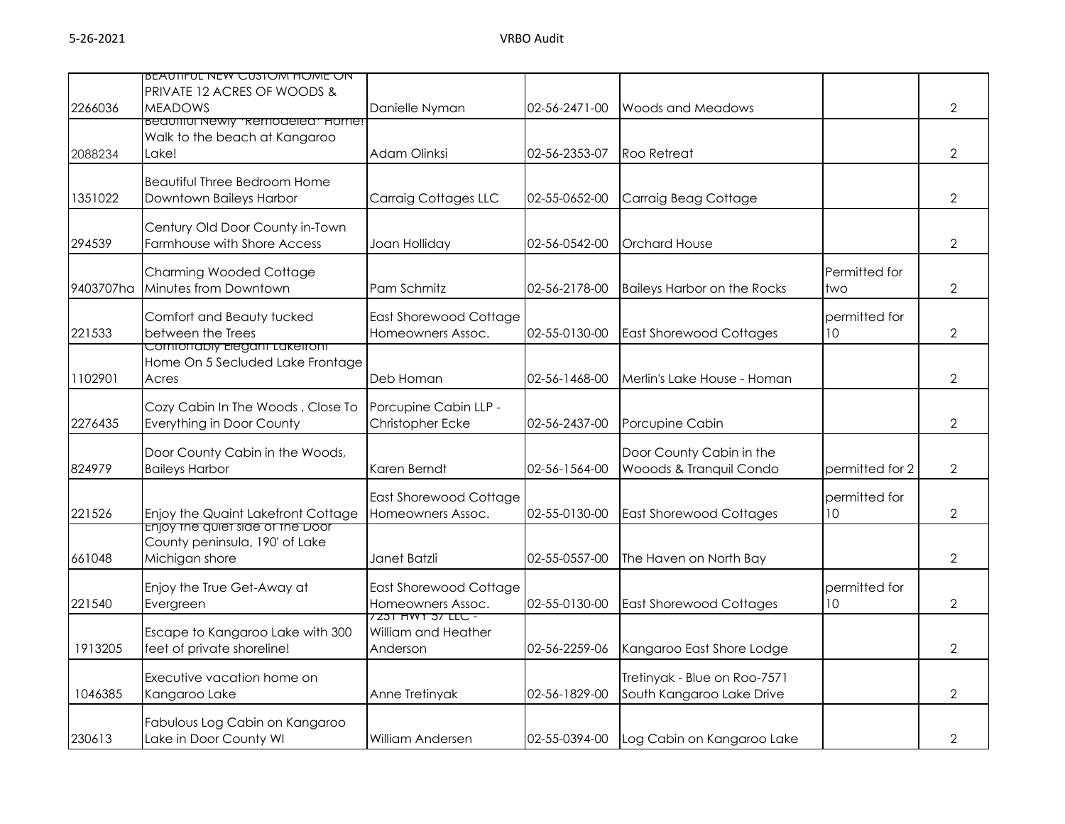|           | <b>BEAUTIFUL NEW CUSTOM HOME ON</b><br><b>PRIVATE 12 ACRES OF WOODS &amp;</b> |                                            |               |                                          |                 |                |
|-----------|-------------------------------------------------------------------------------|--------------------------------------------|---------------|------------------------------------------|-----------------|----------------|
| 2266036   | <b>MEADOWS</b>                                                                | Danielle Nyman                             | 02-56-2471-00 | <b>Woods and Meadows</b>                 |                 | 2              |
|           | <b>Beautiful Newly "Remodelea" Home:</b>                                      |                                            |               |                                          |                 |                |
|           | Walk to the beach at Kangaroo<br>Lake!                                        | Adam Olinksi                               | 02-56-2353-07 | Roo Retreat                              |                 | $\overline{2}$ |
| 2088234   |                                                                               |                                            |               |                                          |                 |                |
|           | <b>Beautiful Three Bedroom Home</b>                                           |                                            |               |                                          |                 |                |
| 1351022   | Downtown Baileys Harbor                                                       | <b>Carraig Cottages LLC</b>                | 02-55-0652-00 | Carraig Beag Cottage                     |                 | $\overline{2}$ |
|           | Century Old Door County in-Town                                               |                                            |               |                                          |                 |                |
| 294539    | Farmhouse with Shore Access                                                   | Joan Holliday                              | 02-56-0542-00 | <b>Orchard House</b>                     |                 | $\overline{2}$ |
|           |                                                                               |                                            |               |                                          |                 |                |
| 9403707ha | <b>Charming Wooded Cottage</b><br>Minutes from Downtown                       | Pam Schmitz                                | 02-56-2178-00 |                                          | Permitted for   | $\overline{2}$ |
|           |                                                                               |                                            |               | <b>Baileys Harbor on the Rocks</b>       | two             |                |
|           | Comfort and Beauty tucked                                                     | East Shorewood Cottage                     |               |                                          | permitted for   |                |
| 221533    | between the Trees                                                             | Homeowners Assoc.                          | 02-55-0130-00 | <b>East Shorewood Cottages</b>           | 10 <sup>°</sup> | $\overline{2}$ |
|           | Comfortably Elegant Lakefront<br>Home On 5 Secluded Lake Frontage             |                                            |               |                                          |                 |                |
| 1102901   | Acres                                                                         | Deb Homan                                  | 02-56-1468-00 | Merlin's Lake House - Homan              |                 | $\mathcal{P}$  |
|           |                                                                               |                                            |               |                                          |                 |                |
|           | Cozy Cabin In The Woods, Close To                                             | Porcupine Cabin LLP -                      |               |                                          |                 |                |
| 2276435   | Everything in Door County                                                     | Christopher Ecke                           | 02-56-2437-00 | Porcupine Cabin                          |                 | $\overline{2}$ |
|           | Door County Cabin in the Woods,                                               |                                            |               | Door County Cabin in the                 |                 |                |
| 824979    | <b>Baileys Harbor</b>                                                         | Karen Berndt                               | 02-56-1564-00 | Wooods & Tranquil Condo                  | permitted for 2 | $\overline{2}$ |
|           |                                                                               | <b>East Shorewood Cottage</b>              |               |                                          | permitted for   |                |
| 221526    | Enjoy the Quaint Lakefront Cottage                                            | Homeowners Assoc.                          | 02-55-0130-00 | <b>East Shorewood Cottages</b>           | 10              | $\overline{2}$ |
|           | <b>Enjoy the quiet side of the Door</b>                                       |                                            |               |                                          |                 |                |
|           | County peninsula, 190' of Lake                                                |                                            |               |                                          |                 |                |
| 661048    | Michigan shore                                                                | Janet Batzli                               | 02-55-0557-00 | The Haven on North Bay                   |                 | $\mathcal{P}$  |
|           | Enjoy the True Get-Away at                                                    | <b>East Shorewood Cottage</b>              |               |                                          | permitted for   |                |
| 221540    | Evergreen                                                                     | Homeowners Assoc.                          | 02-55-0130-00 | <b>East Shorewood Cottages</b>           | 10              | 2              |
|           | Escape to Kangaroo Lake with 300                                              | 7 Z 31 HWY 37 LLC -<br>William and Heather |               |                                          |                 |                |
| 1913205   | feet of private shoreline!                                                    | Anderson                                   | 02-56-2259-06 | Kangaroo East Shore Lodge                |                 | $\overline{2}$ |
|           |                                                                               |                                            |               |                                          |                 |                |
|           | Executive vacation home on                                                    |                                            |               | Tretinyak - Blue on Roo-7571             |                 |                |
| 1046385   | Kangaroo Lake                                                                 | Anne Tretinyak                             | 02-56-1829-00 | South Kangaroo Lake Drive                |                 | $\overline{2}$ |
|           | Fabulous Log Cabin on Kangaroo                                                |                                            |               |                                          |                 |                |
| 230613    | Lake in Door County WI                                                        | William Andersen                           |               | 02-55-0394-00 Log Cabin on Kangaroo Lake |                 | $\overline{2}$ |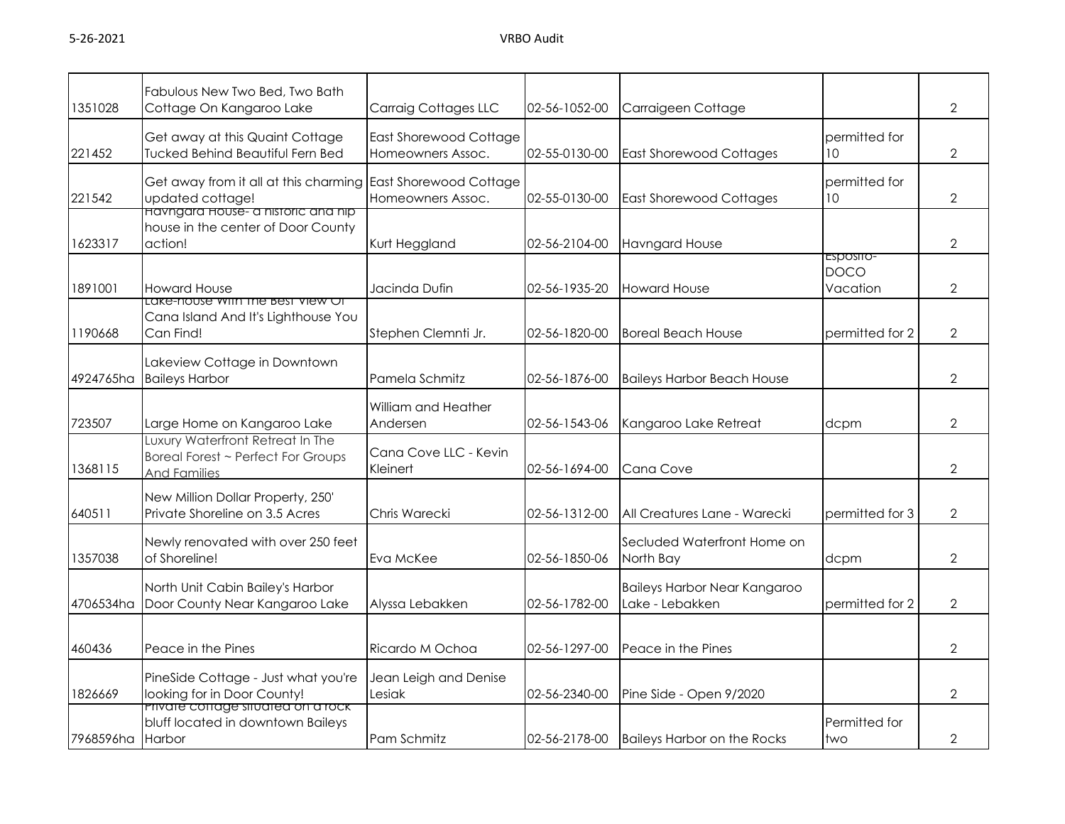| 1351028   | Fabulous New Two Bed, Two Bath<br>Cottage On Kangaroo Lake                                    | Carraig Cottages LLC                        | 02-56-1052-00 | Carraigeen Cottage                              |                                      | $\overline{2}$ |
|-----------|-----------------------------------------------------------------------------------------------|---------------------------------------------|---------------|-------------------------------------------------|--------------------------------------|----------------|
| 221452    | Get away at this Quaint Cottage<br><b>Tucked Behind Beautiful Fern Bed</b>                    | East Shorewood Cottage<br>Homeowners Assoc. | 02-55-0130-00 | <b>East Shorewood Cottages</b>                  | permitted for<br>10                  | $\overline{2}$ |
| 221542    | Get away from it all at this charming East Shorewood Cottage<br>updated cottage!              | Homeowners Assoc.                           | 02-55-0130-00 | <b>East Shorewood Cottages</b>                  | permitted for<br>10 <sup>°</sup>     | $\overline{2}$ |
| 1623317   | <u>Havngara House- a historic and hip</u><br>house in the center of Door County<br>action!    | Kurt Heggland                               | 02-56-2104-00 | <b>Havngard House</b>                           |                                      | $\overline{2}$ |
| 1891001   | <b>Howard House</b>                                                                           | Jacinda Dufin                               | 02-56-1935-20 | <b>Howard House</b>                             | ESPOSITO-<br><b>DOCO</b><br>Vacation | $\overline{2}$ |
| 1190668   | Lake-nouse with the best view Ot<br>Cana Island And It's Lighthouse You<br>Can Find!          | Stephen Clemnti Jr.                         | 02-56-1820-00 | <b>Boreal Beach House</b>                       | permitted for 2                      | $\overline{2}$ |
| 4924765ha | Lakeview Cottage in Downtown<br><b>Baileys Harbor</b>                                         | Pamela Schmitz                              | 02-56-1876-00 | <b>Baileys Harbor Beach House</b>               |                                      | $\overline{2}$ |
| 723507    | Large Home on Kangaroo Lake                                                                   | William and Heather<br>Andersen             | 02-56-1543-06 | Kangaroo Lake Retreat                           | dcpm                                 | $\overline{2}$ |
| 1368115   | Luxury Waterfront Retreat In The<br>Boreal Forest ~ Perfect For Groups<br><b>And Families</b> | Cana Cove LLC - Kevin<br>Kleinert           | 02-56-1694-00 | Cana Cove                                       |                                      | $\overline{2}$ |
| 640511    | New Million Dollar Property, 250'<br>Private Shoreline on 3.5 Acres                           | Chris Warecki                               | 02-56-1312-00 | All Creatures Lane - Warecki                    | permitted for 3                      | $\overline{2}$ |
| 1357038   | Newly renovated with over 250 feet<br>of Shoreline!                                           | Eva McKee                                   | 02-56-1850-06 | Secluded Waterfront Home on<br>North Bay        | dcpm                                 | $\overline{2}$ |
| 4706534ha | North Unit Cabin Bailey's Harbor<br>Door County Near Kangaroo Lake                            | Alyssa Lebakken                             | 02-56-1782-00 | Baileys Harbor Near Kangaroo<br>Lake - Lebakken | permitted for 2                      | $\overline{2}$ |
| 460436    | Peace in the Pines                                                                            | Ricardo M Ochoa                             | 02-56-1297-00 | Peace in the Pines                              |                                      | 2              |
| 1826669   | PineSide Cottage - Just what you're<br>looking for in Door County!                            | Jean Leigh and Denise<br>Lesiak             | 02-56-2340-00 | Pine Side - Open 9/2020                         |                                      | $\overline{2}$ |
| 7968596ha | <u>Private cottage situated on a rock-</u><br>bluff located in downtown Baileys<br>Harbor     | Pam Schmitz                                 | 02-56-2178-00 | <b>Baileys Harbor on the Rocks</b>              | Permitted for<br>two                 | $\overline{2}$ |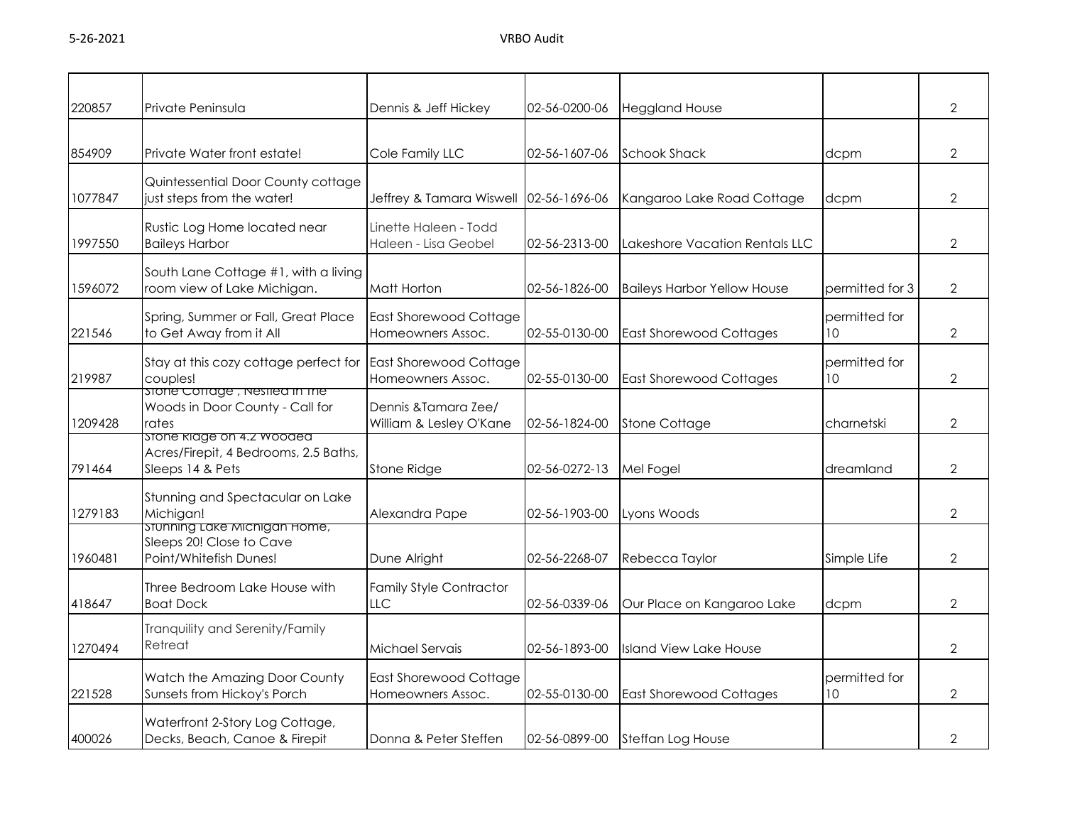| 220857  | Private Peninsula                                                                      | Dennis & Jeff Hickey                               | 02-56-0200-06 | <b>Heggland House</b>              |                                  | $\overline{2}$ |
|---------|----------------------------------------------------------------------------------------|----------------------------------------------------|---------------|------------------------------------|----------------------------------|----------------|
| 854909  | Private Water front estate!                                                            | Cole Family LLC                                    | 02-56-1607-06 | <b>Schook Shack</b>                | dcpm                             | $\overline{2}$ |
| 1077847 | Quintessential Door County cottage<br>just steps from the water!                       | Jeffrey & Tamara Wiswell 02-56-1696-06             |               | Kangaroo Lake Road Cottage         | dcpm                             | $\overline{2}$ |
| 1997550 | Rustic Log Home located near<br><b>Baileys Harbor</b>                                  | Linette Haleen - Todd<br>Haleen - Lisa Geobel      | 02-56-2313-00 | Lakeshore Vacation Rentals LLC     |                                  | $\overline{2}$ |
| 1596072 | South Lane Cottage #1, with a living<br>room view of Lake Michigan.                    | Matt Horton                                        | 02-56-1826-00 | <b>Baileys Harbor Yellow House</b> | permitted for 3                  | $\overline{2}$ |
| 221546  | Spring, Summer or Fall, Great Place<br>to Get Away from it All                         | East Shorewood Cottage<br>Homeowners Assoc.        | 02-55-0130-00 | <b>East Shorewood Cottages</b>     | permitted for<br>10 <sup>°</sup> | $\overline{2}$ |
| 219987  | Stay at this cozy cottage perfect for<br>couples!                                      | <b>East Shorewood Cottage</b><br>Homeowners Assoc. | 02-55-0130-00 | <b>East Shorewood Cottages</b>     | permitted for<br>10              | $\overline{2}$ |
| 1209428 | storie Cottage, Nestlea in the<br>Woods in Door County - Call for<br>rates             | Dennis & Tamara Zee/<br>William & Lesley O'Kane    | 02-56-1824-00 | <b>Stone Cottage</b>               | charnetski                       | $\overline{2}$ |
| 791464  | stone klage on 4.2 wooded<br>Acres/Firepit, 4 Bedrooms, 2.5 Baths,<br>Sleeps 14 & Pets | <b>Stone Ridge</b>                                 | 02-56-0272-13 | Mel Fogel                          | dreamland                        | $\overline{2}$ |
| 1279183 | Stunning and Spectacular on Lake<br>Michigan!                                          | Alexandra Pape                                     | 02-56-1903-00 | Lyons Woods                        |                                  | $\overline{2}$ |
| 1960481 | stunning Lake Michigan Home,<br>Sleeps 20! Close to Cave<br>Point/Whitefish Dunes!     | Dune Alright                                       | 02-56-2268-07 | Rebecca Taylor                     | Simple Life                      | $\overline{2}$ |
| 418647  | Three Bedroom Lake House with<br><b>Boat Dock</b>                                      | <b>Family Style Contractor</b><br>LLC              | 02-56-0339-06 | Our Place on Kangaroo Lake         | dcpm                             | $\overline{2}$ |
| 1270494 | Tranquility and Serenity/Family<br>Retreat                                             | Michael Servais                                    | 02-56-1893-00 | <b>Island View Lake House</b>      |                                  | $\overline{2}$ |
| 221528  | Watch the Amazing Door County<br>Sunsets from Hickoy's Porch                           | <b>East Shorewood Cottage</b><br>Homeowners Assoc. | 02-55-0130-00 | <b>East Shorewood Cottages</b>     | permitted for<br>10              | $\overline{2}$ |
| 400026  | Waterfront 2-Story Log Cottage,<br>Decks, Beach, Canoe & Firepit                       | Donna & Peter Steffen                              | 02-56-0899-00 | <b>Steffan Log House</b>           |                                  | $\overline{2}$ |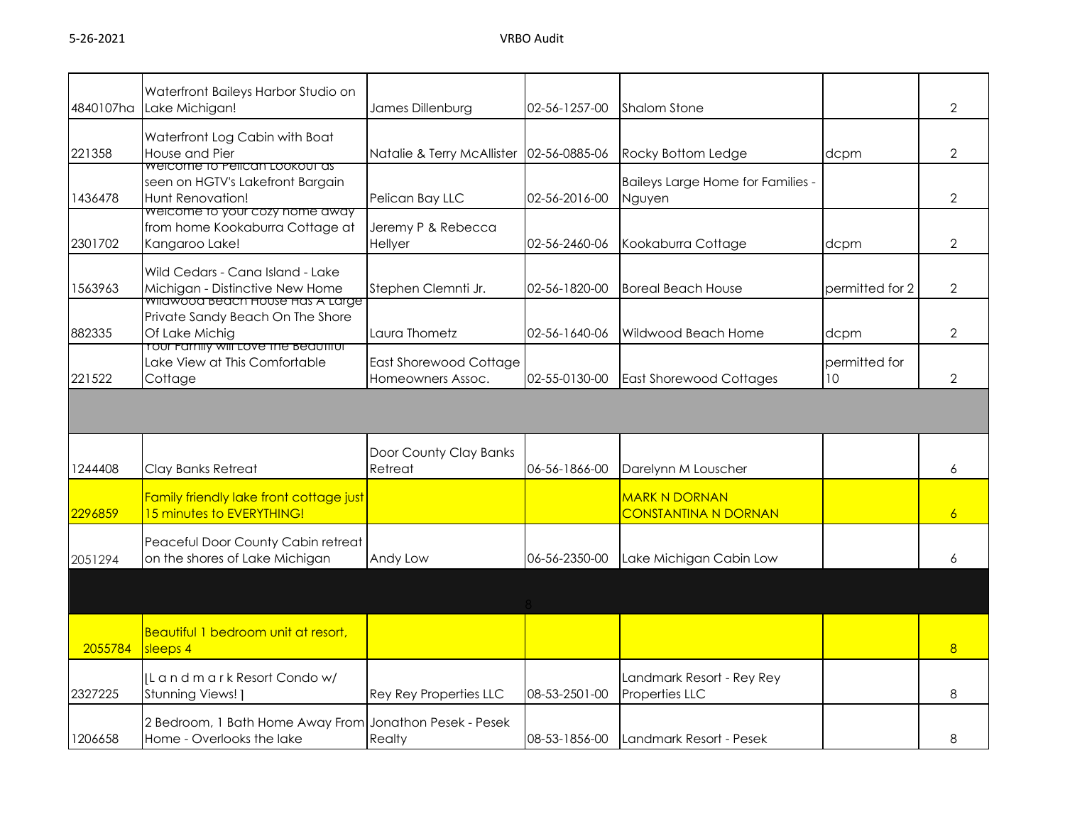| 4840107ha | Waterfront Baileys Harbor Studio on<br>Lake Michigan!                                                          | James Dillenburg                            | 02-56-1257-00 | <b>Shalom Stone</b>                                 |                     | $\overline{2}$ |
|-----------|----------------------------------------------------------------------------------------------------------------|---------------------------------------------|---------------|-----------------------------------------------------|---------------------|----------------|
| 221358    | Waterfront Log Cabin with Boat<br>House and Pier                                                               | Natalie & Terry McAllister                  | 02-56-0885-06 | Rocky Bottom Ledge                                  | dcpm                | $\overline{2}$ |
| 1436478   | <b>Welcome To Pelican LOOKOUT as</b><br>seen on HGTV's Lakefront Bargain<br>Hunt Renovation!                   | Pelican Bay LLC                             | 02-56-2016-00 | Baileys Large Home for Families -<br>Nguyen         |                     | $\overline{2}$ |
| 2301702   | welcome to your cozy nome away<br>from home Kookaburra Cottage at<br>Kangaroo Lake!                            | Jeremy P & Rebecca<br>Hellyer               | 02-56-2460-06 | Kookaburra Cottage                                  | dcpm                | $\overline{2}$ |
| 1563963   | Wild Cedars - Cana Island - Lake<br>Michigan - Distinctive New Home<br><u>wilawood beach House Has A Large</u> | Stephen Clemnti Jr.                         | 02-56-1820-00 | <b>Boreal Beach House</b>                           | permitted for 2     | $\overline{2}$ |
| 882335    | Private Sandy Beach On The Shore<br>Of Lake Michig<br><u>rour ramily will tove the beaufiful</u>               | Laura Thometz                               | 02-56-1640-06 | Wildwood Beach Home                                 | dcpm                | $\overline{2}$ |
| 221522    | Lake View at This Comfortable<br>Cottage                                                                       | East Shorewood Cottage<br>Homeowners Assoc. | 02-55-0130-00 | <b>East Shorewood Cottages</b>                      | permitted for<br>10 | $\overline{2}$ |
|           |                                                                                                                |                                             |               |                                                     |                     |                |
| 1244408   | Clay Banks Retreat                                                                                             | Door County Clay Banks<br>Retreat           | 06-56-1866-00 | Darelynn M Louscher                                 |                     | 6              |
| 2296859   | Family friendly lake front cottage just<br>15 minutes to EVERYTHING!                                           |                                             |               | <b>MARK N DORNAN</b><br><b>CONSTANTINA N DORNAN</b> |                     | 6              |
| 2051294   | Peaceful Door County Cabin retreat<br>on the shores of Lake Michigan                                           | Andy Low                                    | 06-56-2350-00 | Lake Michigan Cabin Low                             |                     | 6              |
|           |                                                                                                                |                                             |               |                                                     |                     |                |
| 2055784   | Beautiful 1 bedroom unit at resort,<br>sleeps 4                                                                |                                             |               |                                                     |                     | $\overline{8}$ |
| 2327225   | IL and mark Resort Condow/<br>Stunning Views! ]                                                                | Rey Rey Properties LLC                      | 08-53-2501-00 | Landmark Resort - Rey Rey<br>Properties LLC         |                     | 8              |
| 1206658   | 2 Bedroom, 1 Bath Home Away From Jonathon Pesek - Pesek<br>Home - Overlooks the lake                           | Realty                                      | 08-53-1856-00 | Landmark Resort - Pesek                             |                     | 8              |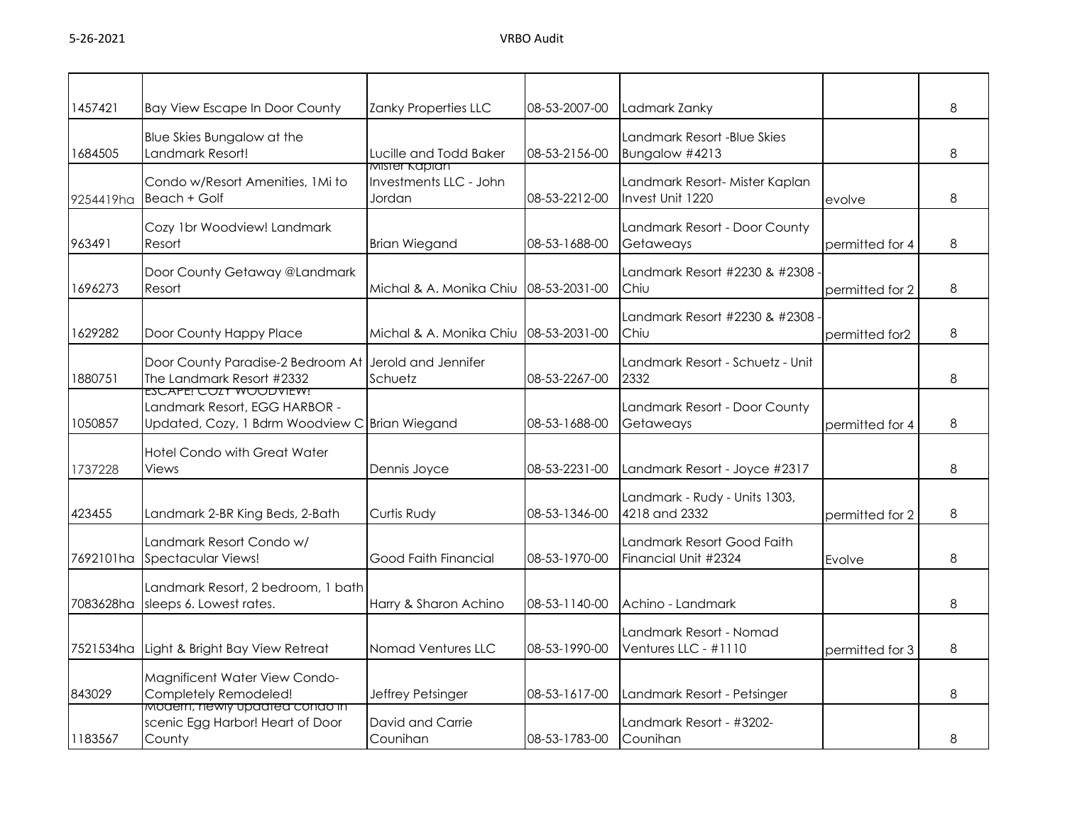| 1457421   | Bay View Escape In Door County                                                                            | Zanky Properties LLC                              | 08-53-2007-00 | Ladmark Zanky                                      |                 | 8 |
|-----------|-----------------------------------------------------------------------------------------------------------|---------------------------------------------------|---------------|----------------------------------------------------|-----------------|---|
| 1684505   | Blue Skies Bungalow at the<br>Landmark Resort!                                                            | Lucille and Todd Baker                            | 08-53-2156-00 | Landmark Resort -Blue Skies<br>Bungalow #4213      |                 | 8 |
| 9254419ha | Condo w/Resort Amenities, 1Mi to<br>Beach + Golf                                                          | Mister Kapian<br>Investments LLC - John<br>Jordan | 08-53-2212-00 | Landmark Resort- Mister Kaplan<br>Invest Unit 1220 | evolve          | 8 |
| 963491    | Cozy 1br Woodview! Landmark<br>Resort                                                                     | <b>Brian Wiegand</b>                              | 08-53-1688-00 | Landmark Resort - Door County<br>Getaweays         | permitted for 4 | 8 |
| 1696273   | Door County Getaway @Landmark<br>Resort                                                                   | Michal & A. Monika Chiu                           | 08-53-2031-00 | Landmark Resort #2230 & #2308<br>Chiu              | permitted for 2 | 8 |
| 1629282   | Door County Happy Place                                                                                   | Michal & A. Monika Chiu                           | 08-53-2031-00 | Landmark Resort #2230 & #2308<br>Chiu              | permitted for2  | 8 |
| 1880751   | Door County Paradise-2 Bedroom At<br>The Landmark Resort #2332                                            | Jerold and Jennifer<br>Schuetz                    | 08-53-2267-00 | Landmark Resort - Schuetz - Unit<br>2332           |                 | 8 |
| 1050857   | ESCAPE! COZY WOODVIEW!<br>Landmark Resort, EGG HARBOR -<br>Updated, Cozy, 1 Bdrm Woodview C Brian Wiegand |                                                   | 08-53-1688-00 | Landmark Resort - Door County<br>Getaweays         | permitted for 4 | 8 |
| 1737228   | Hotel Condo with Great Water<br>Views                                                                     | Dennis Joyce                                      | 08-53-2231-00 | Landmark Resort - Joyce #2317                      |                 | 8 |
| 423455    | Landmark 2-BR King Beds, 2-Bath                                                                           | Curtis Rudy                                       | 08-53-1346-00 | Landmark - Rudy - Units 1303,<br>4218 and 2332     | permitted for 2 | 8 |
| 7692101ha | Landmark Resort Condo w/<br>Spectacular Views!                                                            | <b>Good Faith Financial</b>                       | 08-53-1970-00 | Landmark Resort Good Faith<br>Financial Unit #2324 | Evolve          | 8 |
| 7083628ha | Landmark Resort, 2 bedroom, 1 bath<br>sleeps 6. Lowest rates.                                             | Harry & Sharon Achino                             | 08-53-1140-00 | Achino - Landmark                                  |                 | 8 |
| 7521534ha | Light & Bright Bay View Retreat                                                                           | Nomad Ventures LLC                                | 08-53-1990-00 | Landmark Resort - Nomad<br>Ventures LLC - #1110    | permitted for 3 | 8 |
| 843029    | Magnificent Water View Condo-<br>Completely Remodeled!                                                    | Jeffrey Petsinger                                 | 08-53-1617-00 | Landmark Resort - Petsinger                        |                 | 8 |
| 1183567   | <u>Modern, néwly updated condo in</u><br>scenic Egg Harbor! Heart of Door<br>County                       | David and Carrie<br>Counihan                      | 08-53-1783-00 | Landmark Resort - #3202-<br>Counihan               |                 | 8 |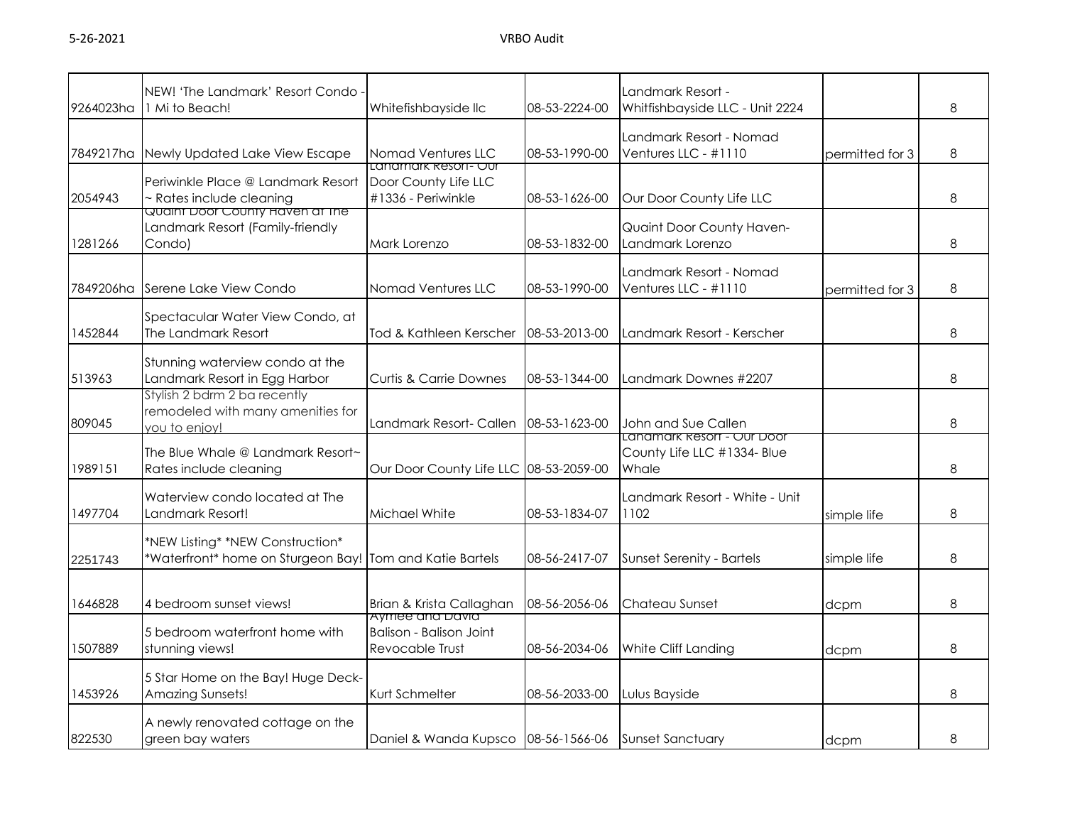| 9264023ha | NEW! 'The Landmark' Resort Condo<br>1 Mi to Beach!                                           | Whitefishbayside IIc                                                 | 08-53-2224-00 | Landmark Resort -<br>Whitfishbayside LLC - Unit 2224               |                 | 8 |
|-----------|----------------------------------------------------------------------------------------------|----------------------------------------------------------------------|---------------|--------------------------------------------------------------------|-----------------|---|
| 7849217ha | Newly Updated Lake View Escape                                                               | Nomad Ventures LLC<br>Lanamark Kesori- Qur                           | 08-53-1990-00 | Landmark Resort - Nomad<br>Ventures LLC - #1110                    | permitted for 3 | 8 |
| 2054943   | Periwinkle Place @ Landmark Resort<br>- Rates include cleaning                               | Door County Life LLC<br>#1336 - Periwinkle                           | 08-53-1626-00 | Our Door County Life LLC                                           |                 | 8 |
| 1281266   | <u>Quaint Door County Haven at the </u><br>Landmark Resort (Family-friendly<br>Condo)        | Mark Lorenzo                                                         | 08-53-1832-00 | Quaint Door County Haven-<br>Landmark Lorenzo                      |                 | 8 |
| 7849206ha | Serene Lake View Condo                                                                       | Nomad Ventures LLC                                                   | 08-53-1990-00 | Landmark Resort - Nomad<br>Ventures LLC - #1110                    | permitted for 3 | 8 |
| 1452844   | Spectacular Water View Condo, at<br>The Landmark Resort                                      | Tod & Kathleen Kerscher                                              | 08-53-2013-00 | Landmark Resort - Kerscher                                         |                 | 8 |
| 513963    | Stunning waterview condo at the<br>Landmark Resort in Egg Harbor                             | <b>Curtis &amp; Carrie Downes</b>                                    | 08-53-1344-00 | Landmark Downes #2207                                              |                 | 8 |
| 809045    | Stylish 2 bdrm 2 ba recently<br>remodeled with many amenities for<br>you to enjoy!           | Landmark Resort- Callen                                              | 08-53-1623-00 | John and Sue Callen                                                |                 | 8 |
| 1989151   | The Blue Whale @ Landmark Resort~<br>Rates include cleaning                                  | Our Door County Life LLC 08-53-2059-00                               |               | Lanamark Resort - Our Door<br>County Life LLC #1334- Blue<br>Whale |                 | 8 |
| 1497704   | Waterview condo located at The<br>Landmark Resort!                                           | Michael White                                                        | 08-53-1834-07 | Landmark Resort - White - Unit<br>1102                             | simple life     | 8 |
| 2251743   | *NEW Listing* *NEW Construction*<br>*Waterfront* home on Sturgeon Bay! Tom and Katie Bartels |                                                                      | 08-56-2417-07 | Sunset Serenity - Bartels                                          | simple life     | 8 |
| 1646828   | 4 bedroom sunset views!                                                                      | Brian & Krista Callaghan                                             | 08-56-2056-06 | Chateau Sunset                                                     | dcpm            | 8 |
| 1507889   | 5 bedroom waterfront home with<br>stunning views!                                            | Aymee ana Davia<br><b>Balison - Balison Joint</b><br>Revocable Trust | 08-56-2034-06 | White Cliff Landing                                                | dcpm            | 8 |
| 1453926   | 5 Star Home on the Bay! Huge Deck-<br>Amazing Sunsets!                                       | Kurt Schmelter                                                       | 08-56-2033-00 | Lulus Bayside                                                      |                 | 8 |
| 822530    | A newly renovated cottage on the<br>green bay waters                                         | Daniel & Wanda Kupsco 08-56-1566-06                                  |               | <b>Sunset Sanctuary</b>                                            | dcpm            | 8 |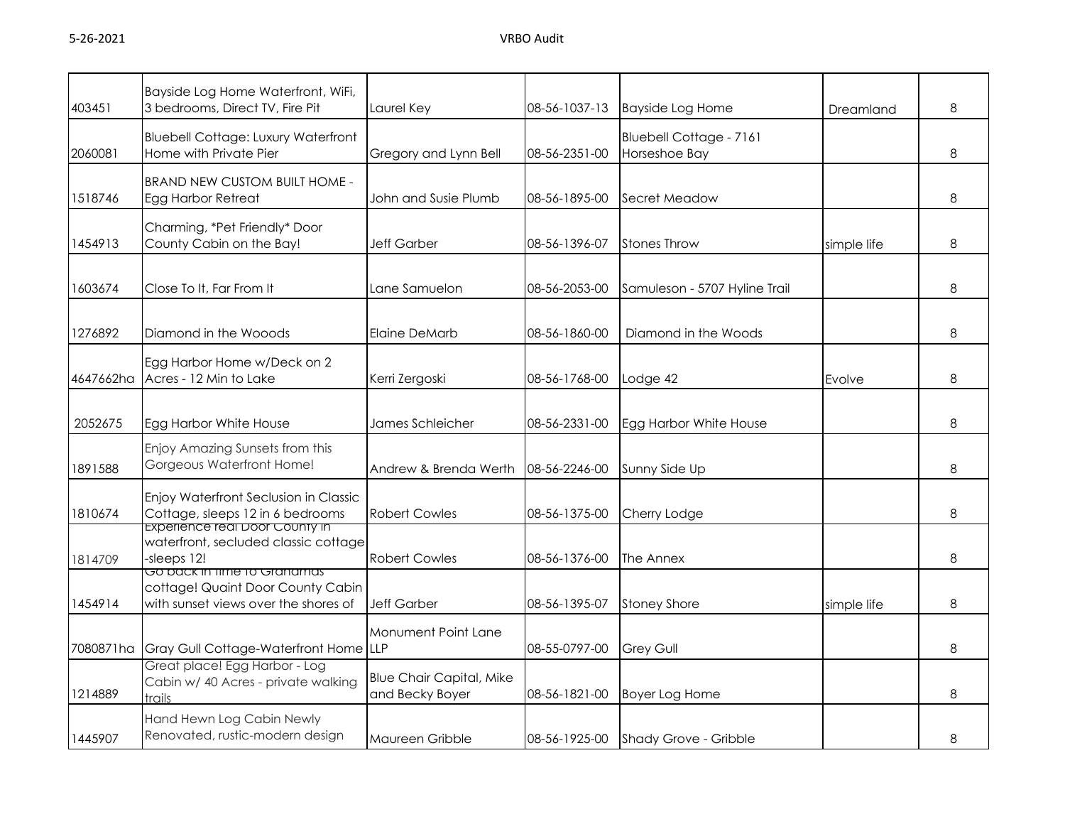| 403451    | Bayside Log Home Waterfront, WiFi,<br>3 bedrooms, Direct TV, Fire Pit                                           | Laurel Key                                         | 08-56-1037-13 | <b>Bayside Log Home</b>                         | Dreamland   | 8 |
|-----------|-----------------------------------------------------------------------------------------------------------------|----------------------------------------------------|---------------|-------------------------------------------------|-------------|---|
| 2060081   | <b>Bluebell Cottage: Luxury Waterfront</b><br>Home with Private Pier                                            | Gregory and Lynn Bell                              | 08-56-2351-00 | <b>Bluebell Cottage - 7161</b><br>Horseshoe Bay |             | 8 |
| 1518746   | <b>BRAND NEW CUSTOM BUILT HOME -</b><br>Egg Harbor Retreat                                                      | John and Susie Plumb                               | 08-56-1895-00 | Secret Meadow                                   |             | 8 |
| 1454913   | Charming, *Pet Friendly* Door<br>County Cabin on the Bay!                                                       | Jeff Garber                                        | 08-56-1396-07 | <b>Stones Throw</b>                             | simple life | 8 |
| 1603674   | Close To It, Far From It                                                                                        | ane Samuelon.                                      | 08-56-2053-00 | Samuleson - 5707 Hyline Trail                   |             | 8 |
| 1276892   | Diamond in the Wooods                                                                                           | Elaine DeMarb                                      | 08-56-1860-00 | Diamond in the Woods                            |             | 8 |
| 4647662ha | Egg Harbor Home w/Deck on 2<br>Acres - 12 Min to Lake                                                           | Kerri Zergoski                                     | 08-56-1768-00 | Lodge 42                                        | Evolve      | 8 |
| 2052675   | Egg Harbor White House                                                                                          | James Schleicher                                   | 08-56-2331-00 | Egg Harbor White House                          |             | 8 |
| 1891588   | Enjoy Amazing Sunsets from this<br>Gorgeous Waterfront Home!                                                    | Andrew & Brenda Werth                              | 08-56-2246-00 | Sunny Side Up                                   |             | 8 |
| 1810674   | Enjoy Waterfront Seclusion in Classic<br>Cottage, sleeps 12 in 6 bedrooms                                       | <b>Robert Cowles</b>                               | 08-56-1375-00 | Cherry Lodge                                    |             | 8 |
| 1814709   | <b>Experience real Door County in</b><br>waterfront, secluded classic cottage<br>-sleeps 12!                    | <b>Robert Cowles</b>                               | 08-56-1376-00 | The Annex                                       |             | 8 |
| 1454914   | <u>Go pack in time to Granamas</u><br>cottage! Quaint Door County Cabin<br>with sunset views over the shores of | <b>Jeff Garber</b>                                 | 08-56-1395-07 | <b>Stoney Shore</b>                             | simple life | 8 |
| 7080871ha | Gray Gull Cottage-Waterfront Home                                                                               | Monument Point Lane<br><b>LLP</b>                  | 08-55-0797-00 | <b>Grey Gull</b>                                |             | 8 |
| 1214889   | Great place! Egg Harbor - Log<br>Cabin w/ 40 Acres - private walking<br>trails                                  | <b>Blue Chair Capital, Mike</b><br>and Becky Boyer | 08-56-1821-00 | <b>Boyer Log Home</b>                           |             | 8 |
| 1445907   | Hand Hewn Log Cabin Newly<br>Renovated, rustic-modern design                                                    | Maureen Gribble                                    |               | 08-56-1925-00 Shady Grove - Gribble             |             | 8 |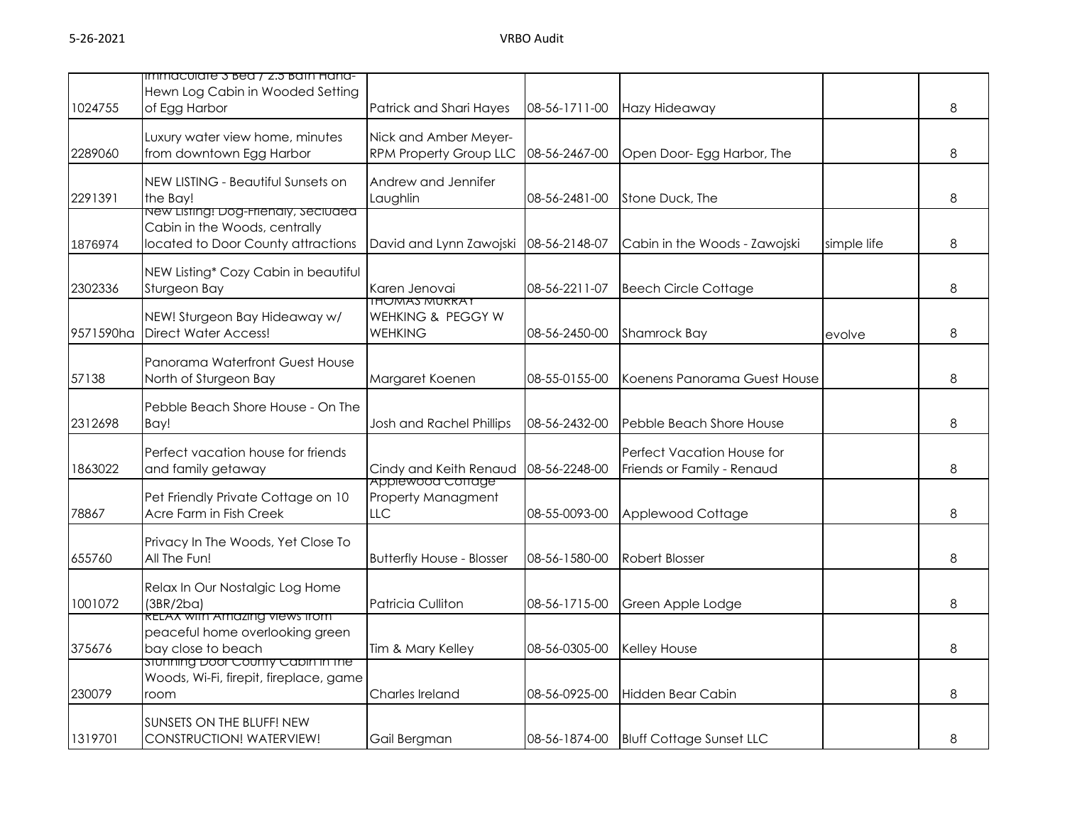|           | immaculate 3 Bea / 2.5 Bath Hand-                                   |                                         |               |                                        |             |   |
|-----------|---------------------------------------------------------------------|-----------------------------------------|---------------|----------------------------------------|-------------|---|
| 1024755   | Hewn Log Cabin in Wooded Setting<br>of Egg Harbor                   | Patrick and Shari Hayes                 |               |                                        |             | 8 |
|           |                                                                     |                                         | 08-56-1711-00 | Hazy Hideaway                          |             |   |
|           | Luxury water view home, minutes                                     | Nick and Amber Meyer-                   |               |                                        |             |   |
| 2289060   | from downtown Egg Harbor                                            | <b>RPM Property Group LLC</b>           | 08-56-2467-00 | Open Door- Egg Harbor, The             |             | 8 |
|           | NEW LISTING - Beautiful Sunsets on                                  | Andrew and Jennifer                     |               |                                        |             |   |
| 2291391   | the Bay!                                                            | Laughlin                                | 08-56-2481-00 | Stone Duck, The                        |             | 8 |
|           | <u>New Listing: Dog-Frienaly, seciuded</u>                          |                                         |               |                                        |             |   |
| 1876974   | Cabin in the Woods, centrally<br>located to Door County attractions | David and Lynn Zawojski 08-56-2148-07   |               | Cabin in the Woods - Zawojski          | simple life | 8 |
|           |                                                                     |                                         |               |                                        |             |   |
|           | NEW Listing* Cozy Cabin in beautiful                                |                                         |               |                                        |             |   |
| 2302336   | Sturgeon Bay                                                        | Karen Jenovai<br><u>IHUMAS MURRAT</u>   | 08-56-2211-07 | <b>Beech Circle Cottage</b>            |             | 8 |
|           | NEW! Sturgeon Bay Hideaway w/                                       | WEHKING & PEGGY W                       |               |                                        |             |   |
| 9571590ha | <b>Direct Water Access!</b>                                         | <b>WEHKING</b>                          | 08-56-2450-00 | Shamrock Bay                           | evolve      | 8 |
|           | Panorama Waterfront Guest House                                     |                                         |               |                                        |             |   |
| 57138     | North of Sturgeon Bay                                               | Margaret Koenen                         | 08-55-0155-00 | Koenens Panorama Guest House           |             | 8 |
|           |                                                                     |                                         |               |                                        |             |   |
|           | Pebble Beach Shore House - On The                                   |                                         |               |                                        |             |   |
| 2312698   | Bay!                                                                | Josh and Rachel Phillips                | 08-56-2432-00 | Pebble Beach Shore House               |             | 8 |
|           | Perfect vacation house for friends                                  |                                         |               | Perfect Vacation House for             |             |   |
| 1863022   | and family getaway                                                  | Cindy and Keith Renaud                  | 08-56-2248-00 | Friends or Family - Renaud             |             | 8 |
|           | Pet Friendly Private Cottage on 10                                  | Appiewood Cottage<br>Property Managment |               |                                        |             |   |
| 78867     | Acre Farm in Fish Creek                                             | LLC                                     | 08-55-0093-00 | Applewood Cottage                      |             | 8 |
|           |                                                                     |                                         |               |                                        |             |   |
| 655760    | Privacy In The Woods, Yet Close To<br>All The Fun!                  | <b>Butterfly House - Blosser</b>        | 08-56-1580-00 | <b>Robert Blosser</b>                  |             | 8 |
|           |                                                                     |                                         |               |                                        |             |   |
|           | Relax In Our Nostalgic Log Home                                     |                                         |               |                                        |             |   |
| 1001072   | (3BR/2ba)<br>RELAX with Amazing views from                          | Patricia Culliton                       | 08-56-1715-00 | Green Apple Lodge                      |             | 8 |
|           | peaceful home overlooking green                                     |                                         |               |                                        |             |   |
| 375676    | bay close to beach                                                  | Tim & Mary Kelley                       | 08-56-0305-00 | Kelley House                           |             | 8 |
|           | stunning Door County Cabin in the                                   |                                         |               |                                        |             |   |
| 230079    | Woods, Wi-Fi, firepit, fireplace, game<br>room                      | Charles Ireland                         | 08-56-0925-00 | Hidden Bear Cabin                      |             | 8 |
|           |                                                                     |                                         |               |                                        |             |   |
|           | SUNSETS ON THE BLUFF! NEW                                           |                                         |               |                                        |             |   |
| 1319701   | CONSTRUCTION! WATERVIEW!                                            | Gail Bergman                            |               | 08-56-1874-00 Bluff Cottage Sunset LLC |             | 8 |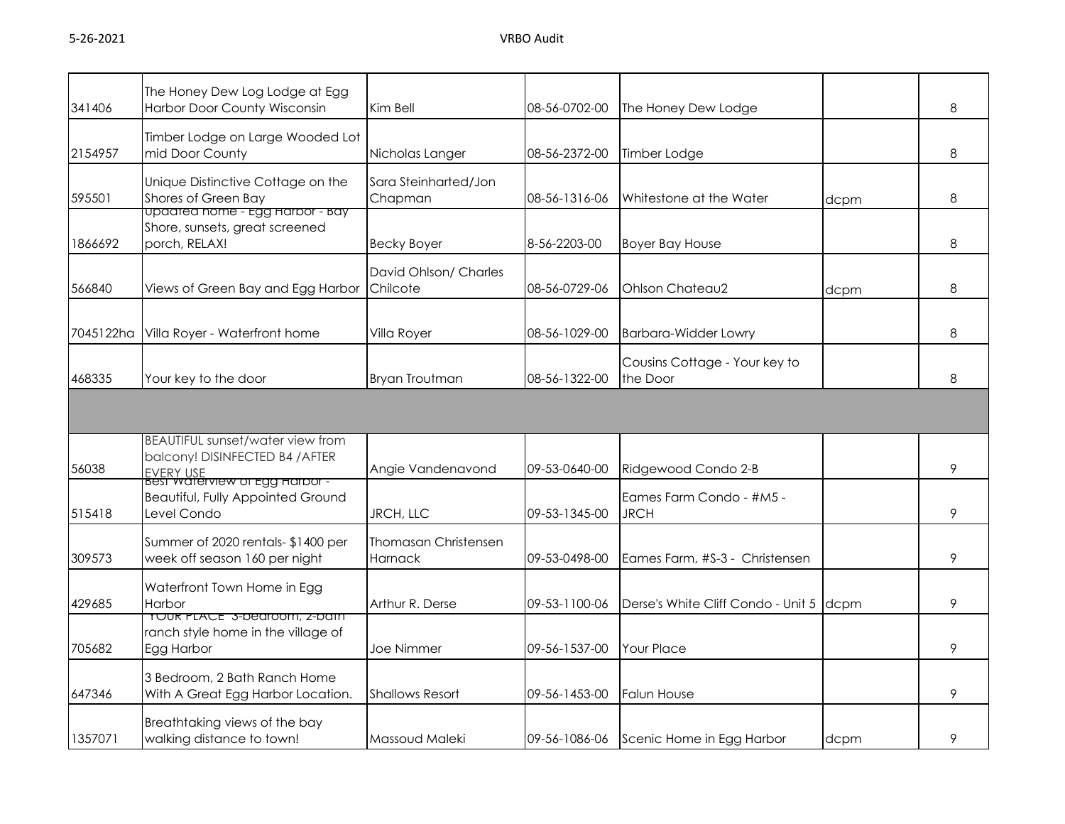| 341406    | The Honey Dew Log Lodge at Egg<br>Harbor Door County Wisconsin                                                | Kim Bell                               | 08-56-0702-00 | The Honey Dew Lodge                       |      | 8 |
|-----------|---------------------------------------------------------------------------------------------------------------|----------------------------------------|---------------|-------------------------------------------|------|---|
| 2154957   | Timber Lodge on Large Wooded Lot<br>mid Door County                                                           | Nicholas Langer                        | 08-56-2372-00 | Timber Lodge                              |      | 8 |
| 595501    | Unique Distinctive Cottage on the<br>Shores of Green Bay                                                      | Sara Steinharted/Jon<br>Chapman        | 08-56-1316-06 | Whitestone at the Water                   | dcpm | 8 |
| 1866692   | <u>upaarea nome - Egg Harbor - Bay</u><br>Shore, sunsets, great screened<br>porch, RELAX!                     | <b>Becky Boyer</b>                     | 8-56-2203-00  | <b>Boyer Bay House</b>                    |      | 8 |
| 566840    | Views of Green Bay and Egg Harbor                                                                             | David Ohlson/ Charles<br>Chilcote      | 08-56-0729-06 | Ohlson Chateau2                           | dcpm | 8 |
| 7045122ha | Villa Royer - Waterfront home                                                                                 | Villa Royer                            | 08-56-1029-00 | <b>Barbara-Widder Lowry</b>               |      | 8 |
| 468335    | Your key to the door                                                                                          | <b>Bryan Troutman</b>                  | 08-56-1322-00 | Cousins Cottage - Your key to<br>the Door |      | 8 |
|           |                                                                                                               |                                        |               |                                           |      |   |
| 56038     | <b>BEAUTIFUL sunset/water view from</b><br>balcony! DISINFECTED B4 / AFTER                                    | Angie Vandenavond                      | 09-53-0640-00 | Ridgewood Condo 2-B                       |      | 9 |
| 515418    | <u>EVERY USE</u><br>Best waterview of Egg Harbor -<br><b>Beautiful, Fully Appointed Ground</b><br>Level Condo | JRCH, LLC                              | 09-53-1345-00 | Eames Farm Condo - #M5 -<br><b>JRCH</b>   |      | 9 |
| 309573    | Summer of 2020 rentals- \$1400 per<br>week off season 160 per night                                           | <b>Thomasan Christensen</b><br>Harnack | 09-53-0498-00 | Eames Farm, #S-3 - Christensen            |      | 9 |
| 429685    | Waterfront Town Home in Egg<br>Harbor                                                                         | Arthur R. Derse                        | 09-53-1100-06 | Derse's White Cliff Condo - Unit 5 dcpm   |      | 9 |
| 705682    | TOUR PLACE 3-Dearoom, Z-Dain<br>ranch style home in the village of<br>Egg Harbor                              | Joe Nimmer                             | 09-56-1537-00 | <b>Your Place</b>                         |      | 9 |
| 647346    | 3 Bedroom, 2 Bath Ranch Home<br>With A Great Egg Harbor Location.                                             | <b>Shallows Resort</b>                 | 09-56-1453-00 | <b>Falun House</b>                        |      | 9 |
| 1357071   | Breathtaking views of the bay<br>walking distance to town!                                                    | Massoud Maleki                         |               | 09-56-1086-06 Scenic Home in Egg Harbor   | dcpm | 9 |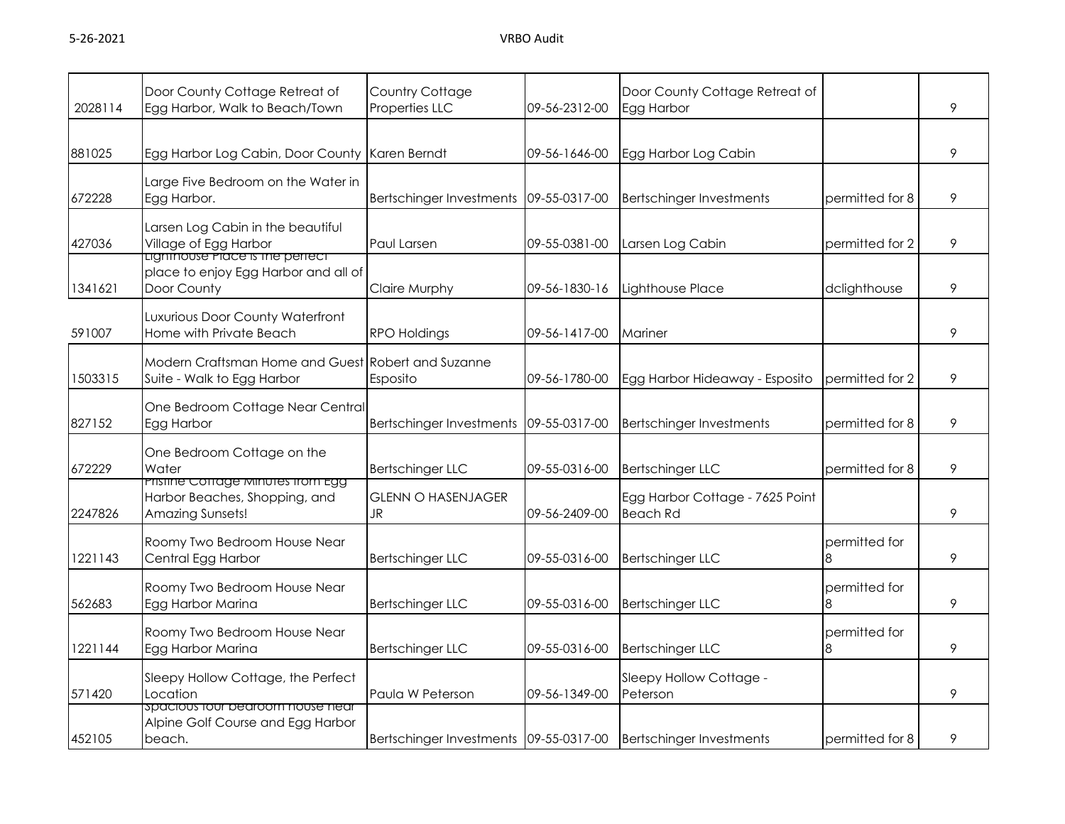|         | Door County Cottage Retreat of                                                                       | Country Cottage                        |               | Door County Cottage Retreat of                     |                    |   |
|---------|------------------------------------------------------------------------------------------------------|----------------------------------------|---------------|----------------------------------------------------|--------------------|---|
| 2028114 | Egg Harbor, Walk to Beach/Town                                                                       | Properties LLC                         | 09-56-2312-00 | Egg Harbor                                         |                    | 9 |
| 881025  | Egg Harbor Log Cabin, Door County Karen Berndt                                                       |                                        | 09-56-1646-00 | Egg Harbor Log Cabin                               |                    | 9 |
| 672228  | Large Five Bedroom on the Water in<br>Egg Harbor.                                                    | <b>Bertschinger Investments</b>        | 09-55-0317-00 | <b>Bertschinger Investments</b>                    | permitted for 8    | 9 |
| 427036  | Larsen Log Cabin in the beautiful<br>Village of Egg Harbor<br><b>Ligninouse Piace is the perfect</b> | Paul Larsen                            | 09-55-0381-00 | Larsen Log Cabin                                   | permitted for 2    | 9 |
| 1341621 | place to enjoy Egg Harbor and all of<br>Door County                                                  | <b>Claire Murphy</b>                   | 09-56-1830-16 | Lighthouse Place                                   | dclighthouse       | 9 |
| 591007  | Luxurious Door County Waterfront<br>Home with Private Beach                                          | <b>RPO Holdings</b>                    | 09-56-1417-00 | Mariner                                            |                    | 9 |
| 1503315 | Modern Craftsman Home and Guest Robert and Suzanne<br>Suite - Walk to Egg Harbor                     | Esposito                               | 09-56-1780-00 | Egg Harbor Hideaway - Esposito                     | permitted for 2    | 9 |
| 827152  | One Bedroom Cottage Near Central<br>Egg Harbor                                                       | <b>Bertschinger Investments</b>        | 09-55-0317-00 | <b>Bertschinger Investments</b>                    | permitted for 8    | 9 |
| 672229  | One Bedroom Cottage on the<br>Water                                                                  | <b>Bertschinger LLC</b>                | 09-55-0316-00 | <b>Bertschinger LLC</b>                            | permitted for 8    | 9 |
| 2247826 | Pristine Cottage Minutes from Egg<br>Harbor Beaches, Shopping, and<br>Amazing Sunsets!               | <b>GLENN O HASENJAGER</b><br>JR        | 09-56-2409-00 | Egg Harbor Cottage - 7625 Point<br><b>Beach Rd</b> |                    | 9 |
| 1221143 | Roomy Two Bedroom House Near<br>Central Egg Harbor                                                   | <b>Bertschinger LLC</b>                | 09-55-0316-00 | <b>Bertschinger LLC</b>                            | permitted for<br>8 | 9 |
| 562683  | Roomy Two Bedroom House Near<br>Egg Harbor Marina                                                    | <b>Bertschinger LLC</b>                | 09-55-0316-00 | <b>Bertschinger LLC</b>                            | permitted for<br>8 | 9 |
| 1221144 | Roomy Two Bedroom House Near<br>Egg Harbor Marina                                                    | <b>Bertschinger LLC</b>                | 09-55-0316-00 | <b>Bertschinger LLC</b>                            | permitted for<br>8 | 9 |
| 571420  | Sleepy Hollow Cottage, the Perfect<br>Location                                                       | Paula W Peterson                       | 09-56-1349-00 | Sleepy Hollow Cottage -<br>Peterson                |                    | 9 |
| 452105  | spacious four pearoom nouse near<br>Alpine Golf Course and Egg Harbor<br>beach.                      | Bertschinger Investments 09-55-0317-00 |               | <b>Bertschinger Investments</b>                    | permitted for 8    | 9 |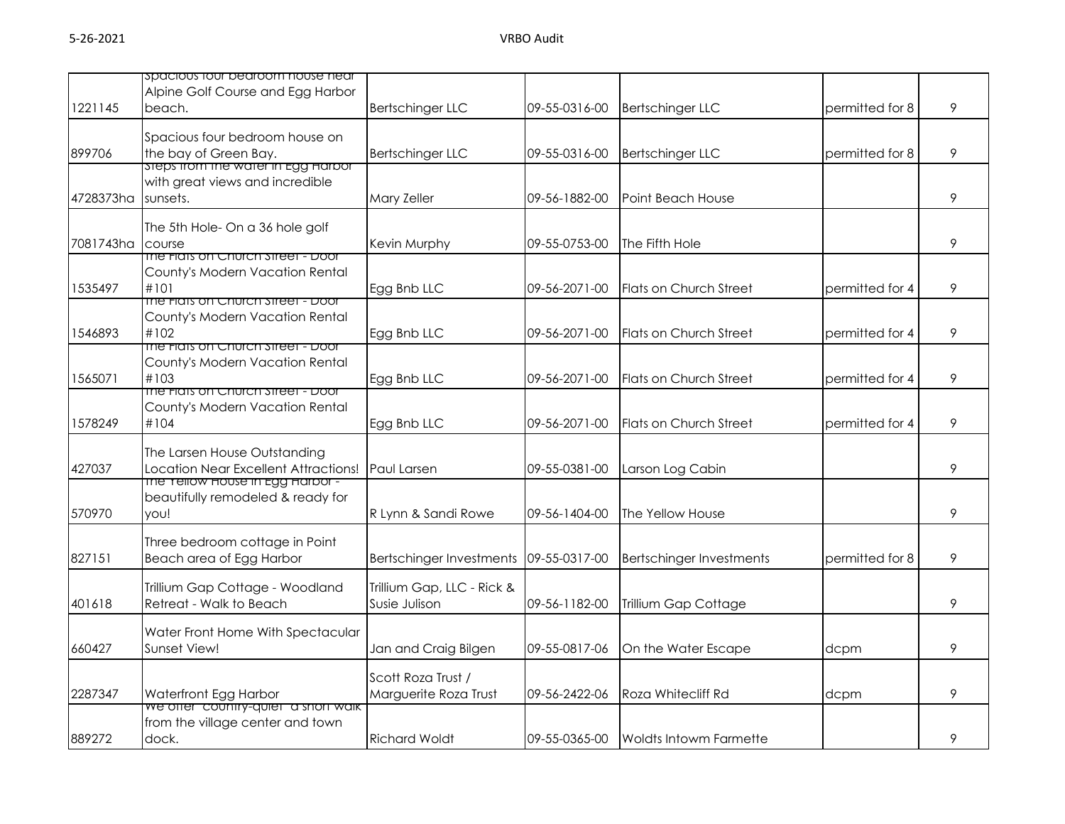|           | spacious tour bearcom nouse near                                     |                                 |               |                                 |                 |   |
|-----------|----------------------------------------------------------------------|---------------------------------|---------------|---------------------------------|-----------------|---|
|           | Alpine Golf Course and Egg Harbor                                    |                                 |               |                                 |                 |   |
| 1221145   | beach.                                                               | <b>Bertschinger LLC</b>         | 09-55-0316-00 | <b>Bertschinger LLC</b>         | permitted for 8 | 9 |
|           | Spacious four bedroom house on                                       |                                 |               |                                 |                 |   |
| 899706    | the bay of Green Bay.                                                | <b>Bertschinger LLC</b>         | 09-55-0316-00 | <b>Bertschinger LLC</b>         | permitted for 8 | 9 |
|           | <u>steps trom the water in Egg Harbor</u>                            |                                 |               |                                 |                 |   |
|           | with great views and incredible                                      |                                 |               |                                 |                 |   |
| 4728373ha | sunsets.                                                             | Mary Zeller                     | 09-56-1882-00 | Point Beach House               |                 | 9 |
|           | The 5th Hole- On a 36 hole golf                                      |                                 |               |                                 |                 |   |
| 7081743ha | course                                                               | Kevin Murphy                    | 09-55-0753-00 | The Fifth Hole                  |                 | 9 |
|           | The Figts on Church Street - Door                                    |                                 |               |                                 |                 |   |
|           | County's Modern Vacation Rental                                      |                                 |               |                                 |                 |   |
| 1535497   | #101<br>The Fiats on Church Street - Door                            | Egg Bnb LLC                     | 09-56-2071-00 | Flats on Church Street          | permitted for 4 | 9 |
|           | County's Modern Vacation Rental                                      |                                 |               |                                 |                 |   |
| 1546893   | #102                                                                 | Egg Bnb LLC                     | 09-56-2071-00 | <b>Flats on Church Street</b>   | permitted for 4 | 9 |
|           | The Flats on Church street - Door                                    |                                 |               |                                 |                 |   |
|           | County's Modern Vacation Rental                                      |                                 |               |                                 |                 |   |
| 1565071   | #103                                                                 | Egg Bnb LLC                     | 09-56-2071-00 | Flats on Church Street          | permitted for 4 | 9 |
|           | The Figts on Church Street - Door<br>County's Modern Vacation Rental |                                 |               |                                 |                 |   |
| 1578249   | #104                                                                 | Egg Bnb LLC                     | 09-56-2071-00 | <b>Flats on Church Street</b>   | permitted for 4 | 9 |
|           |                                                                      |                                 |               |                                 |                 |   |
|           | The Larsen House Outstanding                                         |                                 |               |                                 |                 |   |
| 427037    | Location Near Excellent Attractions!                                 | Paul Larsen                     | 09-55-0381-00 | Larson Log Cabin                |                 | 9 |
|           | The Yellow House in Egg Harbor -                                     |                                 |               |                                 |                 |   |
| 570970    | beautifully remodeled & ready for                                    |                                 | 09-56-1404-00 | The Yellow House                |                 | 9 |
|           | you!                                                                 | R Lynn & Sandi Rowe             |               |                                 |                 |   |
|           | Three bedroom cottage in Point                                       |                                 |               |                                 |                 |   |
| 827151    | Beach area of Egg Harbor                                             | <b>Bertschinger Investments</b> | 09-55-0317-00 | <b>Bertschinger Investments</b> | permitted for 8 | 9 |
|           |                                                                      |                                 |               |                                 |                 |   |
|           | Trillium Gap Cottage - Woodland                                      | Trillium Gap, LLC - Rick &      |               |                                 |                 | 9 |
| 401618    | Retreat - Walk to Beach                                              | Susie Julison                   | 09-56-1182-00 | Trillium Gap Cottage            |                 |   |
|           | Water Front Home With Spectacular                                    |                                 |               |                                 |                 |   |
| 660427    | Sunset View!                                                         | Jan and Craig Bilgen            | 09-55-0817-06 | On the Water Escape             | dcpm            | 9 |
|           |                                                                      |                                 |               |                                 |                 |   |
|           |                                                                      | Scott Roza Trust /              |               |                                 |                 |   |
| 2287347   | Waterfront Egg Harbor<br>we offer country-quiet a short walk         | Marguerite Roza Trust           | 09-56-2422-06 | Roza Whitecliff Rd              | dcpm            | 9 |
|           | from the village center and town                                     |                                 |               |                                 |                 |   |
| 889272    | dock.                                                                | <b>Richard Woldt</b>            | 09-55-0365-00 | Woldts Intowm Farmette          |                 | 9 |
|           |                                                                      |                                 |               |                                 |                 |   |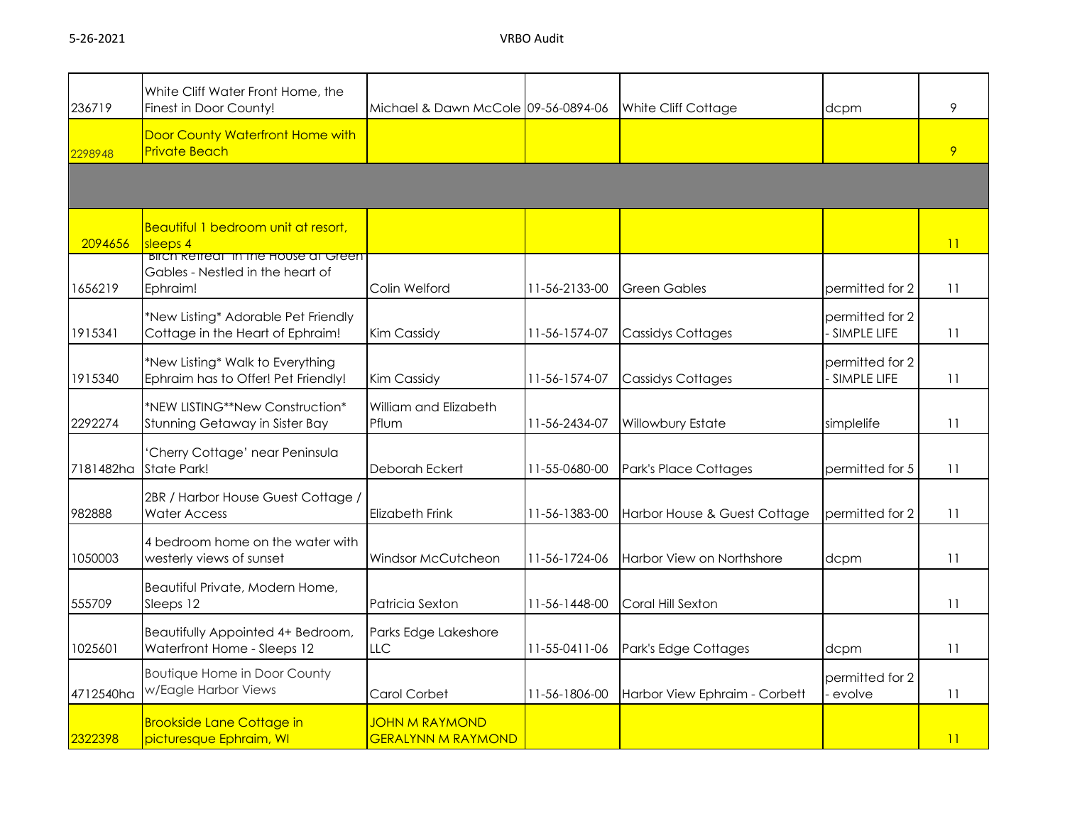| 236719    | White Cliff Water Front Home, the<br>Finest in Door County!                                | Michael & Dawn McCole 09-56-0894-06                |               | White Cliff Cottage           | dcpm                             | 9               |
|-----------|--------------------------------------------------------------------------------------------|----------------------------------------------------|---------------|-------------------------------|----------------------------------|-----------------|
| 2298948   | Door County Waterfront Home with<br><b>Private Beach</b>                                   |                                                    |               |                               |                                  | 9               |
|           |                                                                                            |                                                    |               |                               |                                  |                 |
| 2094656   | Beautiful 1 bedroom unit at resort,<br>sleeps 4                                            |                                                    |               |                               |                                  | 11              |
| 1656219   | <b>BIICH Retreat in the House at Green</b><br>Gables - Nestled in the heart of<br>Ephraim! | Colin Welford                                      | 11-56-2133-00 | <b>Green Gables</b>           | permitted for 2                  | 11              |
| 1915341   | *New Listing* Adorable Pet Friendly<br>Cottage in the Heart of Ephraim!                    | Kim Cassidy                                        | 11-56-1574-07 | <b>Cassidys Cottages</b>      | permitted for 2<br>- SIMPLE LIFE | 11              |
| 1915340   | *New Listing* Walk to Everything<br>Ephraim has to Offer! Pet Friendly!                    | Kim Cassidy                                        | 11-56-1574-07 | <b>Cassidys Cottages</b>      | permitted for 2<br>- SIMPLE LIFE | 11              |
| 2292274   | *NEW LISTING**New Construction*<br>Stunning Getaway in Sister Bay                          | William and Elizabeth<br>Pflum                     | 11-56-2434-07 | Willowbury Estate             | simplelife                       | 11              |
| 7181482ha | 'Cherry Cottage' near Peninsula<br>State Park!                                             | Deborah Eckert                                     | 11-55-0680-00 | Park's Place Cottages         | permitted for 5                  | 11              |
| 982888    | 2BR / Harbor House Guest Cottage /<br><b>Water Access</b>                                  | <b>Elizabeth Frink</b>                             | 11-56-1383-00 | Harbor House & Guest Cottage  | permitted for 2                  | 11              |
| 1050003   | 4 bedroom home on the water with<br>westerly views of sunset                               | Windsor McCutcheon                                 | 11-56-1724-06 | Harbor View on Northshore     | dcpm                             | 11              |
| 555709    | Beautiful Private, Modern Home,<br>Sleeps 12                                               | Patricia Sexton                                    | 11-56-1448-00 | Coral Hill Sexton             |                                  | 11              |
| 1025601   | Beautifully Appointed 4+ Bedroom,<br>Waterfront Home - Sleeps 12                           | Parks Edge Lakeshore<br><b>LLC</b>                 | 11-55-0411-06 | Park's Edge Cottages          | dcpm                             | 11              |
| 4712540ha | <b>Boutique Home in Door County</b><br>w/Eagle Harbor Views                                | Carol Corbet                                       | 11-56-1806-00 | Harbor View Ephraim - Corbett | permitted for 2<br>evolve        | 11              |
| 2322398   | <b>Brookside Lane Cottage in</b><br>picturesque Ephraim, WI                                | <b>JOHN M RAYMOND</b><br><b>GERALYNN M RAYMOND</b> |               |                               |                                  | $\overline{11}$ |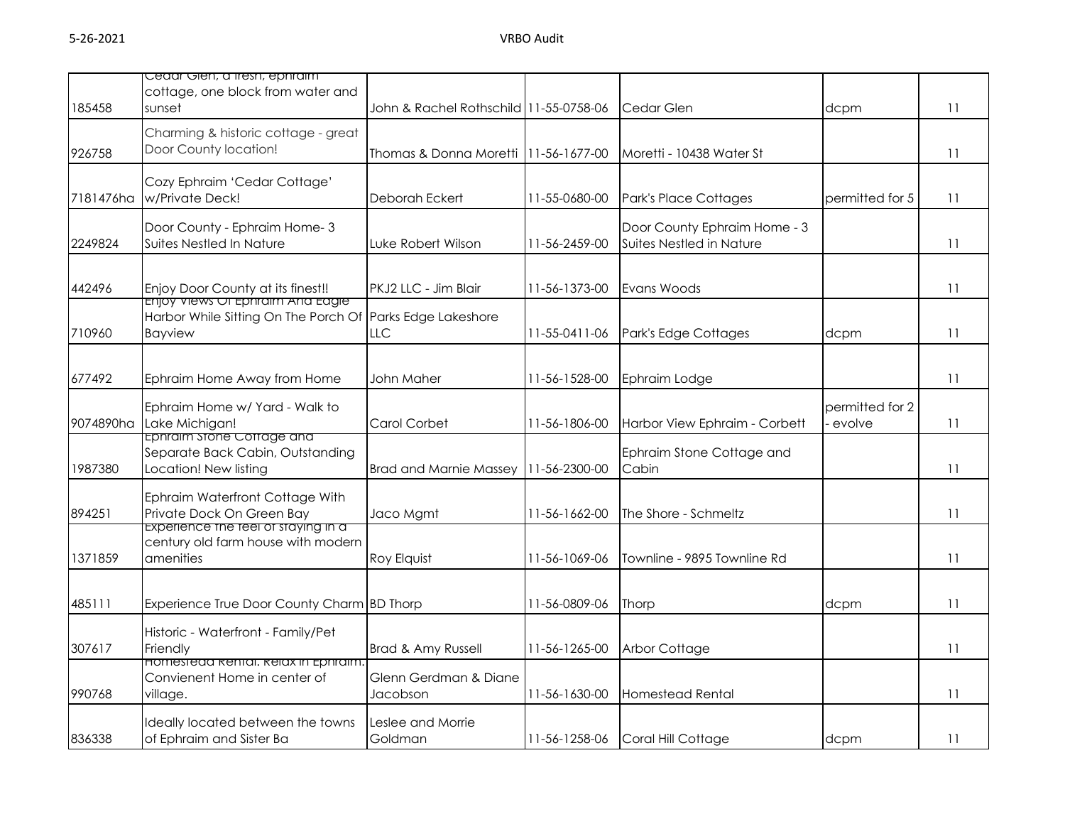|           | Cedar Gien, a tresh, ephraim                                                                        |                                        |               |                                                          |                           |    |
|-----------|-----------------------------------------------------------------------------------------------------|----------------------------------------|---------------|----------------------------------------------------------|---------------------------|----|
| 185458    | cottage, one block from water and<br>sunset                                                         | John & Rachel Rothschild 11-55-0758-06 |               | Cedar Glen                                               | dcpm                      | 11 |
| 926758    | Charming & historic cottage - great<br>Door County location!                                        | Thomas & Donna Moretti 11-56-1677-00   |               | Moretti - 10438 Water St                                 |                           | 11 |
| 7181476ha | Cozy Ephraim 'Cedar Cottage'<br>w/Private Deck!                                                     | Deborah Eckert                         | 11-55-0680-00 | Park's Place Cottages                                    | permitted for 5           | 11 |
| 2249824   | Door County - Ephraim Home-3<br>Suites Nestled In Nature                                            | Luke Robert Wilson                     | 11-56-2459-00 | Door County Ephraim Home - 3<br>Suites Nestled in Nature |                           | 11 |
| 442496    | Enjoy Door County at its finest!!<br><del>enjoy views Or ephraim Ana eagle.</del>                   | PKJ2 LLC - Jim Blair                   | 11-56-1373-00 | Evans Woods                                              |                           | 11 |
| 710960    | Harbor While Sitting On The Porch Of<br><b>Bayview</b>                                              | Parks Edge Lakeshore<br>LLC            | 11-55-0411-06 | Park's Edge Cottages                                     | dcpm                      | 11 |
| 677492    | Ephraim Home Away from Home                                                                         | John Maher                             | 11-56-1528-00 | Ephraim Lodge                                            |                           | 11 |
| 9074890ha | Ephraim Home w/ Yard - Walk to<br>Lake Michigan!                                                    | Carol Corbet                           | 11-56-1806-00 | Harbor View Ephraim - Corbett                            | permitted for 2<br>evolve | 11 |
| 1987380   | <del>ephraim stone Cottage and</del><br>Separate Back Cabin, Outstanding<br>Location! New listing   | <b>Brad and Marnie Massey</b>          | 11-56-2300-00 | Ephraim Stone Cottage and<br>Cabin                       |                           | 11 |
| 894251    | Ephraim Waterfront Cottage With<br>Private Dock On Green Bay<br>Experience the teel of staying in a | Jaco Mgmt                              | 11-56-1662-00 | The Shore - Schmeltz                                     |                           | 11 |
| 1371859   | century old farm house with modern<br>amenities                                                     | Roy Elquist                            | 11-56-1069-06 | Townline - 9895 Townline Rd                              |                           | 11 |
| 485111    | Experience True Door County Charm BD Thorp                                                          |                                        | 11-56-0809-06 | Thorp                                                    | dcpm                      | 11 |
| 307617    | Historic - Waterfront - Family/Pet<br>Friendly                                                      | Brad & Amy Russell                     | 11-56-1265-00 | Arbor Cottage                                            |                           | 11 |
| 990768    | nomesteaa kental, kelax in Ephraim.<br>Convienent Home in center of<br>village.                     | Glenn Gerdman & Diane<br>Jacobson      | 11-56-1630-00 | <b>Homestead Rental</b>                                  |                           | 11 |
| 836338    | Ideally located between the towns<br>of Ephraim and Sister Ba                                       | Leslee and Morrie<br>Goldman           | 11-56-1258-06 | Coral Hill Cottage                                       | dcpm                      | 11 |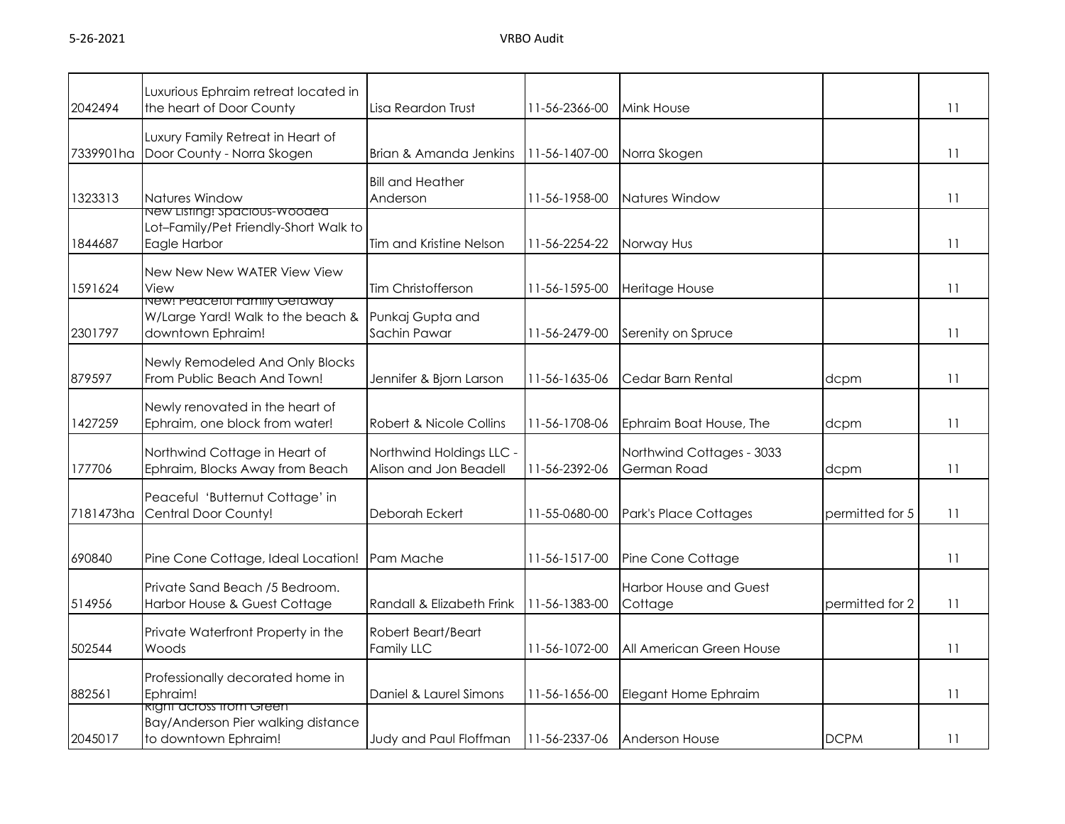| 2042494   | Luxurious Ephraim retreat located in<br>the heart of Door County                               | Lisa Reardon Trust                                 | 11-56-2366-00 | Mink House                               |                 | 11 |
|-----------|------------------------------------------------------------------------------------------------|----------------------------------------------------|---------------|------------------------------------------|-----------------|----|
|           | Luxury Family Retreat in Heart of<br>7339901ha Door County - Norra Skogen                      | Brian & Amanda Jenkins                             | 11-56-1407-00 | Norra Skogen                             |                 | 11 |
| 1323313   | Natures Window                                                                                 | <b>Bill and Heather</b><br>Anderson                | 11-56-1958-00 | Natures Window                           |                 | 11 |
| 1844687   | <u>New Listing: Spacious-Wooded</u><br>Lot-Family/Pet Friendly-Short Walk to<br>Eagle Harbor   | Tim and Kristine Nelson                            | 11-56-2254-22 | Norway Hus                               |                 | 11 |
| 1591624   | New New New WATER View View<br>View                                                            | Tim Christofferson                                 | 11-56-1595-00 | Heritage House                           |                 | 11 |
| 2301797   | <u>ivew: reaceful Family Getaway</u><br>W/Large Yard! Walk to the beach &<br>downtown Ephraim! | Punkaj Gupta and<br>Sachin Pawar                   | 11-56-2479-00 | Serenity on Spruce                       |                 | 11 |
| 879597    | Newly Remodeled And Only Blocks<br>From Public Beach And Town!                                 | Jennifer & Bjorn Larson                            | 11-56-1635-06 | Cedar Barn Rental                        | dcpm            | 11 |
| 1427259   | Newly renovated in the heart of<br>Ephraim, one block from water!                              | Robert & Nicole Collins                            | 11-56-1708-06 | Ephraim Boat House, The                  | dcpm            | 11 |
| 177706    | Northwind Cottage in Heart of<br>Ephraim, Blocks Away from Beach                               | Northwind Holdings LLC -<br>Alison and Jon Beadell | 11-56-2392-06 | Northwind Cottages - 3033<br>German Road | dcpm            | 11 |
| 7181473ha | Peaceful 'Butternut Cottage' in<br>Central Door County!                                        | Deborah Eckert                                     | 11-55-0680-00 | Park's Place Cottages                    | permitted for 5 | 11 |
| 690840    | Pine Cone Cottage, Ideal Location!                                                             | Pam Mache                                          | 11-56-1517-00 | Pine Cone Cottage                        |                 | 11 |
| 514956    | Private Sand Beach /5 Bedroom.<br>Harbor House & Guest Cottage                                 | Randall & Elizabeth Frink                          | 11-56-1383-00 | <b>Harbor House and Guest</b><br>Cottage | permitted for 2 | 11 |
| 502544    | Private Waterfront Property in the<br>Woods                                                    | Robert Beart/Beart<br>Family LLC                   | 11-56-1072-00 | All American Green House                 |                 | 11 |
| 882561    | Professionally decorated home in<br>Ephraim!                                                   | Daniel & Laurel Simons                             | 11-56-1656-00 | Elegant Home Ephraim                     |                 | 11 |
| 2045017   | <u>right across from Green</u><br>Bay/Anderson Pier walking distance<br>to downtown Ephraim!   | Judy and Paul Floffman                             | 11-56-2337-06 | <b>Anderson House</b>                    | <b>DCPM</b>     | 11 |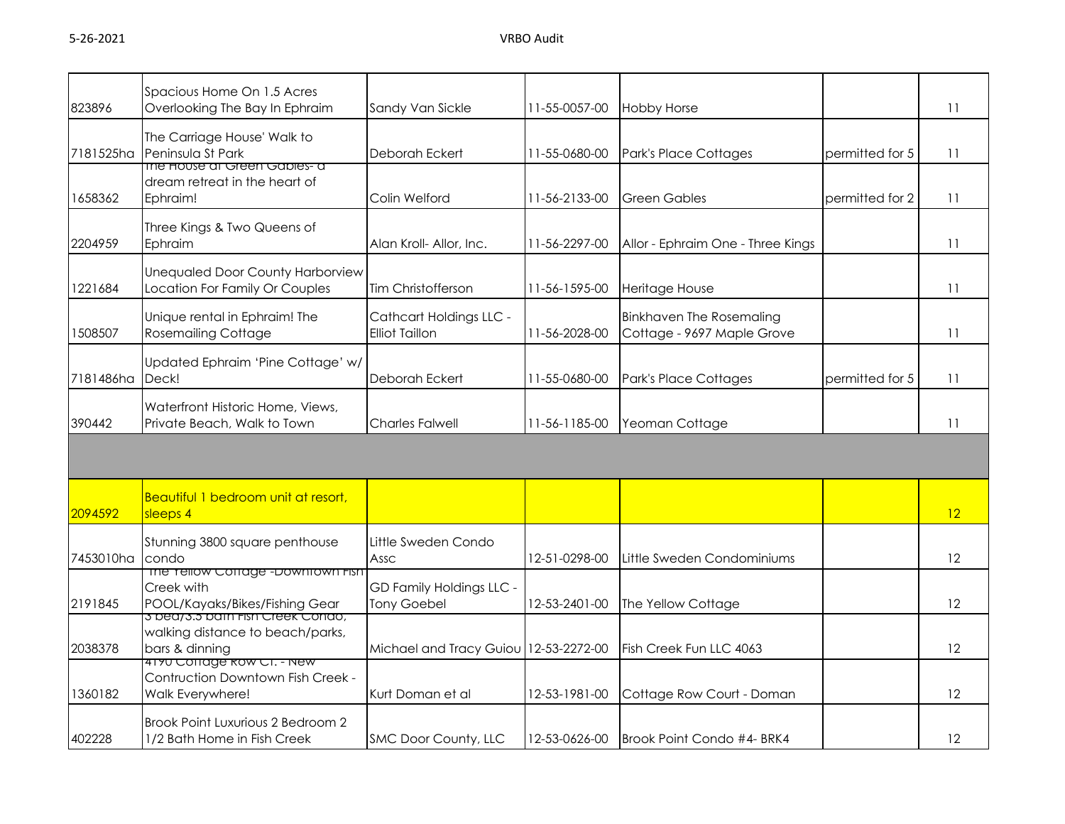| 823896    | Spacious Home On 1.5 Acres<br>Overlooking The Bay In Ephraim                                     | Sandy Van Sickle                                 | 11-55-0057-00 | <b>Hobby Horse</b>                                            |                 | 11                |
|-----------|--------------------------------------------------------------------------------------------------|--------------------------------------------------|---------------|---------------------------------------------------------------|-----------------|-------------------|
| 7181525ha | The Carriage House' Walk to<br>Peninsula St Park                                                 | Deborah Eckert                                   | 11-55-0680-00 | Park's Place Cottages                                         | permitted for 5 | 11                |
| 1658362   | <del>me house ar Green Gables- a</del><br>dream retreat in the heart of<br>Ephraim!              | Colin Welford                                    | 11-56-2133-00 | <b>Green Gables</b>                                           | permitted for 2 | 11                |
| 2204959   | Three Kings & Two Queens of<br>Ephraim                                                           | Alan Kroll- Allor, Inc.                          | 11-56-2297-00 | Allor - Ephraim One - Three Kings                             |                 | 11                |
| 1221684   | <b>Unequaled Door County Harborview</b><br>Location For Family Or Couples                        | Tim Christofferson                               | 11-56-1595-00 | Heritage House                                                |                 | 11                |
| 1508507   | Unique rental in Ephraim! The<br><b>Rosemailing Cottage</b>                                      | Cathcart Holdings LLC -<br><b>Elliot Taillon</b> | 11-56-2028-00 | <b>Binkhaven The Rosemaling</b><br>Cottage - 9697 Maple Grove |                 | 11                |
| 7181486ha | Updated Ephraim 'Pine Cottage' w/<br>Deck!                                                       | Deborah Eckert                                   | 11-55-0680-00 | Park's Place Cottages                                         | permitted for 5 | 11                |
| 390442    | Waterfront Historic Home, Views,<br>Private Beach, Walk to Town                                  | <b>Charles Falwell</b>                           | 11-56-1185-00 | Yeoman Cottage                                                |                 | 11                |
|           |                                                                                                  |                                                  |               |                                                               |                 |                   |
| 2094592   | Beautiful 1 bedroom unit at resort,<br>sleeps 4                                                  |                                                  |               |                                                               |                 | 12                |
| 7453010ha | Stunning 3800 square penthouse<br>condo                                                          | Little Sweden Condo<br>Assc                      | 12-51-0298-00 | Little Sweden Condominiums                                    |                 | 12                |
| 2191845   | The Tellow Cottage -Downtown Fish<br>Creek with<br>POOL/Kayaks/Bikes/Fishing Gear                | GD Family Holdings LLC -<br><b>Tony Goebel</b>   | 12-53-2401-00 | The Yellow Cottage                                            |                 | 12                |
| 2038378   | <del>s bea7s.s´pam risn Creek Conao,</del><br>walking distance to beach/parks,<br>bars & dinning | Michael and Tracy Guiou 12-53-2272-00            |               | Fish Creek Fun LLC 4063                                       |                 | 12                |
| 1360182   | <u>4170 Coffage Row CT. - New</u><br>Contruction Downtown Fish Creek -<br>Walk Everywhere!       | Kurt Doman et al                                 | 12-53-1981-00 | Cottage Row Court - Doman                                     |                 | 12                |
| 402228    | Brook Point Luxurious 2 Bedroom 2<br>1/2 Bath Home in Fish Creek                                 | SMC Door County, LLC                             | 12-53-0626-00 | Brook Point Condo #4- BRK4                                    |                 | $12 \overline{ }$ |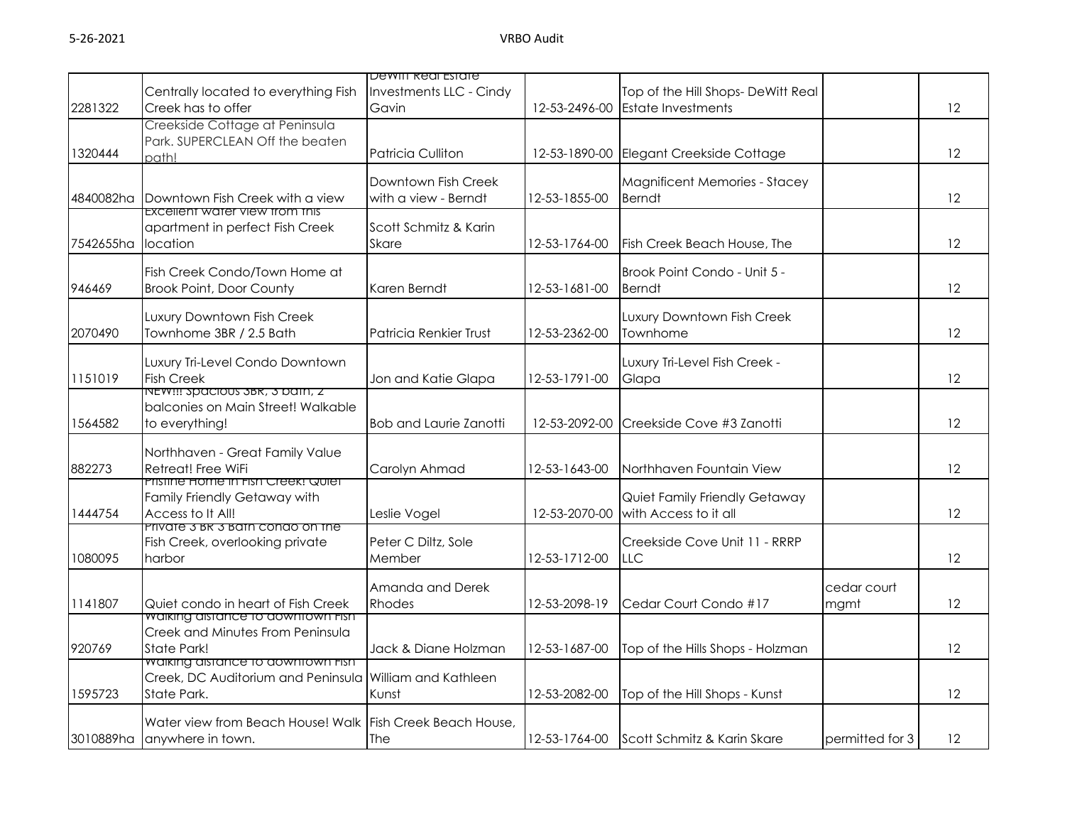|           |                                                           | Dewiff Real Estate      |               |                                      |                 |    |
|-----------|-----------------------------------------------------------|-------------------------|---------------|--------------------------------------|-----------------|----|
|           | Centrally located to everything Fish                      | Investments LLC - Cindy |               | Top of the Hill Shops- DeWitt Real   |                 |    |
| 2281322   | Creek has to offer                                        | Gavin                   | 12-53-2496-00 | <b>Estate Investments</b>            |                 | 12 |
|           | Creekside Cottage at Peninsula                            |                         |               |                                      |                 |    |
|           | Park. SUPERCLEAN Off the beaten                           |                         |               |                                      |                 |    |
| 1320444   |                                                           | Patricia Culliton       | 12-53-1890-00 | Elegant Creekside Cottage            |                 | 12 |
|           | nath!                                                     |                         |               |                                      |                 |    |
|           |                                                           | Downtown Fish Creek     |               | <b>Magnificent Memories - Stacey</b> |                 |    |
| 4840082ha | Downtown Fish Creek with a view                           | with a view - Berndt    | 12-53-1855-00 | <b>Berndt</b>                        |                 | 12 |
|           | Excellent water view from this                            |                         |               |                                      |                 |    |
|           | apartment in perfect Fish Creek                           | Scott Schmitz & Karin   |               |                                      |                 |    |
| 7542655ha | location                                                  | Skare                   | 12-53-1764-00 | Fish Creek Beach House, The          |                 | 12 |
|           |                                                           |                         |               |                                      |                 |    |
|           | Fish Creek Condo/Town Home at                             |                         |               | Brook Point Condo - Unit 5 -         |                 |    |
|           |                                                           |                         |               |                                      |                 |    |
| 946469    | <b>Brook Point, Door County</b>                           | Karen Berndt            | 12-53-1681-00 | <b>Berndt</b>                        |                 | 12 |
|           | Luxury Downtown Fish Creek                                |                         |               | Luxury Downtown Fish Creek           |                 |    |
|           |                                                           |                         |               |                                      |                 |    |
| 2070490   | Townhome 3BR / 2.5 Bath                                   | Patricia Renkier Trust  | 12-53-2362-00 | Townhome                             |                 | 12 |
|           |                                                           |                         |               |                                      |                 |    |
|           | Luxury Tri-Level Condo Downtown                           |                         |               | Luxury Tri-Level Fish Creek -        |                 |    |
| 1151019   | <b>Fish Creek</b>                                         | Jon and Katie Glapa     | 12-53-1791-00 | Glapa                                |                 | 12 |
|           | NEW!!! Spacious 3BR, 3 bain, 2                            |                         |               |                                      |                 |    |
|           | balconies on Main Street! Walkable                        |                         |               |                                      |                 |    |
| 1564582   | to everything!                                            | Bob and Laurie Zanotti  | 12-53-2092-00 | Creekside Cove #3 Zanotti            |                 | 12 |
|           |                                                           |                         |               |                                      |                 |    |
|           | Northhaven - Great Family Value                           |                         |               |                                      |                 |    |
| 882273    | Retreat! Free WiFi                                        | Carolyn Ahmad           | 12-53-1643-00 | Northhaven Fountain View             |                 | 12 |
|           | Pristine Home in Fish Creek! Quiet                        |                         |               |                                      |                 |    |
|           | Family Friendly Getaway with                              |                         |               | Quiet Family Friendly Getaway        |                 |    |
| 1444754   | Access to It All!                                         | Leslie Vogel            | 12-53-2070-00 | with Access to it all                |                 | 12 |
|           | Private 3 BR 3 Bath condo on the                          |                         |               |                                      |                 |    |
|           | Fish Creek, overlooking private                           | Peter C Diltz, Sole     |               | Creekside Cove Unit 11 - RRRP        |                 |    |
| 1080095   | harbor                                                    | Member                  | 12-53-1712-00 | <b>LLC</b>                           |                 | 12 |
|           |                                                           |                         |               |                                      |                 |    |
|           |                                                           | Amanda and Derek        |               |                                      | cedar court     |    |
| 1141807   | Quiet condo in heart of Fish Creek                        | Rhodes                  | 12-53-2098-19 | Cedar Court Condo #17                | mgmt            | 12 |
|           | <b>waiking aistance to aowntown Fish</b>                  |                         |               |                                      |                 |    |
|           | Creek and Minutes From Peninsula                          |                         |               |                                      |                 |    |
| 920769    | <b>State Park!</b>                                        | Jack & Diane Holzman    | 12-53-1687-00 | Top of the Hills Shops - Holzman     |                 | 12 |
|           | waiking aistance to aowntown Fish                         |                         |               |                                      |                 |    |
|           | Creek, DC Auditorium and Peninsula William and Kathleen   |                         |               |                                      |                 |    |
| 1595723   | State Park.                                               | Kunst                   | 12-53-2082-00 | Top of the Hill Shops - Kunst        |                 | 12 |
|           |                                                           |                         |               |                                      |                 |    |
|           | Water view from Beach House! Walk Fish Creek Beach House, |                         |               |                                      |                 |    |
| 3010889ha | anywhere in town.                                         | The                     | 12-53-1764-00 | Scott Schmitz & Karin Skare          | permitted for 3 | 12 |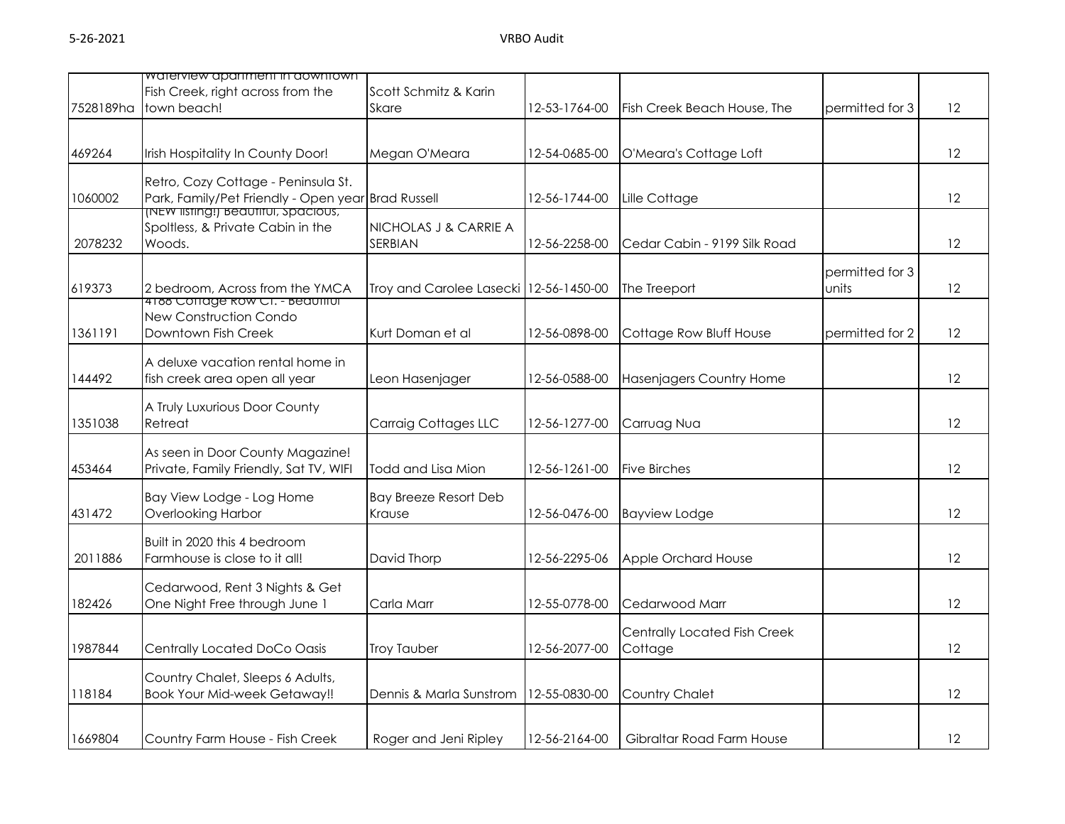|           | waterview apartment in aowntown                                                           |                                        |               |                              |                 |    |
|-----------|-------------------------------------------------------------------------------------------|----------------------------------------|---------------|------------------------------|-----------------|----|
|           | Fish Creek, right across from the                                                         | Scott Schmitz & Karin                  |               |                              |                 |    |
| 7528189ha | town beach!                                                                               | <b>Skare</b>                           | 12-53-1764-00 | Fish Creek Beach House, The  | permitted for 3 | 12 |
|           |                                                                                           |                                        |               |                              |                 |    |
|           |                                                                                           |                                        |               |                              |                 |    |
| 469264    | Irish Hospitality In County Door!                                                         | Megan O'Meara                          | 12-54-0685-00 | O'Meara's Cottage Loft       |                 | 12 |
|           |                                                                                           |                                        |               |                              |                 |    |
|           | Retro, Cozy Cottage - Peninsula St.<br>Park, Family/Pet Friendly - Open year Brad Russell |                                        |               |                              |                 |    |
| 1060002   | INEW IISTING!) Beautiful, spacious,                                                       |                                        | 12-56-1744-00 | Lille Cottage                |                 | 12 |
|           | Spoltless, & Private Cabin in the                                                         | NICHOLAS J & CARRIE A                  |               |                              |                 |    |
| 2078232   | Woods.                                                                                    | SERBIAN                                | 12-56-2258-00 | Cedar Cabin - 9199 Silk Road |                 | 12 |
|           |                                                                                           |                                        |               |                              |                 |    |
|           |                                                                                           |                                        |               |                              | permitted for 3 |    |
| 619373    | 2 bedroom, Across from the YMCA                                                           | Troy and Carolee Lasecki 12-56-1450-00 |               | The Treeport                 | units           | 12 |
|           | 4188 Conage Row CT. - Beautiful                                                           |                                        |               |                              |                 |    |
|           | New Construction Condo                                                                    |                                        |               |                              |                 |    |
| 1361191   | Downtown Fish Creek                                                                       | Kurt Doman et al                       | 12-56-0898-00 | Cottage Row Bluff House      | permitted for 2 | 12 |
|           |                                                                                           |                                        |               |                              |                 |    |
|           | A deluxe vacation rental home in                                                          |                                        |               |                              |                 |    |
| 144492    | fish creek area open all year                                                             | Leon Hasenjager                        | 12-56-0588-00 | Hasenjagers Country Home     |                 | 12 |
|           | A Truly Luxurious Door County                                                             |                                        |               |                              |                 |    |
|           | Retreat                                                                                   | Carraig Cottages LLC                   |               |                              |                 | 12 |
| 1351038   |                                                                                           |                                        | 12-56-1277-00 | Carruag Nua                  |                 |    |
|           | As seen in Door County Magazine!                                                          |                                        |               |                              |                 |    |
| 453464    | Private, Family Friendly, Sat TV, WIFI                                                    | Todd and Lisa Mion                     | 12-56-1261-00 | Five Birches                 |                 | 12 |
|           |                                                                                           |                                        |               |                              |                 |    |
|           | Bay View Lodge - Log Home                                                                 | <b>Bay Breeze Resort Deb</b>           |               |                              |                 |    |
| 431472    | <b>Overlooking Harbor</b>                                                                 | Krause                                 | 12-56-0476-00 | <b>Bayview Lodge</b>         |                 | 12 |
|           |                                                                                           |                                        |               |                              |                 |    |
|           | Built in 2020 this 4 bedroom                                                              |                                        |               |                              |                 |    |
| 2011886   | Farmhouse is close to it all!                                                             | David Thorp                            | 12-56-2295-06 | Apple Orchard House          |                 | 12 |
|           |                                                                                           |                                        |               |                              |                 |    |
|           | Cedarwood, Rent 3 Nights & Get                                                            |                                        |               |                              |                 |    |
| 182426    | One Night Free through June 1                                                             | Carla Marr                             | 12-55-0778-00 | Cedarwood Marr               |                 | 12 |
|           |                                                                                           |                                        |               | Centrally Located Fish Creek |                 |    |
| 1987844   |                                                                                           | <b>Troy Tauber</b>                     | 12-56-2077-00 |                              |                 | 12 |
|           | Centrally Located DoCo Oasis                                                              |                                        |               | Cottage                      |                 |    |
|           | Country Chalet, Sleeps 6 Adults,                                                          |                                        |               |                              |                 |    |
| 118184    | <b>Book Your Mid-week Getaway!!</b>                                                       | Dennis & Marla Sunstrom                | 12-55-0830-00 | Country Chalet               |                 | 12 |
|           |                                                                                           |                                        |               |                              |                 |    |
|           |                                                                                           |                                        |               |                              |                 |    |
| 1669804   | Country Farm House - Fish Creek                                                           | Roger and Jeni Ripley                  | 12-56-2164-00 | Gibraltar Road Farm House    |                 | 12 |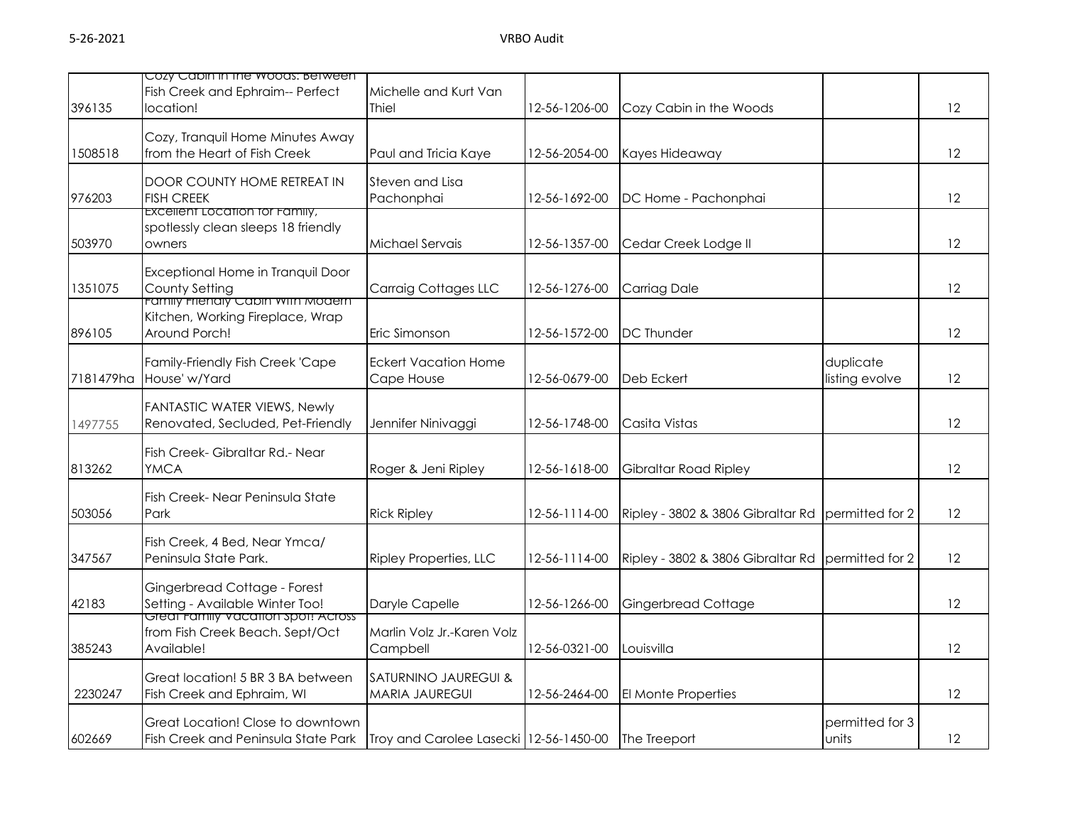|           | Cozy Capin in the woods: between                                                                    |                                                          |               |                                   |                             |    |
|-----------|-----------------------------------------------------------------------------------------------------|----------------------------------------------------------|---------------|-----------------------------------|-----------------------------|----|
| 396135    | Fish Creek and Ephraim-- Perfect<br>location!                                                       | Michelle and Kurt Van<br>Thiel                           | 12-56-1206-00 | Cozy Cabin in the Woods           |                             | 12 |
| 1508518   | Cozy, Tranquil Home Minutes Away<br>from the Heart of Fish Creek                                    | Paul and Tricia Kaye                                     | 12-56-2054-00 | Kayes Hideaway                    |                             | 12 |
| 976203    | DOOR COUNTY HOME RETREAT IN<br><b>FISH CREEK</b>                                                    | Steven and Lisa<br>Pachonphai                            | 12-56-1692-00 | DC Home - Pachonphai              |                             | 12 |
| 503970    | <b>EXCEIIENT LOCATION TOT FAMILY,</b><br>spotlessly clean sleeps 18 friendly<br>owners              | Michael Servais                                          | 12-56-1357-00 | Cedar Creek Lodge II              |                             | 12 |
| 1351075   | Exceptional Home in Tranquil Door<br>County Setting<br><del>ramliy rilenaly Cabin with Modern</del> | <b>Carraig Cottages LLC</b>                              | 12-56-1276-00 | Carriag Dale                      |                             | 12 |
| 896105    | Kitchen, Working Fireplace, Wrap<br>Around Porch!                                                   | Eric Simonson                                            | 12-56-1572-00 | <b>DC Thunder</b>                 |                             | 12 |
| 7181479ha | Family-Friendly Fish Creek 'Cape<br>House' w/Yard                                                   | Eckert Vacation Home<br>Cape House                       | 12-56-0679-00 | Deb Eckert                        | duplicate<br>listing evolve | 12 |
| 1497755   | <b>FANTASTIC WATER VIEWS, Newly</b><br>Renovated, Secluded, Pet-Friendly                            | Jennifer Ninivaggi                                       | 12-56-1748-00 | Casita Vistas                     |                             | 12 |
| 813262    | Fish Creek- Gibraltar Rd.- Near<br><b>YMCA</b>                                                      | Roger & Jeni Ripley                                      | 12-56-1618-00 | Gibraltar Road Ripley             |                             | 12 |
| 503056    | Fish Creek- Near Peninsula State<br>Park                                                            | <b>Rick Ripley</b>                                       | 12-56-1114-00 | Ripley - 3802 & 3806 Gibraltar Rd | permitted for 2             | 12 |
| 347567    | Fish Creek, 4 Bed, Near Ymca/<br>Peninsula State Park.                                              | <b>Ripley Properties, LLC</b>                            | 12-56-1114-00 | Ripley - 3802 & 3806 Gibraltar Rd | permitted for 2             | 12 |
| 42183     | Gingerbread Cottage - Forest<br>Setting - Available Winter Too!                                     | Daryle Capelle                                           | 12-56-1266-00 | <b>Gingerbread Cottage</b>        |                             | 12 |
| 385243    | <u>Great Family vacation spot! Across </u><br>from Fish Creek Beach. Sept/Oct<br>Available!         | Marlin Volz Jr.-Karen Volz<br>Campbell                   | 12-56-0321-00 | Louisvilla                        |                             | 12 |
| 2230247   | Great location! 5 BR 3 BA between<br>Fish Creek and Ephraim, WI                                     | <b>SATURNINO JAUREGUI &amp;</b><br><b>MARIA JAUREGUI</b> | 12-56-2464-00 | El Monte Properties               |                             | 12 |
| 602669    | Great Location! Close to downtown<br>Fish Creek and Peninsula State Park                            | Troy and Carolee Lasecki 12-56-1450-00 The Treeport      |               |                                   | permitted for 3<br>units    | 12 |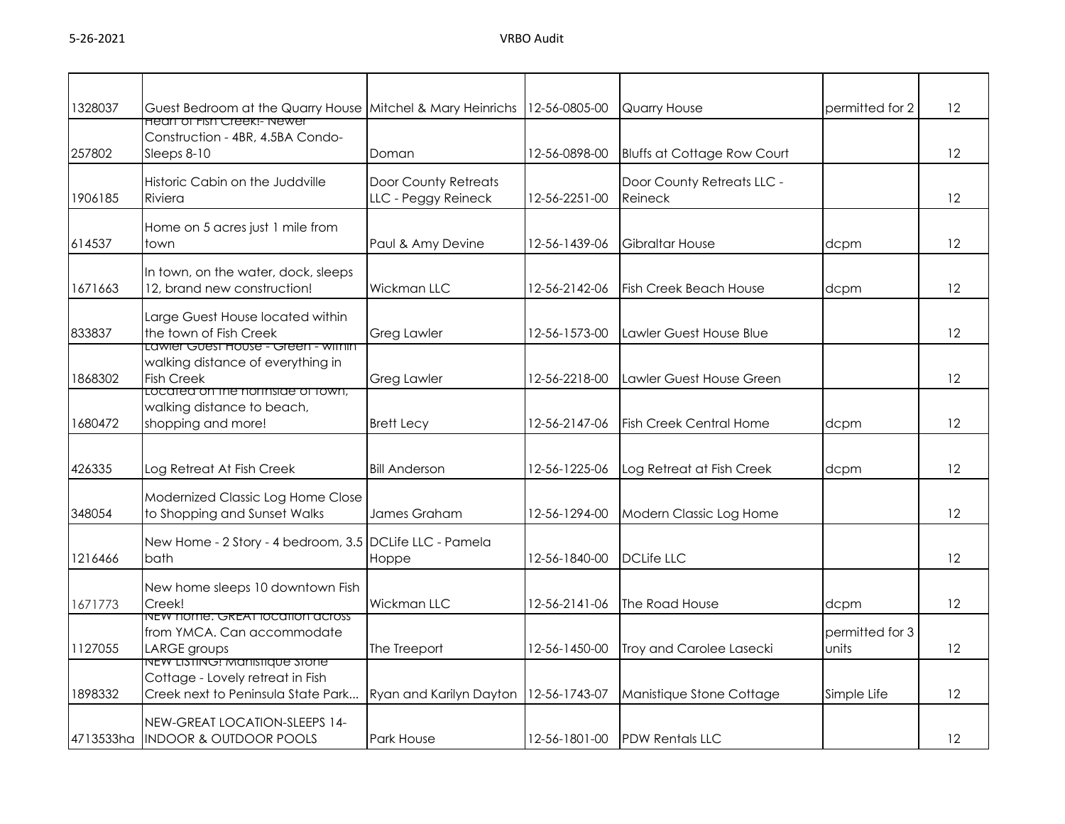| 1328037   | Guest Bedroom at the Quarry House Mitchel & Mary Heinrichs 12-56-0805-00                                |                                             |               | Quarry House                          | permitted for 2          | 12 |
|-----------|---------------------------------------------------------------------------------------------------------|---------------------------------------------|---------------|---------------------------------------|--------------------------|----|
| 257802    | <u>Heart of Fish Creek!- Newer</u><br>Construction - 4BR, 4.5BA Condo-<br>Sleeps 8-10                   | Doman                                       | 12-56-0898-00 | <b>Bluffs at Cottage Row Court</b>    |                          | 12 |
| 1906185   | Historic Cabin on the Juddville<br>Riviera                                                              | Door County Retreats<br>LLC - Peggy Reineck | 12-56-2251-00 | Door County Retreats LLC -<br>Reineck |                          | 12 |
| 614537    | Home on 5 acres just 1 mile from<br>town                                                                | Paul & Amy Devine                           | 12-56-1439-06 | Gibraltar House                       | dcpm                     | 12 |
| 1671663   | In town, on the water, dock, sleeps<br>12, brand new construction!                                      | Wickman LLC                                 | 12-56-2142-06 | <b>Fish Creek Beach House</b>         | dcpm                     | 12 |
| 833837    | Large Guest House located within<br>the town of Fish Creek                                              | <b>Greg Lawler</b>                          | 12-56-1573-00 | Lawler Guest House Blue               |                          | 12 |
| 1868302   | <u> Lawier Guest House - Green - within</u><br>walking distance of everything in<br><b>Fish Creek</b>   | <b>Greg Lawler</b>                          | 12-56-2218-00 | Lawler Guest House Green              |                          | 12 |
| 1680472   | Located on the northside of town,<br>walking distance to beach,<br>shopping and more!                   | <b>Brett Lecy</b>                           | 12-56-2147-06 | <b>Fish Creek Central Home</b>        | dcpm                     | 12 |
| 426335    | Log Retreat At Fish Creek                                                                               | <b>Bill Anderson</b>                        | 12-56-1225-06 | Log Retreat at Fish Creek             | dcpm                     | 12 |
| 348054    | Modernized Classic Log Home Close<br>to Shopping and Sunset Walks                                       | James Graham                                | 12-56-1294-00 | Modern Classic Log Home               |                          | 12 |
| 1216466   | New Home - 2 Story - 4 bedroom, 3.5 DCLife LLC - Pamela<br><b>bath</b>                                  | Hoppe                                       | 12-56-1840-00 | <b>DCLife LLC</b>                     |                          | 12 |
| 1671773   | New home sleeps 10 downtown Fish<br>Creek!                                                              | Wickman LLC                                 | 12-56-2141-06 | The Road House                        | dcpm                     | 12 |
| 1127055   | NEW NOME. GREAT JOCATION ACTOSS<br>from YMCA. Can accommodate<br>LARGE groups                           | The Treeport                                | 12-56-1450-00 | Troy and Carolee Lasecki              | permitted for 3<br>units | 12 |
| 1898332   | NEW LISTING: Manistique stone<br>Cottage - Lovely retreat in Fish<br>Creek next to Peninsula State Park | Ryan and Karilyn Dayton   12-56-1743-07     |               | Manistique Stone Cottage              | Simple Life              | 12 |
| 4713533ha | NEW-GREAT LOCATION-SLEEPS 14-<br><b>INDOOR &amp; OUTDOOR POOLS</b>                                      | <b>Park House</b>                           |               | 12-56-1801-00 <b>IPDW Rentals LLC</b> |                          | 12 |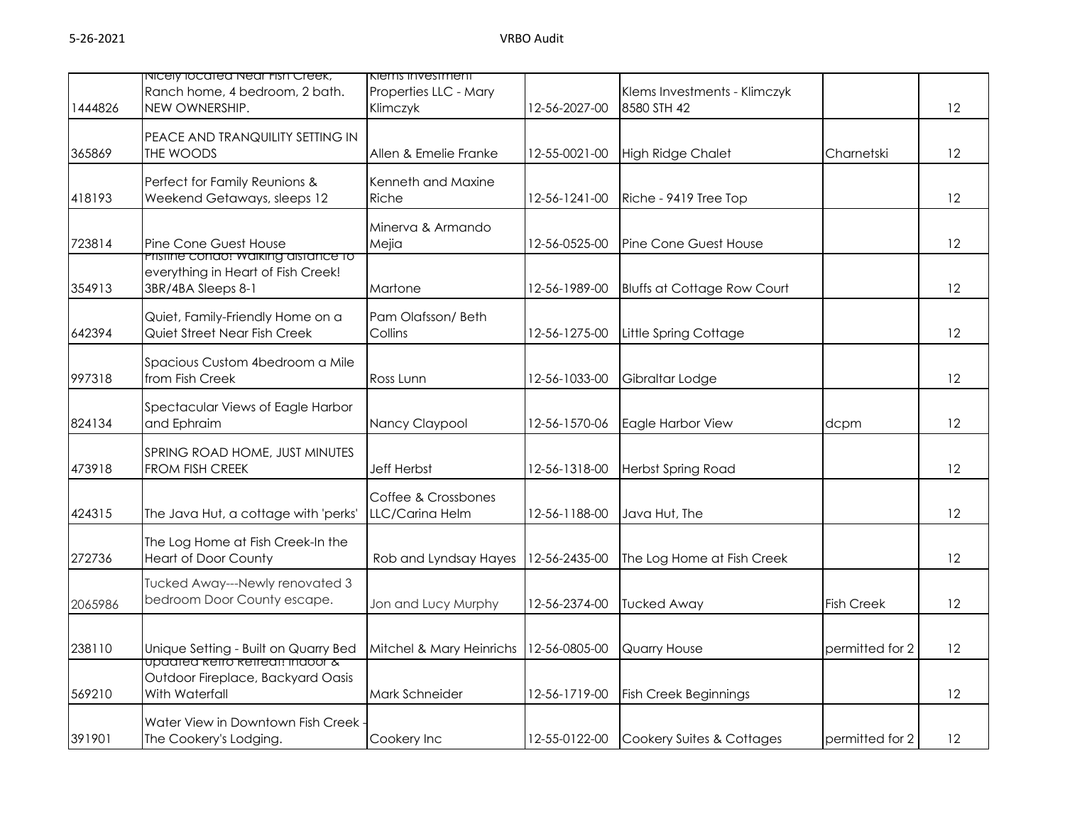| 1444826 | INICEIY IOCATEA NEAL FISH Creek,<br>Ranch home, 4 bedroom, 2 bath.<br>NEW OWNERSHIP.   | Kiems investment<br>Properties LLC - Mary<br>Klimczyk | 12-56-2027-00 | Klems Investments - Klimczyk<br>8580 STH 42 |                   | 12 |
|---------|----------------------------------------------------------------------------------------|-------------------------------------------------------|---------------|---------------------------------------------|-------------------|----|
| 365869  | PEACE AND TRANQUILITY SETTING IN<br>THE WOODS                                          | Allen & Emelie Franke                                 | 12-55-0021-00 | <b>High Ridge Chalet</b>                    | Charnetski        | 12 |
| 418193  | Perfect for Family Reunions &<br>Weekend Getaways, sleeps 12                           | Kenneth and Maxine<br>Riche                           | 12-56-1241-00 | Riche - 9419 Tree Top                       |                   | 12 |
| 723814  | Pine Cone Guest House<br>Pristine condo: waiking aistance to                           | Minerva & Armando<br>Mejia                            | 12-56-0525-00 | Pine Cone Guest House                       |                   | 12 |
| 354913  | everything in Heart of Fish Creek!<br>3BR/4BA Sleeps 8-1                               | Martone                                               | 12-56-1989-00 | <b>Bluffs at Cottage Row Court</b>          |                   | 12 |
| 642394  | Quiet, Family-Friendly Home on a<br>Quiet Street Near Fish Creek                       | Pam Olafsson/Beth<br>Collins                          | 12-56-1275-00 | Little Spring Cottage                       |                   | 12 |
| 997318  | Spacious Custom 4bedroom a Mile<br>from Fish Creek                                     | Ross Lunn                                             | 12-56-1033-00 | Gibraltar Lodge                             |                   | 12 |
| 824134  | Spectacular Views of Eagle Harbor<br>and Ephraim                                       | Nancy Claypool                                        | 12-56-1570-06 | Eagle Harbor View                           | dcpm              | 12 |
| 473918  | SPRING ROAD HOME, JUST MINUTES<br>FROM FISH CREEK                                      | <b>Jeff Herbst</b>                                    | 12-56-1318-00 | Herbst Spring Road                          |                   | 12 |
| 424315  | The Java Hut, a cottage with 'perks'                                                   | Coffee & Crossbones<br>LLC/Carina Helm                | 12-56-1188-00 | Java Hut, The                               |                   | 12 |
| 272736  | The Log Home at Fish Creek-In the<br><b>Heart of Door County</b>                       | Rob and Lyndsay Hayes                                 | 12-56-2435-00 | The Log Home at Fish Creek                  |                   | 12 |
| 2065986 | Tucked Away---Newly renovated 3<br>bedroom Door County escape.                         | Jon and Lucy Murphy                                   | 12-56-2374-00 | <b>Tucked Away</b>                          | <b>Fish Creek</b> | 12 |
| 238110  | Unique Setting - Built on Quarry Bed                                                   | Mitchel & Mary Heinrichs                              | 12-56-0805-00 | Quarry House                                | permitted for 2   | 12 |
| 569210  | upaatea ketro ketreat: inaoor &<br>Outdoor Fireplace, Backyard Oasis<br>With Waterfall | Mark Schneider                                        | 12-56-1719-00 | Fish Creek Beginnings                       |                   | 12 |
| 391901  | Water View in Downtown Fish Creek<br>The Cookery's Lodging.                            | Cookery Inc                                           | 12-55-0122-00 | Cookery Suites & Cottages                   | permitted for 2   | 12 |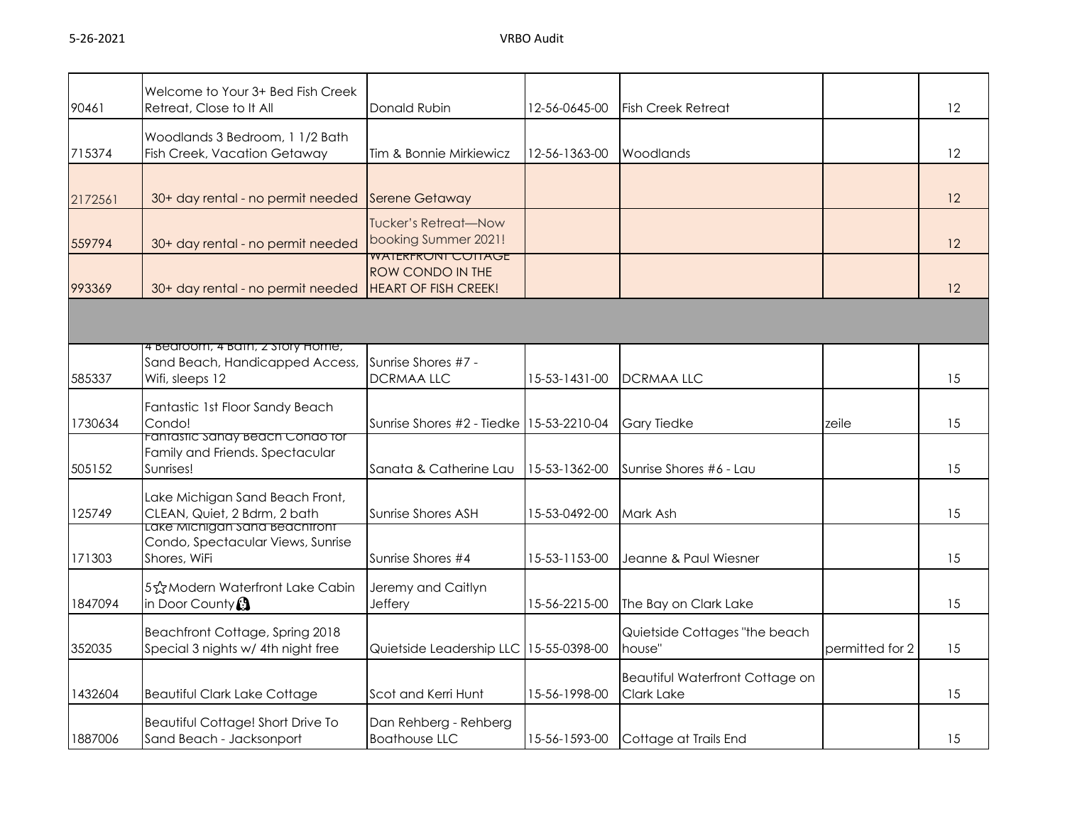| 90461   | Welcome to Your 3+ Bed Fish Creek<br>Retreat, Close to It All                          | Donald Rubin                                                                 | 12-56-0645-00 | <b>Fish Creek Retreat</b>                            |                 | 12 |
|---------|----------------------------------------------------------------------------------------|------------------------------------------------------------------------------|---------------|------------------------------------------------------|-----------------|----|
| 715374  | Woodlands 3 Bedroom, 1 1/2 Bath<br>Fish Creek, Vacation Getaway                        | Tim & Bonnie Mirkiewicz                                                      | 12-56-1363-00 | Woodlands                                            |                 | 12 |
| 2172561 | 30+ day rental - no permit needed                                                      | Serene Getaway                                                               |               |                                                      |                 | 12 |
| 559794  | 30+ day rental - no permit needed                                                      | Tucker's Retreat—Now<br>booking Summer 2021!                                 |               |                                                      |                 | 12 |
| 993369  | 30+ day rental - no permit needed                                                      | <b>WAIERFRONI COTTAGE</b><br>ROW CONDO IN THE<br><b>HEART OF FISH CREEK!</b> |               |                                                      |                 | 12 |
|         |                                                                                        |                                                                              |               |                                                      |                 |    |
| 585337  | 4 Bearcom, 4 Barn, 2 Story Home,<br>Sand Beach, Handicapped Access,<br>Wifi, sleeps 12 | Sunrise Shores #7 -<br><b>DCRMAA LLC</b>                                     | 15-53-1431-00 | <b>DCRMAALLC</b>                                     |                 | 15 |
| 1730634 | Fantastic 1st Floor Sandy Beach<br>Condo!                                              | Sunrise Shores #2 - Tiedke   15-53-2210-04                                   |               | <b>Gary Tiedke</b>                                   | zeile           | 15 |
| 505152  | Fantastic Sanay Beach Condo for<br>Family and Friends. Spectacular<br>Sunrises!        | Sanata & Catherine Lau                                                       | 15-53-1362-00 | Sunrise Shores #6 - Lau                              |                 | 15 |
| 125749  | Lake Michigan Sand Beach Front,<br>CLEAN, Quiet, 2 Bdrm, 2 bath                        | Sunrise Shores ASH                                                           | 15-53-0492-00 | Mark Ash                                             |                 | 15 |
| 171303  | Lake Michigan sana Beachtront<br>Condo, Spectacular Views, Sunrise<br>Shores, WiFi     | Sunrise Shores #4                                                            | 15-53-1153-00 | Jeanne & Paul Wiesner                                |                 | 15 |
| 1847094 | 5☆Modern Waterfront Lake Cabin<br>in Door County <sup>3</sup>                          | Jeremy and Caitlyn<br><b>Jeffery</b>                                         | 15-56-2215-00 | The Bay on Clark Lake                                |                 | 15 |
| 352035  | Beachfront Cottage, Spring 2018<br>Special 3 nights w/ 4th night free                  | Quietside Leadership LLC                                                     | 15-55-0398-00 | Quietside Cottages "the beach<br>house"              | permitted for 2 | 15 |
| 1432604 | <b>Beautiful Clark Lake Cottage</b>                                                    | Scot and Kerri Hunt                                                          | 15-56-1998-00 | Beautiful Waterfront Cottage on<br><b>Clark Lake</b> |                 | 15 |
| 1887006 | Beautiful Cottage! Short Drive To<br>Sand Beach - Jacksonport                          | Dan Rehberg - Rehberg<br><b>Boathouse LLC</b>                                | 15-56-1593-00 | Cottage at Trails End                                |                 | 15 |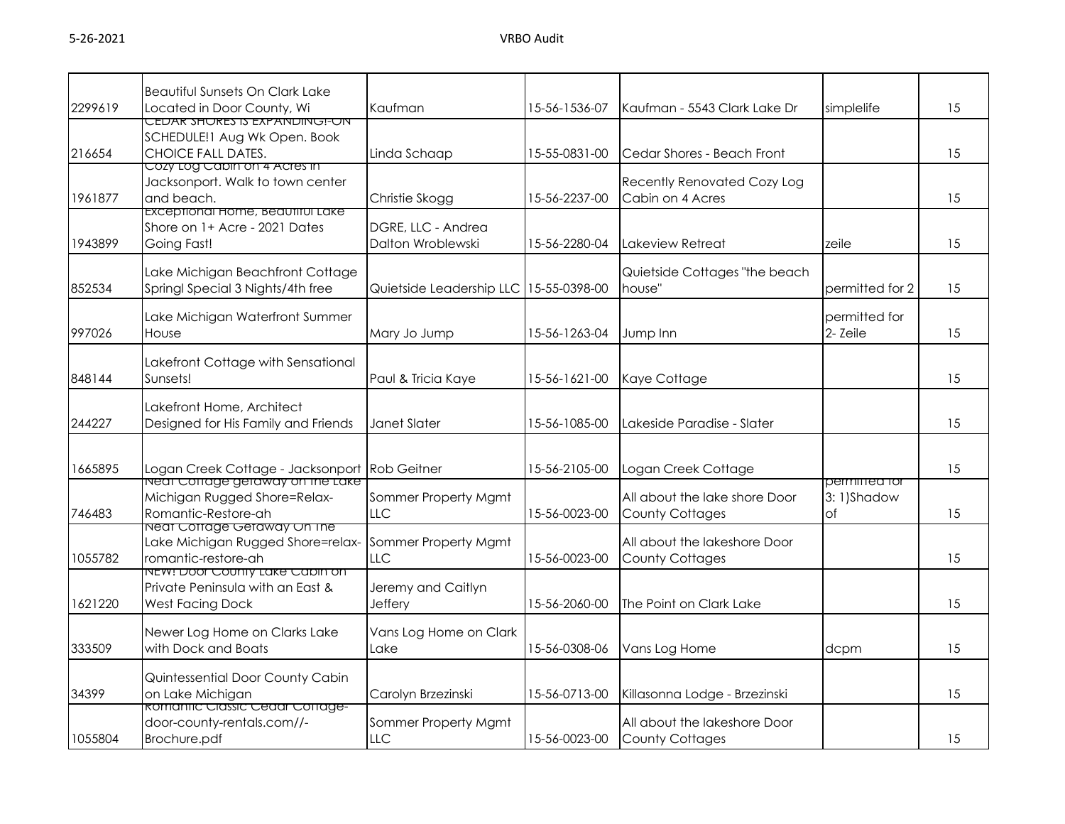|         | <b>Beautiful Sunsets On Clark Lake</b>                                                                                     |                                         |               |                                                         |                                   |    |
|---------|----------------------------------------------------------------------------------------------------------------------------|-----------------------------------------|---------------|---------------------------------------------------------|-----------------------------------|----|
| 2299619 | Located in Door County, Wi                                                                                                 | Kaufman                                 | 15-56-1536-07 | Kaufman - 5543 Clark Lake Dr                            | simplelife                        | 15 |
| 216654  | <u>CEDAR SHORES IS EXPANDING!-ON</u><br>SCHEDULE!1 Aug Wk Open. Book<br>CHOICE FALL DATES.<br>Cozy Log Cabin on 4 Acres in | Linda Schaap                            | 15-55-0831-00 | Cedar Shores - Beach Front                              |                                   | 15 |
| 1961877 | Jacksonport. Walk to town center<br>and beach.                                                                             | Christie Skogg                          | 15-56-2237-00 | Recently Renovated Cozy Log<br>Cabin on 4 Acres         |                                   | 15 |
| 1943899 | Exceptional Home, Beautiful Lake<br>Shore on 1+ Acre - 2021 Dates<br>Going Fast!                                           | DGRE, LLC - Andrea<br>Dalton Wroblewski | 15-56-2280-04 | Lakeview Retreat                                        | zeile                             | 15 |
| 852534  | Lake Michigan Beachfront Cottage<br>Springl Special 3 Nights/4th free                                                      | Quietside Leadership LLC 15-55-0398-00  |               | Quietside Cottages "the beach<br>house"                 | permitted for 2                   | 15 |
| 997026  | Lake Michigan Waterfront Summer<br>House                                                                                   | Mary Jo Jump                            | 15-56-1263-04 | Jump Inn                                                | permitted for<br>2- Zeile         | 15 |
| 848144  | Lakefront Cottage with Sensational<br>Sunsets!                                                                             | Paul & Tricia Kaye                      | 15-56-1621-00 | Kaye Cottage                                            |                                   | 15 |
| 244227  | Lakefront Home, Architect<br>Designed for His Family and Friends                                                           | Janet Slater                            | 15-56-1085-00 | Lakeside Paradise - Slater                              |                                   | 15 |
| 1665895 | Logan Creek Cottage - Jacksonport                                                                                          | <b>Rob Geitner</b>                      | 15-56-2105-00 | Logan Creek Cottage                                     |                                   | 15 |
| 746483  | <u>Near Corrage geraway on the Lake</u><br>Michigan Rugged Shore=Relax-<br>Romantic-Restore-ah                             | Sommer Property Mgmt<br><b>LLC</b>      | 15-56-0023-00 | All about the lake shore Door<br><b>County Cottages</b> | permiffed for<br>3:1)Shadow<br>of | 15 |
| 1055782 | <u>near Corrage Geraway On The </u><br>Lake Michigan Rugged Shore=relax-<br>romantic-restore-ah                            | Sommer Property Mgmt<br><b>LLC</b>      | 15-56-0023-00 | All about the lakeshore Door<br><b>County Cottages</b>  |                                   | 15 |
| 1621220 | <u>NEW! DOOL COUNTY LAKE CADIN ON</u><br>Private Peninsula with an East &<br><b>West Facing Dock</b>                       | Jeremy and Caitlyn<br>Jeffery           | 15-56-2060-00 | The Point on Clark Lake                                 |                                   | 15 |
| 333509  | Newer Log Home on Clarks Lake<br>with Dock and Boats                                                                       | Vans Log Home on Clark<br>Lake          | 15-56-0308-06 | Vans Log Home                                           | dcpm                              | 15 |
| 34399   | Quintessential Door County Cabin<br>on Lake Michigan                                                                       | Carolyn Brzezinski                      | 15-56-0713-00 | Killasonna Lodge - Brzezinski                           |                                   | 15 |
| 1055804 | <b>ROMANTIC CIASSIC Cedar Corrage-</b><br>door-county-rentals.com//-<br>Brochure.pdf                                       | Sommer Property Mgmt<br>LLC             | 15-56-0023-00 | All about the lakeshore Door<br><b>County Cottages</b>  |                                   | 15 |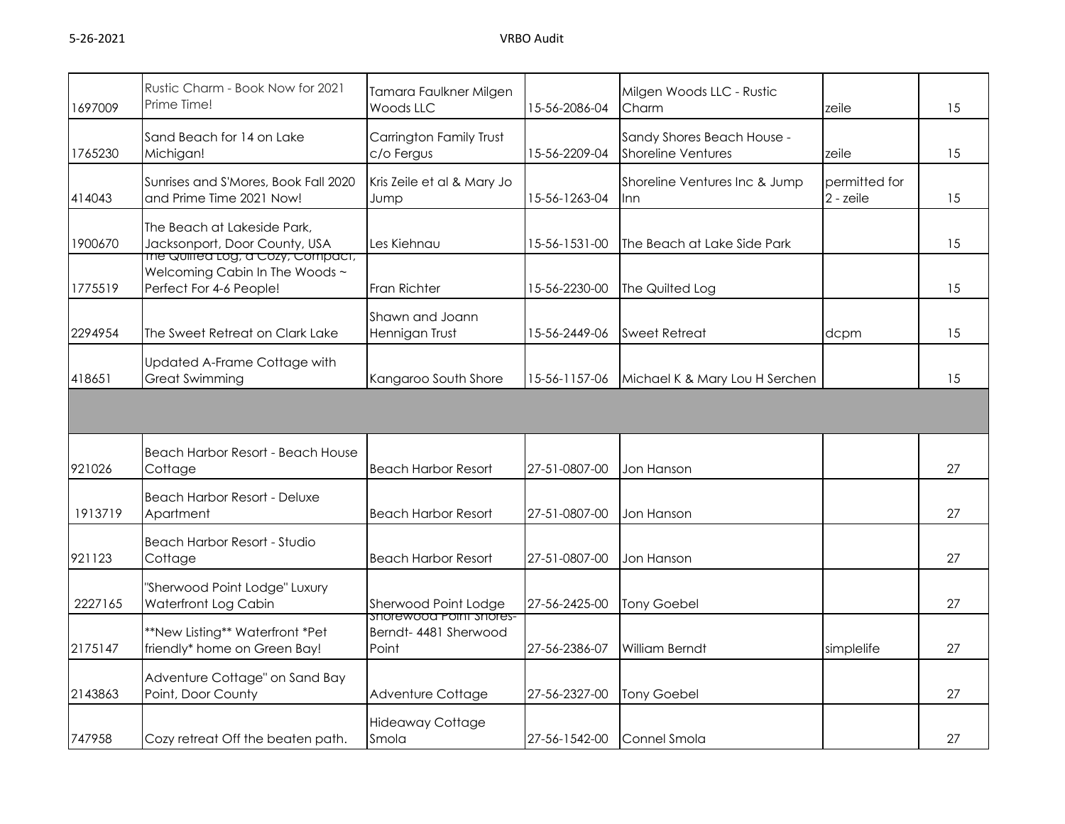| 1697009 | Rustic Charm - Book Now for 2021<br>Prime Time!                                                   | Tamara Faulkner Milgen<br>Woods LLC                       | 15-56-2086-04 | Milgen Woods LLC - Rustic<br>Charm                      | zeile                      | 15 |
|---------|---------------------------------------------------------------------------------------------------|-----------------------------------------------------------|---------------|---------------------------------------------------------|----------------------------|----|
| 1765230 | Sand Beach for 14 on Lake<br>Michigan!                                                            | Carrington Family Trust<br>c/o Fergus                     | 15-56-2209-04 | Sandy Shores Beach House -<br><b>Shoreline Ventures</b> | zeile                      | 15 |
| 414043  | Sunrises and S'Mores, Book Fall 2020<br>and Prime Time 2021 Now!                                  | Kris Zeile et al & Mary Jo<br>Jump                        | 15-56-1263-04 | Shoreline Ventures Inc & Jump<br>Inn                    | permitted for<br>2 - zeile | 15 |
| 1900670 | The Beach at Lakeside Park,<br>Jacksonport, Door County, USA<br>The Quirrea Log, a Cozy, Compact, | Les Kiehnau                                               | 15-56-1531-00 | The Beach at Lake Side Park                             |                            | 15 |
| 1775519 | Welcoming Cabin In The Woods ~<br>Perfect For 4-6 People!                                         | Fran Richter                                              | 15-56-2230-00 | The Quilted Log                                         |                            | 15 |
| 2294954 | The Sweet Retreat on Clark Lake                                                                   | Shawn and Joann<br>Hennigan Trust                         | 15-56-2449-06 | <b>Sweet Retreat</b>                                    | dcpm                       | 15 |
| 418651  | Updated A-Frame Cottage with<br><b>Great Swimming</b>                                             | Kangaroo South Shore                                      | 15-56-1157-06 | Michael K & Mary Lou H Serchen                          |                            | 15 |
|         |                                                                                                   |                                                           |               |                                                         |                            |    |
| 921026  | Beach Harbor Resort - Beach House<br>Cottage                                                      | <b>Beach Harbor Resort</b>                                | 27-51-0807-00 | Jon Hanson                                              |                            | 27 |
| 1913719 | <b>Beach Harbor Resort - Deluxe</b><br>Apartment                                                  | <b>Beach Harbor Resort</b>                                | 27-51-0807-00 | Jon Hanson                                              |                            | 27 |
| 921123  | <b>Beach Harbor Resort - Studio</b><br>Cottage                                                    | <b>Beach Harbor Resort</b>                                | 27-51-0807-00 | Jon Hanson                                              |                            | 27 |
| 2227165 | "Sherwood Point Lodge" Luxury<br>Waterfront Log Cabin                                             | Sherwood Point Lodge                                      | 27-56-2425-00 | <b>Tony Goebel</b>                                      |                            | 27 |
| 2175147 | **New Listing** Waterfront *Pet<br>friendly* home on Green Bay!                                   | snorewood Point snores-<br>Berndt- 4481 Sherwood<br>Point | 27-56-2386-07 | William Berndt                                          | simplelife                 | 27 |
| 2143863 | Adventure Cottage" on Sand Bay<br>Point, Door County                                              | Adventure Cottage                                         | 27-56-2327-00 | <b>Tony Goebel</b>                                      |                            | 27 |
| 747958  | Cozy retreat Off the beaten path.                                                                 | <b>Hideaway Cottage</b><br>Smola                          | 27-56-1542-00 | Connel Smola                                            |                            | 27 |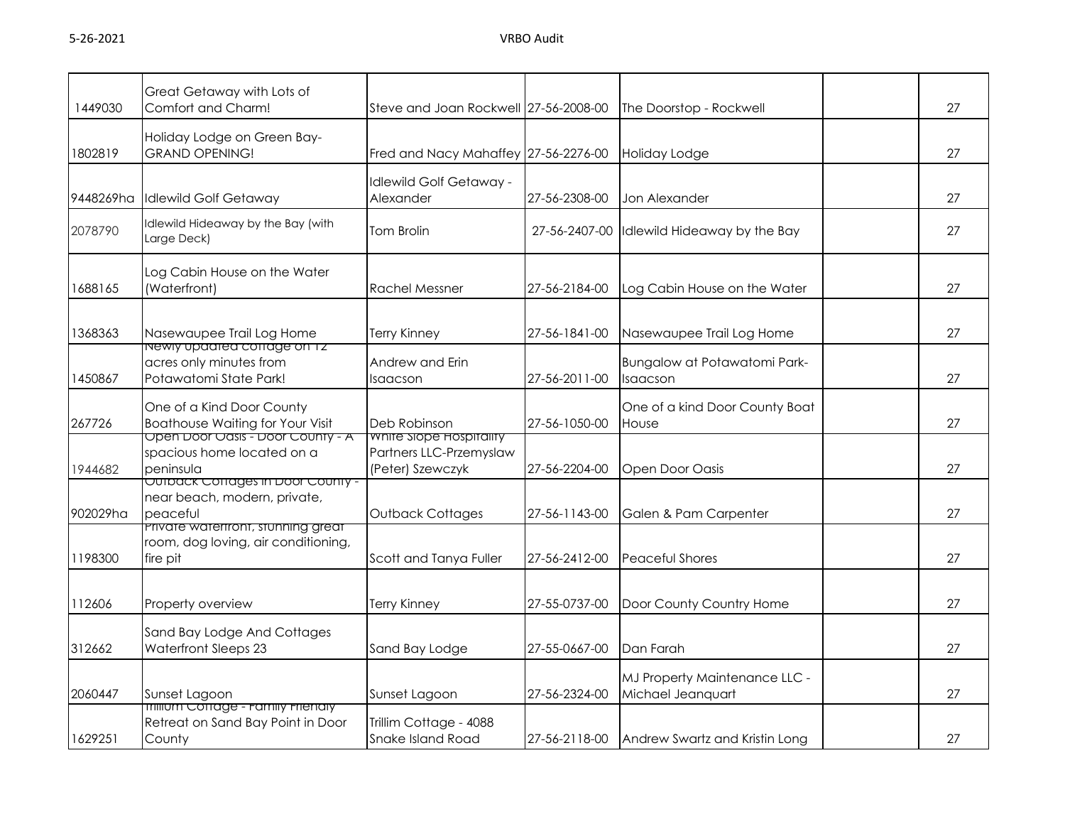| 1449030   | Great Getaway with Lots of<br>Comfort and Charm!                                              | Steve and Joan Rockwell 27-56-2008-00                                  |               | The Doorstop - Rockwell                            | 27 |
|-----------|-----------------------------------------------------------------------------------------------|------------------------------------------------------------------------|---------------|----------------------------------------------------|----|
| 1802819   | Holiday Lodge on Green Bay-<br><b>GRAND OPENING!</b>                                          | Fred and Nacy Mahaffey 27-56-2276-00                                   |               | Holiday Lodge                                      | 27 |
| 9448269ha | <b>Idlewild Golf Getaway</b>                                                                  | dlewild Golf Getaway -<br>Alexander                                    | 27-56-2308-00 | Jon Alexander                                      | 27 |
| 2078790   | Idlewild Hideaway by the Bay (with<br>Large Deck)                                             | <b>Tom Brolin</b>                                                      | 27-56-2407-00 | Idlewild Hideaway by the Bay                       | 27 |
| 1688165   | Log Cabin House on the Water<br>(Waterfront)                                                  | <b>Rachel Messner</b>                                                  | 27-56-2184-00 | Log Cabin House on the Water                       | 27 |
| 1368363   | Nasewaupee Trail Log Home                                                                     | <b>Terry Kinney</b>                                                    | 27-56-1841-00 | Nasewaupee Trail Log Home                          | 27 |
| 1450867   | <u>newly upaated cottage on Tz-</u><br>acres only minutes from<br>Potawatomi State Park!      | Andrew and Erin<br>Isaacson                                            | 27-56-2011-00 | Bungalow at Potawatomi Park-<br>Isaacson           | 27 |
| 267726    | One of a Kind Door County<br><b>Boathouse Waiting for Your Visit</b>                          | Deb Robinson                                                           | 27-56-1050-00 | One of a kind Door County Boat<br>House            | 27 |
| 1944682   | <u> Open Door Oasis - Door County - A</u><br>spacious home located on a<br>peninsula          | white slope Hospitality<br>Partners LLC-Przemyslaw<br>(Peter) Szewczyk | 27-56-2204-00 | Open Door Oasis                                    | 27 |
| 902029ha  | OUTDACK COTTAGES IN DOOF COUNTY -<br>near beach, modern, private,<br>peaceful                 | Outback Cottages                                                       | 27-56-1143-00 | Galen & Pam Carpenter                              | 27 |
| 1198300   | <u>Private wateritonit, stunning great</u><br>room, dog loving, air conditioning,<br>fire pit | Scott and Tanya Fuller                                                 | 27-56-2412-00 | <b>Peaceful Shores</b>                             | 27 |
| 112606    | Property overview                                                                             | <b>Terry Kinney</b>                                                    | 27-55-0737-00 | Door County Country Home                           | 27 |
| 312662    | Sand Bay Lodge And Cottages<br><b>Waterfront Sleeps 23</b>                                    | Sand Bay Lodge                                                         | 27-55-0667-00 | Dan Farah                                          | 27 |
| 2060447   | Sunset Lagoon                                                                                 | Sunset Lagoon                                                          | 27-56-2324-00 | MJ Property Maintenance LLC -<br>Michael Jeanquart | 27 |
| 1629251   | <b>Imilium Corrage - Family Frienaly</b><br>Retreat on Sand Bay Point in Door<br>County       | Trillim Cottage - 4088<br>Snake Island Road                            | 27-56-2118-00 | Andrew Swartz and Kristin Long                     | 27 |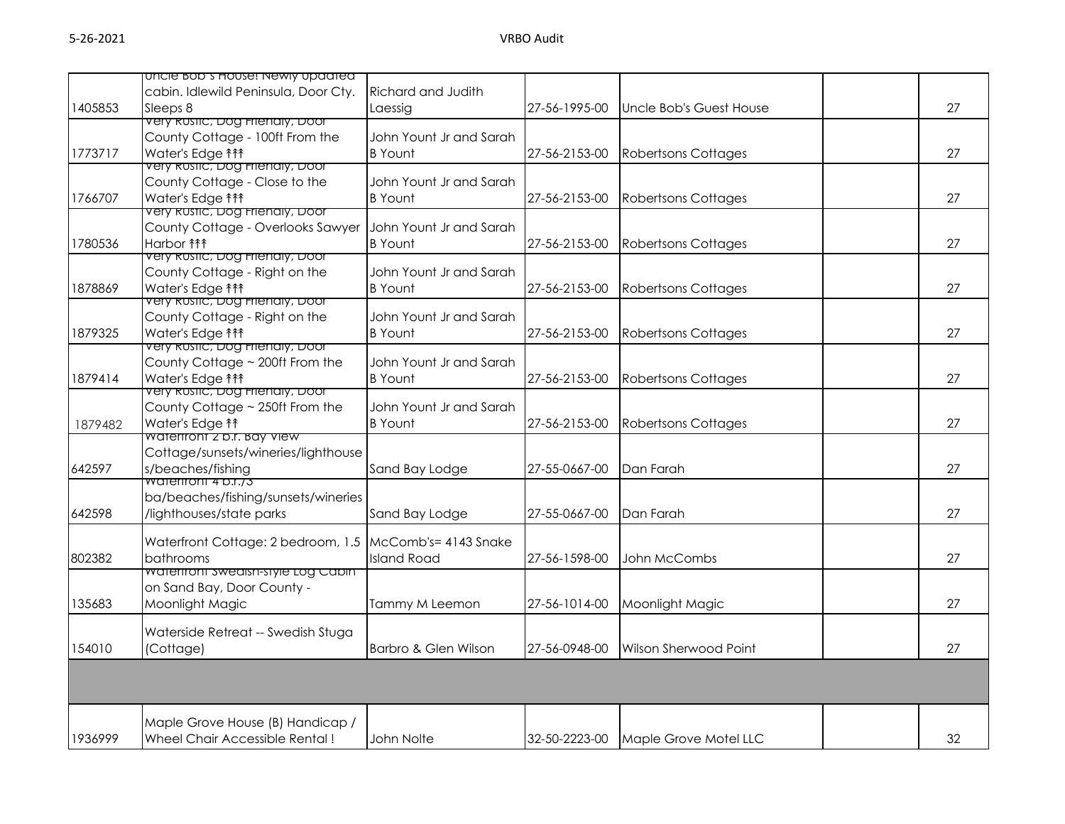|         | uncle bob's House! Newly updated                                 |                         |               |                            |    |
|---------|------------------------------------------------------------------|-------------------------|---------------|----------------------------|----|
|         | cabin. Idlewild Peninsula, Door Cty.                             | Richard and Judith      |               |                            |    |
| 1405853 | Sleeps 8                                                         | Laessig                 | 27-56-1995-00 | Uncle Bob's Guest House    | 27 |
|         | <del>very kustic, Dog Frienaly, Door</del>                       |                         |               |                            |    |
|         | County Cottage - 100ft From the                                  | John Yount Jr and Sarah |               |                            |    |
| 1773717 | Water's Edge <sup>11</sup>                                       | <b>B</b> Yount          | 27-56-2153-00 | <b>Robertsons Cottages</b> | 27 |
|         | very Rustic, Dog Frienaly, Door                                  |                         |               |                            |    |
|         | County Cottage - Close to the                                    | John Yount Jr and Sarah |               |                            |    |
| 1766707 | Water's Edge <sup>11</sup>                                       | <b>B</b> Yount          | 27-56-2153-00 | <b>Robertsons Cottages</b> | 27 |
|         | very <del>kustic, Dog Frienaly, Door</del>                       |                         |               |                            |    |
|         | County Cottage - Overlooks Sawyer                                | John Yount Jr and Sarah |               |                            |    |
| 1780536 | Harbor ħ î î                                                     | <b>B</b> Yount          | 27-56-2153-00 | <b>Robertsons Cottages</b> | 27 |
|         | very Rustic, Dog Frienaly, Door<br>County Cottage - Right on the | John Yount Jr and Sarah |               |                            |    |
|         | Water's Edge <sup>11</sup>                                       |                         |               |                            | 27 |
| 1878869 | very Rustic, Dog Frienaly, Door                                  | <b>B</b> Yount          | 27-56-2153-00 | <b>Robertsons Cottages</b> |    |
|         | County Cottage - Right on the                                    | John Yount Jr and Sarah |               |                            |    |
| 1879325 | Water's Edge <sup>11</sup>                                       | <b>B</b> Yount          | 27-56-2153-00 | <b>Robertsons Cottages</b> | 27 |
|         | very Rustic, Dog Frienaly, Door                                  |                         |               |                            |    |
|         | County Cottage ~ 200ft From the                                  | John Yount Jr and Sarah |               |                            |    |
| 1879414 | Water's Edge <sup>11</sup>                                       | <b>B</b> Yount          | 27-56-2153-00 | <b>Robertsons Cottages</b> | 27 |
|         | very Rustic, Dog Frienaly, Door                                  |                         |               |                            |    |
|         | County Cottage ~ 250ft From the                                  | John Yount Jr and Sarah |               |                            |    |
| 1879482 | Water's Edge <sup>1</sup>                                        | <b>B</b> Yount          | 27-56-2153-00 | <b>Robertsons Cottages</b> | 27 |
|         | watertront z p.r. bay view                                       |                         |               |                            |    |
|         | Cottage/sunsets/wineries/lighthouse                              |                         |               |                            |    |
| 642597  | s/beaches/fishing<br>waterfront 4 p.r./3                         | Sand Bay Lodge          | 27-55-0667-00 | Dan Farah                  | 27 |
|         | ba/beaches/fishing/sunsets/wineries                              |                         |               |                            |    |
| 642598  | /lighthouses/state parks                                         | Sand Bay Lodge          | 27-55-0667-00 | Dan Farah                  | 27 |
|         |                                                                  |                         |               |                            |    |
|         | Waterfront Cottage: 2 bedroom, 1.5                               | McComb's= 4143 Snake    |               |                            |    |
| 802382  | bathrooms                                                        | <b>Island Road</b>      | 27-56-1598-00 | John McCombs               | 27 |
|         | waterfront swearsh-style Log Cabin                               |                         |               |                            |    |
|         | on Sand Bay, Door County -                                       |                         |               |                            |    |
| 135683  | Moonlight Magic                                                  | Tammy M Leemon          | 27-56-1014-00 | Moonlight Magic            | 27 |
|         |                                                                  |                         |               |                            |    |
|         | Waterside Retreat -- Swedish Stuga                               |                         |               |                            |    |
| 154010  | (Cottage)                                                        | Barbro & Glen Wilson    | 27-56-0948-00 | Wilson Sherwood Point      | 27 |
|         |                                                                  |                         |               |                            |    |
|         |                                                                  |                         |               |                            |    |
|         |                                                                  |                         |               |                            |    |
|         | Maple Grove House (B) Handicap /                                 |                         |               |                            |    |
| 1936999 | Wheel Chair Accessible Rental!                                   | John Nolte              | 32-50-2223-00 | Maple Grove Motel LLC      | 32 |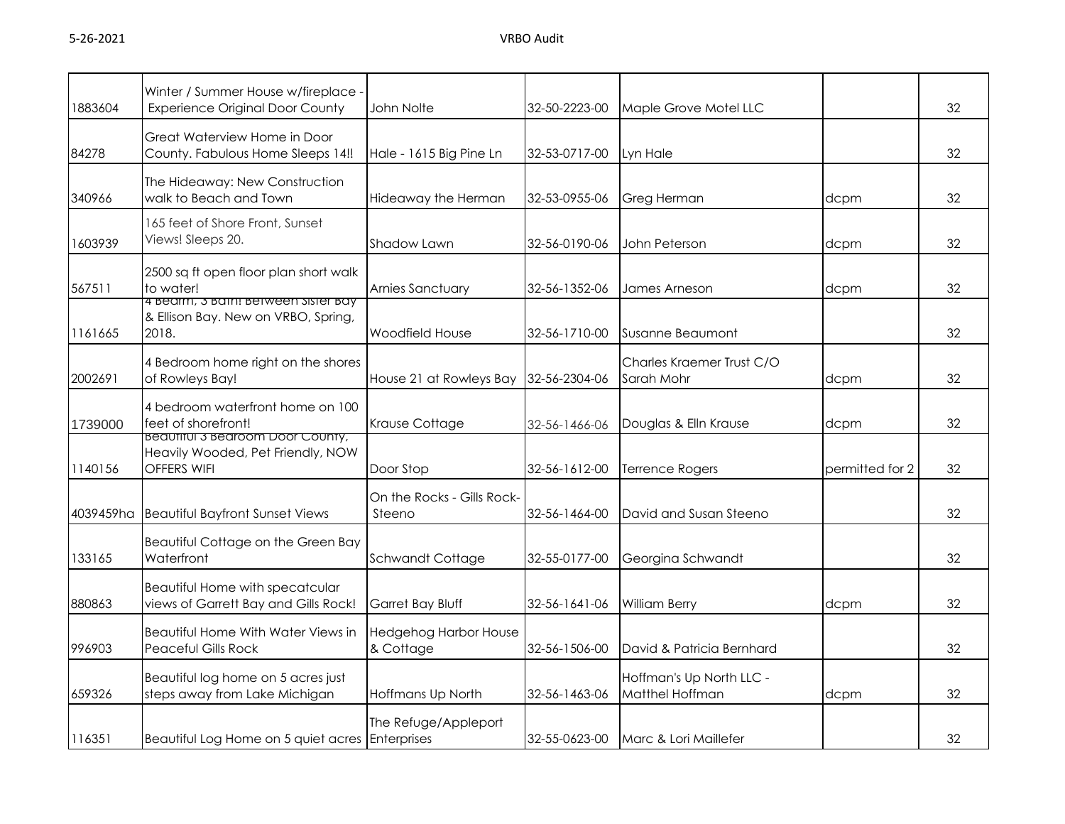| 1883604   | Winter / Summer House w/fireplace -<br><b>Experience Original Door County</b>                       | John Nolte                                | 32-50-2223-00 | Maple Grove Motel LLC                       |                 | 32 |
|-----------|-----------------------------------------------------------------------------------------------------|-------------------------------------------|---------------|---------------------------------------------|-----------------|----|
| 84278     | Great Waterview Home in Door<br>County. Fabulous Home Sleeps 14!!                                   | Hale - 1615 Big Pine Ln                   | 32-53-0717-00 | Lyn Hale                                    |                 | 32 |
| 340966    | The Hideaway: New Construction<br>walk to Beach and Town                                            | Hideaway the Herman                       | 32-53-0955-06 | Greg Herman                                 | dcpm            | 32 |
| 1603939   | 165 feet of Shore Front, Sunset<br>Views! Sleeps 20.                                                | Shadow Lawn                               | 32-56-0190-06 | John Peterson                               | dcpm            | 32 |
| 567511    | 2500 sq ft open floor plan short walk<br>to water!                                                  | Arnies Sanctuary                          | 32-56-1352-06 | James Arneson                               | dcpm            | 32 |
| 1161665   | 4 Bearm, 3 Bain: Between Sister Bay<br>& Ellison Bay. New on VRBO, Spring,<br>2018.                 | Woodfield House                           | 32-56-1710-00 | Susanne Beaumont                            |                 | 32 |
| 2002691   | 4 Bedroom home right on the shores<br>of Rowleys Bay!                                               | House 21 at Rowleys Bay 32-56-2304-06     |               | Charles Kraemer Trust C/O<br>Sarah Mohr     | dcpm            | 32 |
| 1739000   | 4 bedroom waterfront home on 100<br>feet of shorefront!                                             | Krause Cottage                            | 32-56-1466-06 | Douglas & Elln Krause                       | dcpm            | 32 |
| 1140156   | <b>Beautiful 3 Bearcorn Door County,</b><br>Heavily Wooded, Pet Friendly, NOW<br><b>OFFERS WIFI</b> | Door Stop                                 | 32-56-1612-00 | <b>Terrence Rogers</b>                      | permitted for 2 | 32 |
| 4039459ha | <b>Beautiful Bayfront Sunset Views</b>                                                              | On the Rocks - Gills Rock-<br>Steeno      | 32-56-1464-00 | David and Susan Steeno                      |                 | 32 |
| 133165    | Beautiful Cottage on the Green Bay<br>Waterfront                                                    | Schwandt Cottage                          | 32-55-0177-00 | Georgina Schwandt                           |                 | 32 |
| 880863    | Beautiful Home with specatcular<br>views of Garrett Bay and Gills Rock!                             | Garret Bay Bluff                          | 32-56-1641-06 | <b>William Berry</b>                        | dcpm            | 32 |
| 996903    | Beautiful Home With Water Views in<br><b>Peaceful Gills Rock</b>                                    | <b>Hedgehog Harbor House</b><br>& Cottage | 32-56-1506-00 | David & Patricia Bernhard                   |                 | 32 |
| 659326    | Beautiful log home on 5 acres just<br>steps away from Lake Michigan                                 | Hoffmans Up North                         | 32-56-1463-06 | Hoffman's Up North LLC -<br>Matthel Hoffman | dcpm            | 32 |
| 116351    | Beautiful Log Home on 5 quiet acres Enterprises                                                     | The Refuge/Appleport                      | 32-55-0623-00 | Marc & Lori Maillefer                       |                 | 32 |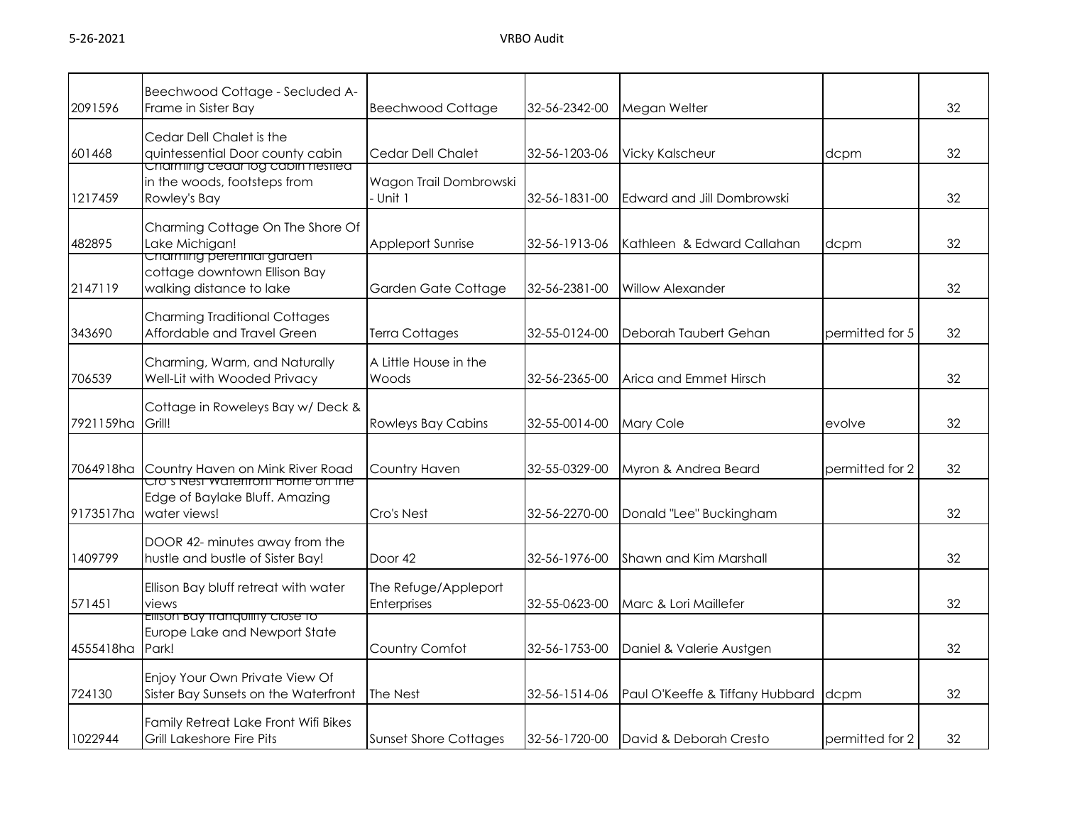| 2091596   | Beechwood Cottage - Secluded A-<br>Frame in Sister Bay                                      | <b>Beechwood Cottage</b>            | 32-56-2342-00 | Megan Welter                    |                 | 32 |
|-----------|---------------------------------------------------------------------------------------------|-------------------------------------|---------------|---------------------------------|-----------------|----|
| 601468    | Cedar Dell Chalet is the<br>quintessential Door county cabin                                | Cedar Dell Chalet                   | 32-56-1203-06 | <b>Vicky Kalscheur</b>          | dcpm            | 32 |
| 1217459   | <del>Charming ceaar log capin nesilea</del><br>in the woods, footsteps from<br>Rowley's Bay | Wagon Trail Dombrowski<br>· Unit 1  | 32-56-1831-00 | Edward and Jill Dombrowski      |                 | 32 |
| 482895    | Charming Cottage On The Shore Of<br>Lake Michigan!<br><u>Cnarming perenniai garaen </u>     | Appleport Sunrise                   | 32-56-1913-06 | Kathleen & Edward Callahan      | dcpm            | 32 |
| 2147119   | cottage downtown Ellison Bay<br>walking distance to lake                                    | Garden Gate Cottage                 | 32-56-2381-00 | <b>Willow Alexander</b>         |                 | 32 |
| 343690    | Charming Traditional Cottages<br>Affordable and Travel Green                                | Terra Cottages                      | 32-55-0124-00 | Deborah Taubert Gehan           | permitted for 5 | 32 |
| 706539    | Charming, Warm, and Naturally<br>Well-Lit with Wooded Privacy                               | A Little House in the<br>Woods      | 32-56-2365-00 | Arica and Emmet Hirsch          |                 | 32 |
| 7921159ha | Cottage in Roweleys Bay w/ Deck &<br>Grill!                                                 | <b>Rowleys Bay Cabins</b>           | 32-55-0014-00 | Mary Cole                       | evolve          | 32 |
| 7064918ha | Country Haven on Mink River Road                                                            | Country Haven                       | 32-55-0329-00 | Myron & Andrea Beard            | permitted for 2 | 32 |
| 9173517ha | Cro's Nest waterfront Home on the<br>Edge of Baylake Bluff. Amazing<br>water views!         | Cro's Nest                          | 32-56-2270-00 | Donald "Lee" Buckingham         |                 | 32 |
| 1409799   | DOOR 42- minutes away from the<br>hustle and bustle of Sister Bay!                          | Door <sub>42</sub>                  | 32-56-1976-00 | Shawn and Kim Marshall          |                 | 32 |
| 571451    | Ellison Bay bluff retreat with water<br>views                                               | The Refuge/Appleport<br>Enterprises | 32-55-0623-00 | Marc & Lori Maillefer           |                 | 32 |
| 4555418ha | Ellison bay tranquility close to<br>Europe Lake and Newport State<br>Park!                  | Country Comfot                      | 32-56-1753-00 | Daniel & Valerie Austgen        |                 | 32 |
| 724130    | Enjoy Your Own Private View Of<br>Sister Bay Sunsets on the Waterfront                      | The Nest                            | 32-56-1514-06 | Paul O'Keeffe & Tiffany Hubbard | dcpm            | 32 |
| 1022944   | Family Retreat Lake Front Wifi Bikes<br>Grill Lakeshore Fire Pits                           | <b>Sunset Shore Cottages</b>        | 32-56-1720-00 | David & Deborah Cresto          | permitted for 2 | 32 |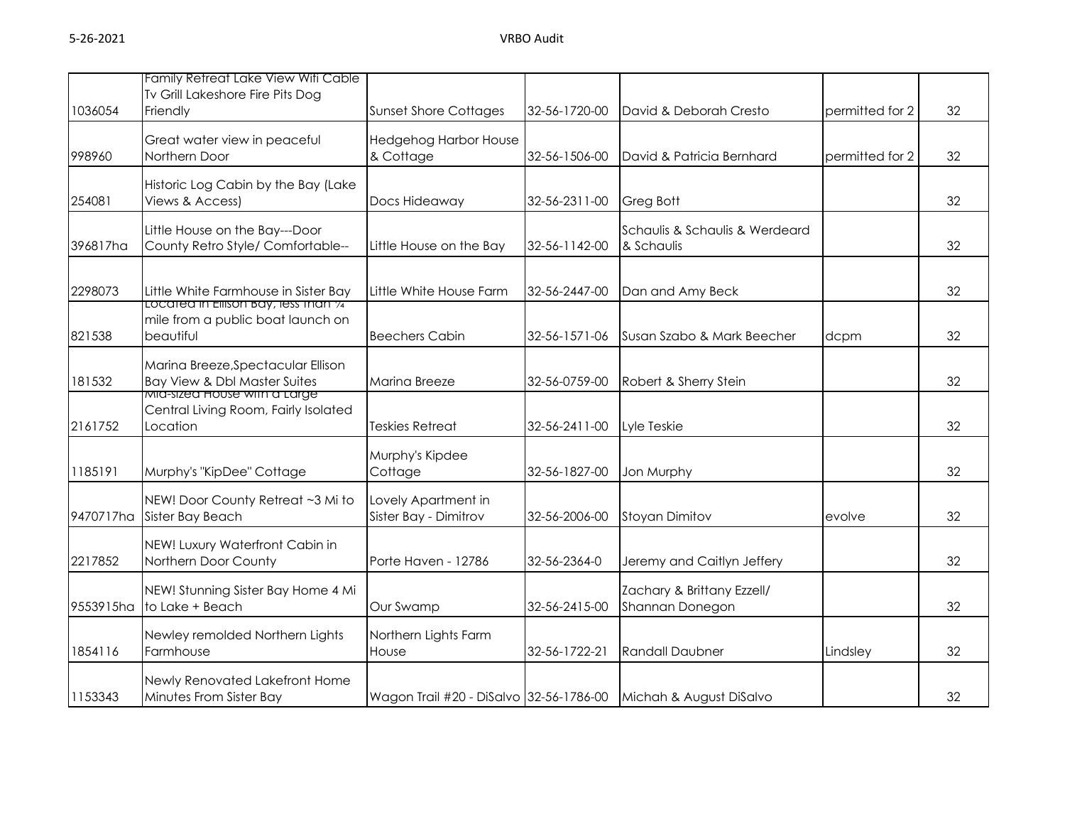| 1036054   | Family Retreat Lake View Wifi Cable<br>Tv Grill Lakeshore Fire Pits Dog<br>Friendly                       | <b>Sunset Shore Cottages</b>                 | 32-56-1720-00 | David & Deborah Cresto                                          | permitted for 2 | 32 |
|-----------|-----------------------------------------------------------------------------------------------------------|----------------------------------------------|---------------|-----------------------------------------------------------------|-----------------|----|
| 998960    | Great water view in peaceful<br>Northern Door                                                             | Hedgehog Harbor House<br>& Cottage           | 32-56-1506-00 | David & Patricia Bernhard                                       | permitted for 2 | 32 |
| 254081    | Historic Log Cabin by the Bay (Lake<br>Views & Access)                                                    | Docs Hideaway                                | 32-56-2311-00 | Greg Bott                                                       |                 | 32 |
| 396817ha  | Little House on the Bay---Door<br>County Retro Style/ Comfortable--                                       | Little House on the Bay                      | 32-56-1142-00 | Schaulis & Schaulis & Werdeard<br>& Schaulis                    |                 | 32 |
| 2298073   | Little White Farmhouse in Sister Bay<br>Located in Ellison Bay, less than 74                              | Little White House Farm                      | 32-56-2447-00 | Dan and Amy Beck                                                |                 | 32 |
| 821538    | mile from a public boat launch on<br>beautiful                                                            | <b>Beechers Cabin</b>                        | 32-56-1571-06 | Susan Szabo & Mark Beecher                                      | dcpm            | 32 |
| 181532    | Marina Breeze, Spectacular Ellison<br>Bay View & Dbl Master Suites<br><u>MIG-sized House with a Large</u> | Marina Breeze                                | 32-56-0759-00 | Robert & Sherry Stein                                           |                 | 32 |
| 2161752   | Central Living Room, Fairly Isolated<br>Location                                                          | Teskies Retreat                              | 32-56-2411-00 | Lyle Teskie                                                     |                 | 32 |
| 1185191   | Murphy's "KipDee" Cottage                                                                                 | Murphy's Kipdee<br>Cottage                   | 32-56-1827-00 | Jon Murphy                                                      |                 | 32 |
| 9470717ha | NEW! Door County Retreat ~3 Mi to<br>Sister Bay Beach                                                     | Lovely Apartment in<br>Sister Bay - Dimitrov | 32-56-2006-00 | <b>Stoyan Dimitov</b>                                           | evolve          | 32 |
| 2217852   | NEW! Luxury Waterfront Cabin in<br>Northern Door County                                                   | Porte Haven - 12786                          | 32-56-2364-0  | Jeremy and Caitlyn Jeffery                                      |                 | 32 |
| 9553915ha | NEW! Stunning Sister Bay Home 4 Mi<br>to Lake + Beach                                                     | Our Swamp                                    | 32-56-2415-00 | Zachary & Brittany Ezzell/<br>Shannan Donegon                   |                 | 32 |
| 1854116   | Newley remolded Northern Lights<br>Farmhouse                                                              | Northern Lights Farm<br>House                | 32-56-1722-21 | <b>Randall Daubner</b>                                          | Lindsley        | 32 |
| 1153343   | Newly Renovated Lakefront Home<br>Minutes From Sister Bay                                                 |                                              |               | Wagon Trail #20 - DiSalvo 32-56-1786-00 Michah & August DiSalvo |                 | 32 |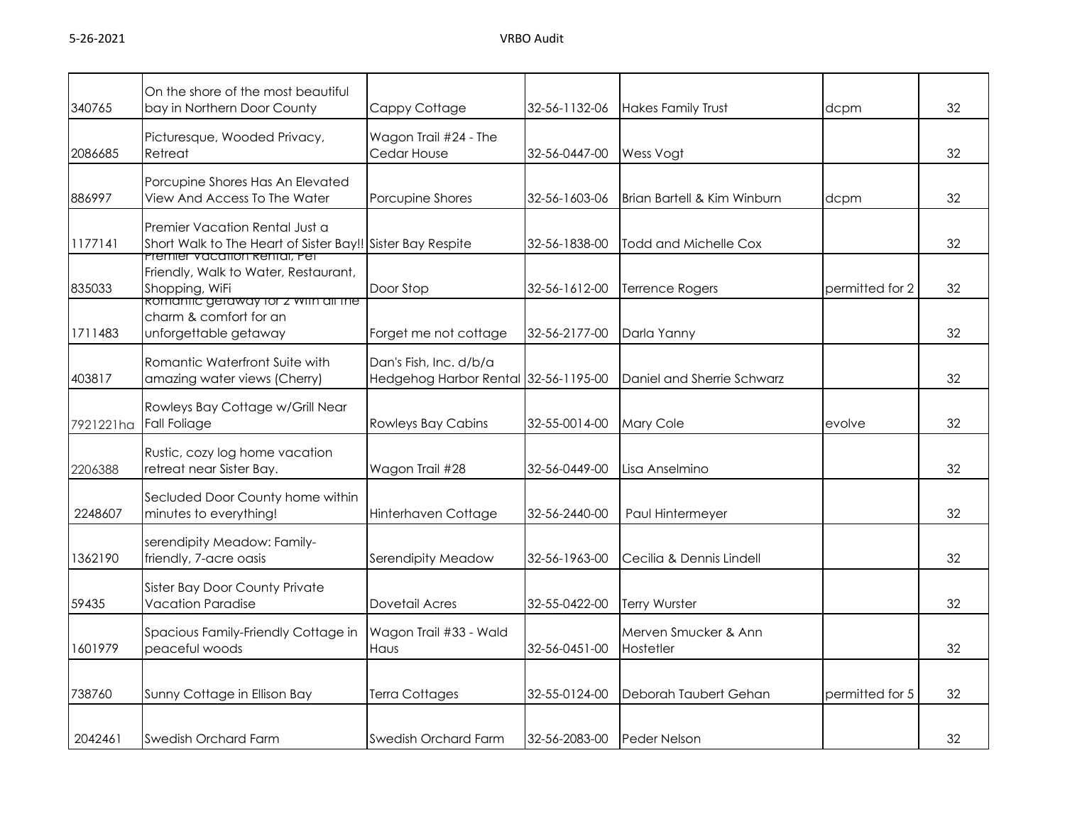| 340765    | On the shore of the most beautiful<br>bay in Northern Door County                                                            | Cappy Cottage                                                  | 32-56-1132-06 | <b>Hakes Family Trust</b>         | dcpm            | 32 |
|-----------|------------------------------------------------------------------------------------------------------------------------------|----------------------------------------------------------------|---------------|-----------------------------------|-----------------|----|
| 2086685   | Picturesque, Wooded Privacy,<br>Retreat                                                                                      | Wagon Trail #24 - The<br>Cedar House                           | 32-56-0447-00 | Wess Vogt                         |                 | 32 |
| 886997    | Porcupine Shores Has An Elevated<br>View And Access To The Water                                                             | Porcupine Shores                                               | 32-56-1603-06 | Brian Bartell & Kim Winburn       | dcpm            | 32 |
| 1177141   | Premier Vacation Rental Just a<br>Short Walk to The Heart of Sister Bay!! Sister Bay Respite<br>Premier vacation kental, Pet |                                                                | 32-56-1838-00 | Todd and Michelle Cox             |                 | 32 |
| 835033    | Friendly, Walk to Water, Restaurant,<br>Shopping, WiFi<br><u> Romantic getaway tor z with all the </u>                       | Door Stop                                                      | 32-56-1612-00 | Terrence Rogers                   | permitted for 2 | 32 |
| 1711483   | charm & comfort for an<br>unforgettable getaway                                                                              | Forget me not cottage                                          | 32-56-2177-00 | Darla Yanny                       |                 | 32 |
| 403817    | Romantic Waterfront Suite with<br>amazing water views (Cherry)                                                               | Dan's Fish, Inc. d/b/a<br>Hedgehog Harbor Rental 32-56-1195-00 |               | Daniel and Sherrie Schwarz        |                 | 32 |
| 7921221ha | Rowleys Bay Cottage w/Grill Near<br><b>Fall Foliage</b>                                                                      | <b>Rowleys Bay Cabins</b>                                      | 32-55-0014-00 | Mary Cole                         | evolve          | 32 |
| 2206388   | Rustic, cozy log home vacation<br>retreat near Sister Bay.                                                                   | Wagon Trail #28                                                | 32-56-0449-00 | Lisa Anselmino                    |                 | 32 |
| 2248607   | Secluded Door County home within<br>minutes to everything!                                                                   | Hinterhaven Cottage                                            | 32-56-2440-00 | Paul Hintermeyer                  |                 | 32 |
| 1362190   | serendipity Meadow: Family-<br>friendly, 7-acre oasis                                                                        | Serendipity Meadow                                             | 32-56-1963-00 | Cecilia & Dennis Lindell          |                 | 32 |
| 59435     | Sister Bay Door County Private<br><b>Vacation Paradise</b>                                                                   | Dovetail Acres                                                 | 32-55-0422-00 | <b>Terry Wurster</b>              |                 | 32 |
| 1601979   | Spacious Family-Friendly Cottage in<br>peaceful woods                                                                        | Wagon Trail #33 - Wald<br>Haus                                 | 32-56-0451-00 | Merven Smucker & Ann<br>Hostetler |                 | 32 |
| 738760    | Sunny Cottage in Ellison Bay                                                                                                 | Terra Cottages                                                 | 32-55-0124-00 | Deborah Taubert Gehan             | permitted for 5 | 32 |
| 2042461   | Swedish Orchard Farm                                                                                                         | Swedish Orchard Farm                                           | 32-56-2083-00 | <b>Peder Nelson</b>               |                 | 32 |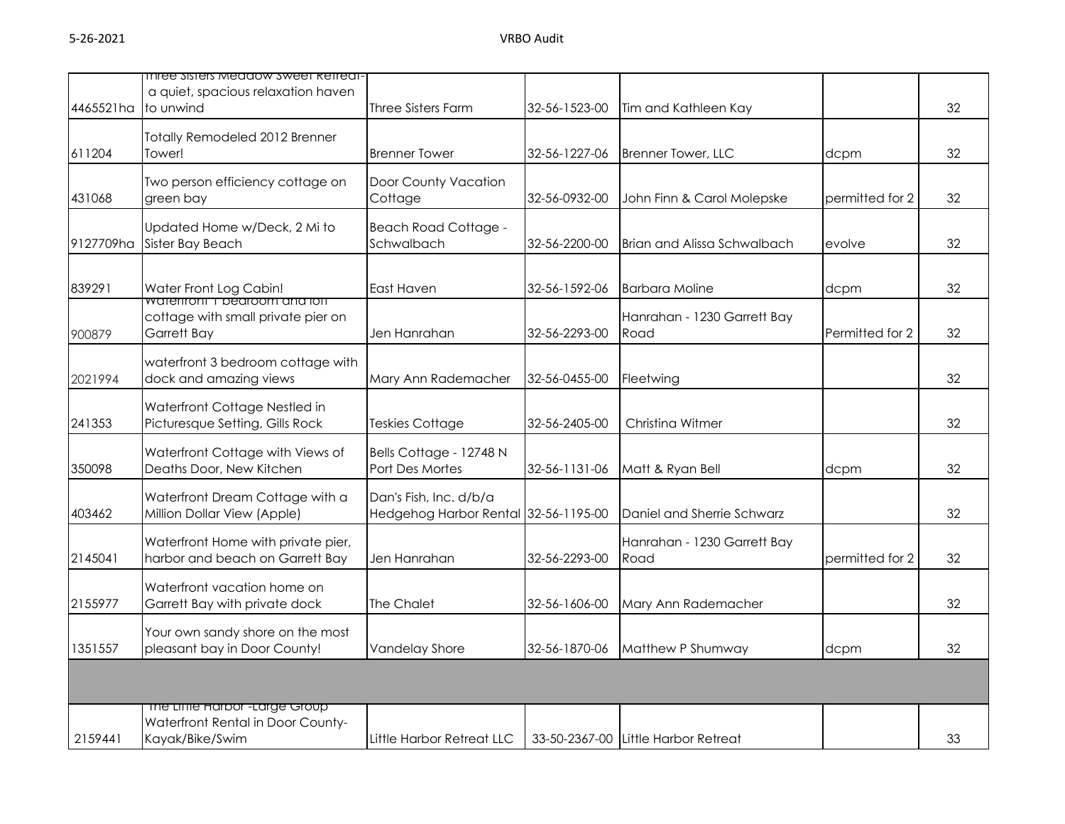|           | inree sisters meadow sweet kettedt-                                                   |                                                                |               |                                     |                 |    |
|-----------|---------------------------------------------------------------------------------------|----------------------------------------------------------------|---------------|-------------------------------------|-----------------|----|
| 4465521ha | a quiet, spacious relaxation haven<br>to unwind                                       | Three Sisters Farm                                             | 32-56-1523-00 | Tim and Kathleen Kay                |                 | 32 |
| 611204    | Totally Remodeled 2012 Brenner<br>Tower!                                              | <b>Brenner Tower</b>                                           | 32-56-1227-06 | <b>Brenner Tower, LLC</b>           | dcpm            | 32 |
| 431068    | Two person efficiency cottage on<br>green bay                                         | Door County Vacation<br>Cottage                                | 32-56-0932-00 | John Finn & Carol Molepske          | permitted for 2 | 32 |
| 9127709ha | Updated Home w/Deck, 2 Mi to<br>Sister Bay Beach                                      | <b>Beach Road Cottage -</b><br>Schwalbach                      | 32-56-2200-00 | Brian and Alissa Schwalbach         | evolve          | 32 |
| 839291    | Water Front Log Cabin!<br>wateritoni i pearoom ana iott                               | East Haven                                                     | 32-56-1592-06 | <b>Barbara Moline</b>               | dcpm            | 32 |
| 900879    | cottage with small private pier on<br><b>Garrett Bay</b>                              | Jen Hanrahan                                                   | 32-56-2293-00 | Hanrahan - 1230 Garrett Bay<br>Road | Permitted for 2 | 32 |
| 2021994   | waterfront 3 bedroom cottage with<br>dock and amazing views                           | Mary Ann Rademacher                                            | 32-56-0455-00 | Fleetwing                           |                 | 32 |
| 241353    | Waterfront Cottage Nestled in<br>Picturesque Setting, Gills Rock                      | Teskies Cottage                                                | 32-56-2405-00 | Christing Witmer                    |                 | 32 |
| 350098    | Waterfront Cottage with Views of<br>Deaths Door, New Kitchen                          | Bells Cottage - 12748 N<br>Port Des Mortes                     | 32-56-1131-06 | Matt & Ryan Bell                    | dcpm            | 32 |
| 403462    | Waterfront Dream Cottage with a<br>Million Dollar View (Apple)                        | Dan's Fish, Inc. d/b/a<br>Hedgehog Harbor Rental 32-56-1195-00 |               | Daniel and Sherrie Schwarz          |                 | 32 |
| 2145041   | Waterfront Home with private pier,<br>harbor and beach on Garrett Bay                 | Jen Hanrahan                                                   | 32-56-2293-00 | Hanrahan - 1230 Garrett Bay<br>Road | permitted for 2 | 32 |
| 2155977   | Waterfront vacation home on<br>Garrett Bay with private dock                          | The Chalet                                                     | 32-56-1606-00 | Mary Ann Rademacher                 |                 | 32 |
| 1351557   | Your own sandy shore on the most<br>pleasant bay in Door County!                      | Vandelay Shore                                                 | 32-56-1870-06 | Matthew P Shumway                   | dcpm            | 32 |
|           |                                                                                       |                                                                |               |                                     |                 |    |
| 2159441   | The Liftle Harbor-Large Group<br>Waterfront Rental in Door County-<br>Kayak/Bike/Swim | Little Harbor Retreat LLC                                      |               | 33-50-2367-00 Little Harbor Retreat |                 | 33 |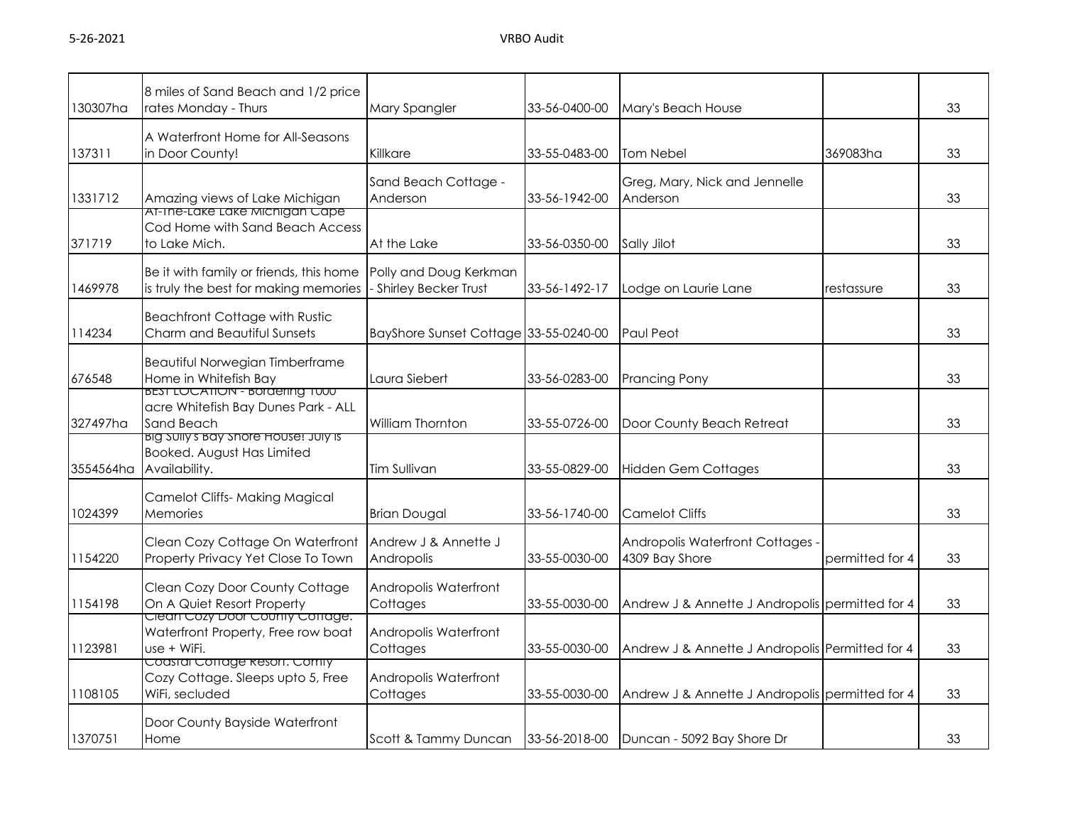| 130307ha  | 8 miles of Sand Beach and 1/2 price<br>rates Monday - Thurs                                 | Mary Spangler                                  | 33-56-0400-00 | Mary's Beach House                                 |                 | 33 |
|-----------|---------------------------------------------------------------------------------------------|------------------------------------------------|---------------|----------------------------------------------------|-----------------|----|
| 137311    | A Waterfront Home for All-Seasons<br>in Door County!                                        | Killkare                                       | 33-55-0483-00 | <b>Tom Nebel</b>                                   | 369083ha        | 33 |
| 1331712   | Amazing views of Lake Michigan                                                              | Sand Beach Cottage -<br>Anderson               | 33-56-1942-00 | Greg, Mary, Nick and Jennelle<br>Anderson          |                 | 33 |
| 371719    | AT-The-Lake Lake Michigan Cape<br>Cod Home with Sand Beach Access<br>to Lake Mich.          | At the Lake                                    | 33-56-0350-00 | Sally Jilot                                        |                 | 33 |
| 1469978   | Be it with family or friends, this home<br>is truly the best for making memories            | Polly and Doug Kerkman<br>Shirley Becker Trust | 33-56-1492-17 | Lodge on Laurie Lane                               | restassure      | 33 |
| 114234    | <b>Beachfront Cottage with Rustic</b><br>Charm and Beautiful Sunsets                        | BayShore Sunset Cottage 33-55-0240-00          |               | Paul Peot                                          |                 | 33 |
| 676548    | Beautiful Norwegian Timberframe<br>Home in Whitefish Bay                                    | Laura Siebert                                  | 33-56-0283-00 | Prancing Pony                                      |                 | 33 |
| 327497ha  | <b>BEST LUCATION - BOrdering TUUU</b><br>acre Whitefish Bay Dunes Park - ALL<br>Sand Beach  | William Thornton                               | 33-55-0726-00 | Door County Beach Retreat                          |                 | 33 |
| 3554564ha | <u>ng sully's bay shore House: July is </u><br>Booked. August Has Limited<br>Availability.  | <b>Tim Sullivan</b>                            | 33-55-0829-00 | <b>Hidden Gem Cottages</b>                         |                 | 33 |
| 1024399   | <b>Camelot Cliffs- Making Magical</b><br>Memories                                           | <b>Brian Dougal</b>                            | 33-56-1740-00 | <b>Camelot Cliffs</b>                              |                 | 33 |
| 1154220   | Clean Cozy Cottage On Waterfront<br>Property Privacy Yet Close To Town                      | Andrew J & Annette J<br>Andropolis             | 33-55-0030-00 | Andropolis Waterfront Cottages -<br>4309 Bay Shore | permitted for 4 | 33 |
| 1154198   | Clean Cozy Door County Cottage<br>On A Quiet Resort Property                                | Andropolis Waterfront<br>Cottages              | 33-55-0030-00 | Andrew J & Annette J Andropolis permitted for 4    |                 | 33 |
| 1123981   | <u>Clean Cozy Door County Cottage.</u><br>Waterfront Property, Free row boat<br>use + WiFi. | Andropolis Waterfront<br>Cottages              | 33-55-0030-00 | Andrew J & Annette J Andropolis Permitted for 4    |                 | 33 |
| 1108105   | Coastal Cottage Resort. Comiy<br>Cozy Cottage. Sleeps upto 5, Free<br>WiFi, secluded        | Andropolis Waterfront<br>Cottages              | 33-55-0030-00 | Andrew J & Annette J Andropolis permitted for 4    |                 | 33 |
| 1370751   | Door County Bayside Waterfront<br>Home                                                      | Scott & Tammy Duncan                           | 33-56-2018-00 | Duncan - 5092 Bay Shore Dr                         |                 | 33 |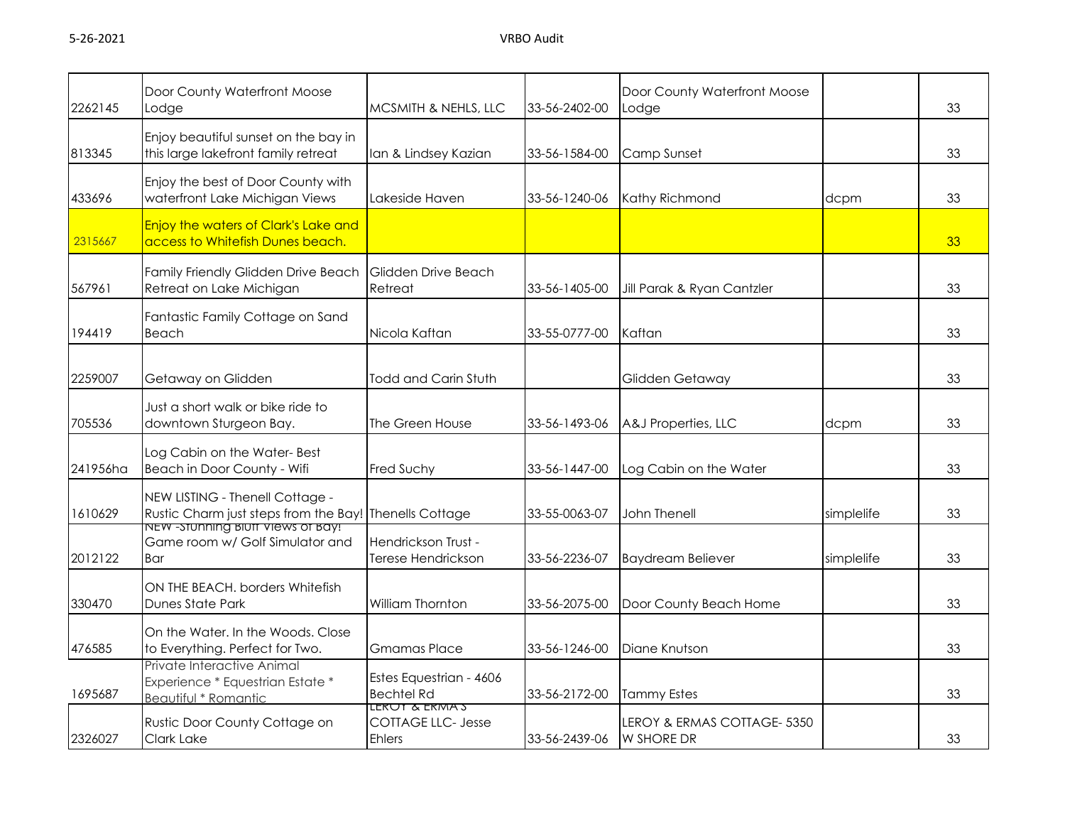| 2262145  | Door County Waterfront Moose<br>Lodge                                                                                          | MCSMITH & NEHLS, LLC                                        | 33-56-2402-00 | Door County Waterfront Moose<br>Lodge            |            | 33 |
|----------|--------------------------------------------------------------------------------------------------------------------------------|-------------------------------------------------------------|---------------|--------------------------------------------------|------------|----|
|          |                                                                                                                                |                                                             |               |                                                  |            |    |
| 813345   | Enjoy beautiful sunset on the bay in<br>this large lakefront family retreat                                                    | lan & Lindsey Kazian                                        | 33-56-1584-00 | Camp Sunset                                      |            | 33 |
|          |                                                                                                                                |                                                             |               |                                                  |            |    |
| 433696   | Enjoy the best of Door County with<br>waterfront Lake Michigan Views                                                           | Lakeside Haven                                              | 33-56-1240-06 | Kathy Richmond                                   | dcpm       | 33 |
| 2315667  | <b>Enjoy the waters of Clark's Lake and</b><br>access to Whitefish Dunes beach.                                                |                                                             |               |                                                  |            | 33 |
| 567961   | Family Friendly Glidden Drive Beach<br>Retreat on Lake Michigan                                                                | Glidden Drive Beach<br>Retreat                              | 33-56-1405-00 | Jill Parak & Ryan Cantzler                       |            | 33 |
| 194419   | Fantastic Family Cottage on Sand<br>Beach                                                                                      | Nicola Kaftan                                               | 33-55-0777-00 | Kaftan                                           |            | 33 |
|          |                                                                                                                                |                                                             |               |                                                  |            |    |
| 2259007  | Getaway on Glidden                                                                                                             | <b>Todd and Carin Stuth</b>                                 |               | Glidden Getaway                                  |            | 33 |
| 705536   | Just a short walk or bike ride to<br>downtown Sturgeon Bay.                                                                    | The Green House                                             | 33-56-1493-06 | A&J Properties, LLC                              | dcpm       | 33 |
| 241956ha | Log Cabin on the Water-Best<br>Beach in Door County - Wifi                                                                     | <b>Fred Suchy</b>                                           | 33-56-1447-00 | Log Cabin on the Water                           |            | 33 |
| 1610629  | NEW LISTING - Thenell Cottage -<br>Rustic Charm just steps from the Bay! Thenells Cottage<br>NEW -STUNNING BIUTT VIEWS OT BAY! |                                                             | 33-55-0063-07 | John Thenell                                     | simplelife | 33 |
| 2012122  | Game room w/ Golf Simulator and<br>Bar                                                                                         | Hendrickson Trust -<br>Terese Hendrickson                   | 33-56-2236-07 | <b>Baydream Believer</b>                         | simplelife | 33 |
| 330470   | ON THE BEACH, borders Whitefish<br><b>Dunes State Park</b>                                                                     | William Thornton                                            | 33-56-2075-00 | Door County Beach Home                           |            | 33 |
| 476585   | On the Water, In the Woods, Close<br>to Everything. Perfect for Two.                                                           | <b>Gmamas Place</b>                                         | 33-56-1246-00 | Diane Knutson                                    |            | 33 |
| 1695687  | Private Interactive Animal<br>Experience * Equestrian Estate *<br>Beautiful * Romantic                                         | Estes Equestrian - 4606<br><b>Bechtel Rd</b>                | 33-56-2172-00 | <b>Tammy Estes</b>                               |            | 33 |
| 2326027  | Rustic Door County Cottage on<br>Clark Lake                                                                                    | LERUT & ERMAS<br><b>COTTAGE LLC- Jesse</b><br><b>Ehlers</b> | 33-56-2439-06 | LEROY & ERMAS COTTAGE- 5350<br><b>W SHORE DR</b> |            | 33 |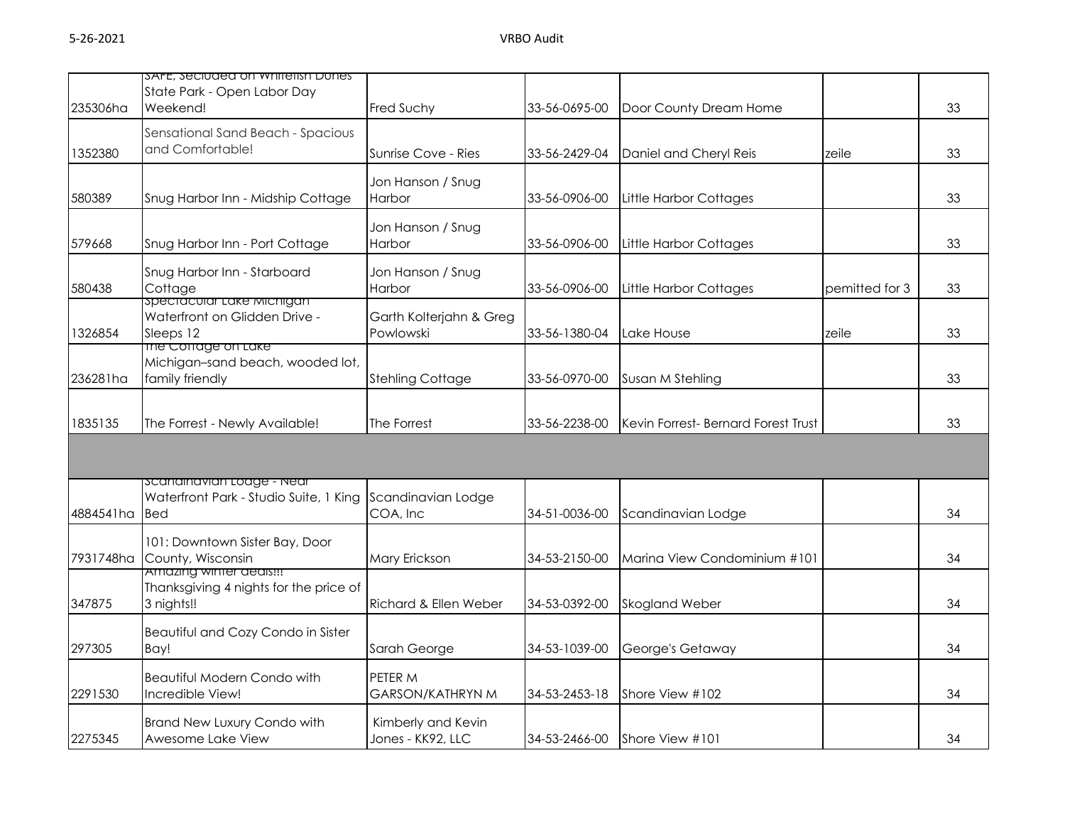| 235306ha  | SAFE, Seciuded on whitefish Dunes<br>State Park - Open Labor Day<br>Weekend!      | Fred Suchy                                    | 33-56-0695-00 | Door County Dream Home              |                | 33 |
|-----------|-----------------------------------------------------------------------------------|-----------------------------------------------|---------------|-------------------------------------|----------------|----|
| 1352380   | Sensational Sand Beach - Spacious<br>and Comfortable!                             | Sunrise Cove - Ries                           | 33-56-2429-04 | Daniel and Cheryl Reis              | zeile          | 33 |
| 580389    | Snug Harbor Inn - Midship Cottage                                                 | Jon Hanson / Snug<br><b>Harbor</b>            | 33-56-0906-00 | Little Harbor Cottages              |                | 33 |
| 579668    | Snug Harbor Inn - Port Cottage                                                    | Jon Hanson / Snug<br>Harbor                   | 33-56-0906-00 | Little Harbor Cottages              |                | 33 |
| 580438    | Snug Harbor Inn - Starboard<br>Cottage                                            | Jon Hanson / Snug<br>Harbor                   | 33-56-0906-00 | Little Harbor Cottages              | pemitted for 3 | 33 |
| 1326854   | spectacular Lake Michigan<br>Waterfront on Glidden Drive -<br>Sleeps 12           | Garth Kolterjahn & Greg<br>Powlowski          | 33-56-1380-04 | Lake House                          | zeile          | 33 |
| 236281ha  | The Cottage on Lake<br>Michigan-sand beach, wooded lot,<br>family friendly        | <b>Stehling Cottage</b>                       | 33-56-0970-00 | Susan M Stehling                    |                | 33 |
| 1835135   | The Forrest - Newly Available!                                                    | The Forrest                                   | 33-56-2238-00 | Kevin Forrest- Bernard Forest Trust |                | 33 |
|           |                                                                                   |                                               |               |                                     |                |    |
| 4884541ha | scanainavian Loage - Near<br>Waterfront Park - Studio Suite, 1 King<br><b>Bed</b> | Scandinavian Lodge<br>COA, Inc                | 34-51-0036-00 | Scandinavian Lodge                  |                | 34 |
| 7931748ha | 101: Downtown Sister Bay, Door<br>County, Wisconsin                               | Mary Erickson                                 | 34-53-2150-00 | Marina View Condominium #101        |                | 34 |
| 347875    | Amazing winter deais!!!<br>Thanksgiving 4 nights for the price of<br>3 nights!!   | Richard & Ellen Weber                         | 34-53-0392-00 | Skogland Weber                      |                | 34 |
| 297305    | Beautiful and Cozy Condo in Sister<br>Bay!                                        | Sarah George                                  | 34-53-1039-00 | George's Getaway                    |                | 34 |
| 2291530   | <b>Beautiful Modern Condo with</b><br>Incredible View!                            | PETER <sub>M</sub><br><b>GARSON/KATHRYN M</b> | 34-53-2453-18 | Shore View #102                     |                | 34 |
| 2275345   | <b>Brand New Luxury Condo with</b><br>Awesome Lake View                           | Kimberly and Kevin<br>Jones - KK92, LLC       | 34-53-2466-00 | Shore View #101                     |                | 34 |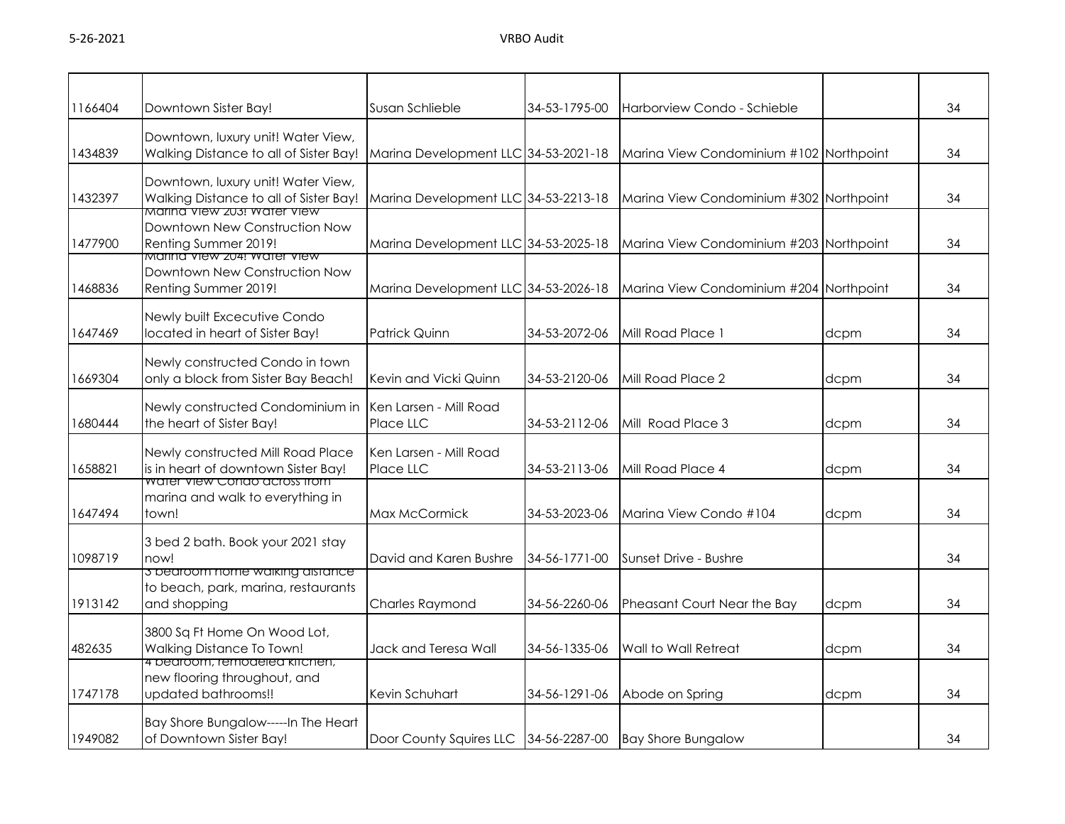| 1166404 | Downtown Sister Bay!                                                                                               | Susan Schlieble                                          | 34-53-1795-00 | Harborview Condo - Schieble             |      | 34 |
|---------|--------------------------------------------------------------------------------------------------------------------|----------------------------------------------------------|---------------|-----------------------------------------|------|----|
| 1434839 | Downtown, luxury unit! Water View,<br>Walking Distance to all of Sister Bay!                                       | Marina Development LLC 34-53-2021-18                     |               | Marina View Condominium #102 Northpoint |      | 34 |
| 1432397 | Downtown, luxury unit! Water View,<br>Walking Distance to all of Sister Bay!<br><u>Marina view zus: water view</u> | Marina Development LLC 34-53-2213-18                     |               | Marina View Condominium #302 Northpoint |      | 34 |
| 1477900 | Downtown New Construction Now<br>Renting Summer 2019!<br>Marina view zu4! water view                               | Marina Development LLC 34-53-2025-18                     |               | Marina View Condominium #203 Northpoint |      | 34 |
| 1468836 | Downtown New Construction Now<br>Renting Summer 2019!                                                              | Marina Development LLC 34-53-2026-18                     |               | Marina View Condominium #204 Northpoint |      | 34 |
| 1647469 | Newly built Excecutive Condo<br>located in heart of Sister Bay!                                                    | <b>Patrick Quinn</b>                                     | 34-53-2072-06 | Mill Road Place 1                       | dcpm | 34 |
| 1669304 | Newly constructed Condo in town<br>only a block from Sister Bay Beach!                                             | Kevin and Vicki Quinn                                    | 34-53-2120-06 | Mill Road Place 2                       | dcpm | 34 |
| 1680444 | Newly constructed Condominium in<br>the heart of Sister Bay!                                                       | Ken Larsen - Mill Road<br>Place LLC                      | 34-53-2112-06 | Mill Road Place 3                       | dcpm | 34 |
| 1658821 | Newly constructed Mill Road Place<br>is in heart of downtown Sister Bay!                                           | Ken Larsen - Mill Road<br>Place LLC                      | 34-53-2113-06 | Mill Road Place 4                       | dcpm | 34 |
| 1647494 | water view Condo across from<br>marina and walk to everything in<br>town!                                          | Max McCormick                                            | 34-53-2023-06 | Marina View Condo #104                  | dcpm | 34 |
| 1098719 | 3 bed 2 bath. Book your 2021 stay<br>now!                                                                          | David and Karen Bushre                                   | 34-56-1771-00 | Sunset Drive - Bushre                   |      | 34 |
| 1913142 | 3 bearoom nome waiking aistance<br>to beach, park, marina, restaurants<br>and shopping                             | <b>Charles Raymond</b>                                   | 34-56-2260-06 | Pheasant Court Near the Bay             | dcpm | 34 |
| 482635  | 3800 Sq Ft Home On Wood Lot,<br>Walking Distance To Town!                                                          | Jack and Teresa Wall                                     | 34-56-1335-06 | Wall to Wall Retreat                    | dcpm | 34 |
| 1747178 | 4 pearoom, remodeled kirchen,<br>new flooring throughout, and<br>updated bathrooms!!                               | Kevin Schuhart                                           | 34-56-1291-06 | Abode on Spring                         | dcpm | 34 |
| 1949082 | Bay Shore Bungalow-----In The Heart<br>of Downtown Sister Bay!                                                     | Door County Squires LLC 34-56-2287-00 Bay Shore Bungalow |               |                                         |      | 34 |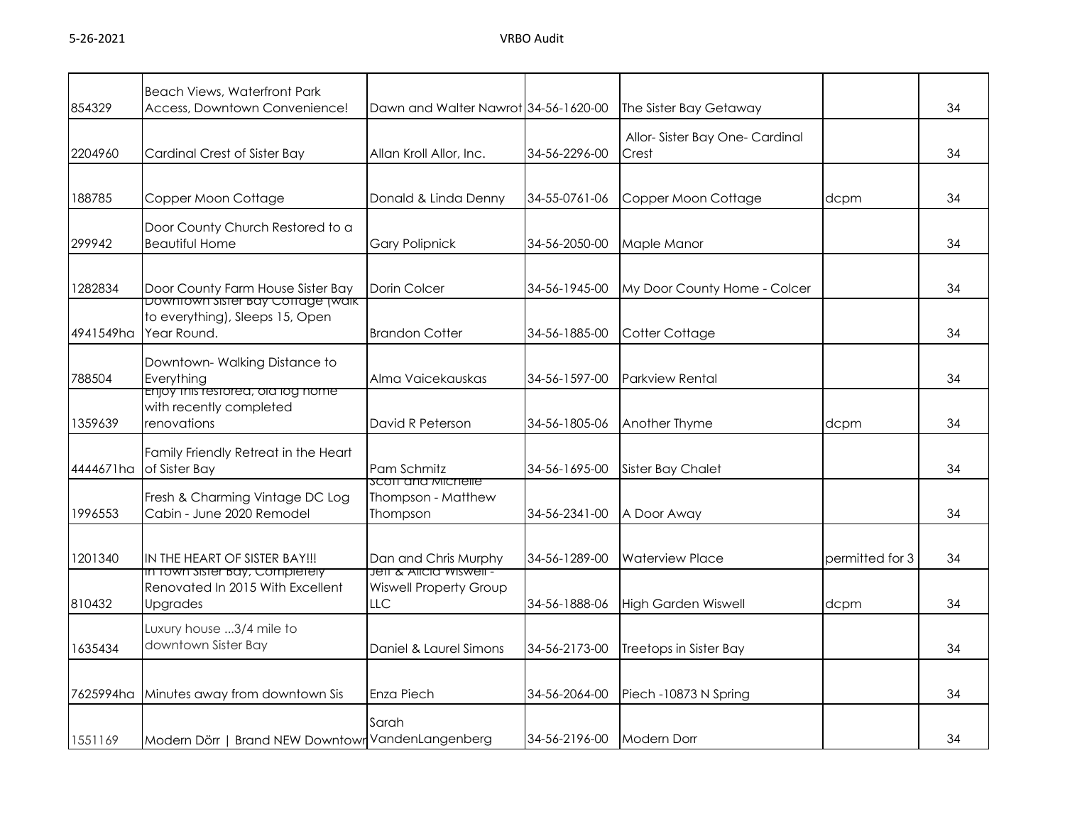| 854329    | <b>Beach Views, Waterfront Park</b><br>Access, Downtown Convenience!              | Dawn and Walter Nawrot 34-56-1620-00                        |               | The Sister Bay Getaway                 |                 | 34 |
|-----------|-----------------------------------------------------------------------------------|-------------------------------------------------------------|---------------|----------------------------------------|-----------------|----|
| 2204960   | Cardinal Crest of Sister Bay                                                      | Allan Kroll Allor, Inc.                                     | 34-56-2296-00 | Allor-Sister Bay One-Cardinal<br>Crest |                 | 34 |
| 188785    | Copper Moon Cottage                                                               | Donald & Linda Denny                                        | 34-55-0761-06 | Copper Moon Cottage                    | dcpm            | 34 |
| 299942    | Door County Church Restored to a<br><b>Beautiful Home</b>                         | <b>Gary Polipnick</b>                                       | 34-56-2050-00 | Maple Manor                            |                 | 34 |
| 1282834   | Door County Farm House Sister Bay<br>Downtown Sister Bay Cottage (waik            | Dorin Colcer                                                | 34-56-1945-00 | My Door County Home - Colcer           |                 | 34 |
| 4941549ha | to everything), Sleeps 15, Open<br>Year Round.                                    | <b>Brandon Cotter</b>                                       | 34-56-1885-00 | Cotter Cottage                         |                 | 34 |
| 788504    | Downtown-Walking Distance to<br>Everything                                        | Alma Vaicekauskas                                           | 34-56-1597-00 | <b>Parkview Rental</b>                 |                 | 34 |
| 1359639   | <b>Enjoy mis restored, old log nome</b><br>with recently completed<br>renovations | David R Peterson                                            | 34-56-1805-06 | Another Thyme                          | dcpm            | 34 |
| 4444671ha | Family Friendly Retreat in the Heart<br>of Sister Bay                             | Pam Schmitz                                                 | 34-56-1695-00 | Sister Bay Chalet                      |                 | 34 |
| 1996553   | Fresh & Charming Vintage DC Log<br>Cabin - June 2020 Remodel                      | <b>SCOTT AND MICHELLE</b><br>Thompson - Matthew<br>Thompson | 34-56-2341-00 | A Door Away                            |                 | 34 |
| 1201340   | IN THE HEART OF SISTER BAY!!!                                                     | Dan and Chris Murphy<br><b>Jett &amp; Alicia Wiswell -</b>  | 34-56-1289-00 | <b>Waterview Place</b>                 | permitted for 3 | 34 |
| 810432    | in Town Sister Bay, Completely<br>Renovated In 2015 With Excellent<br>Upgrades    | <b>Wiswell Property Group</b><br><b>LLC</b>                 | 34-56-1888-06 | <b>High Garden Wiswell</b>             | dcpm            | 34 |
| 1635434   | Luxury house 3/4 mile to<br>downtown Sister Bay                                   | Daniel & Laurel Simons                                      | 34-56-2173-00 | Treetops in Sister Bay                 |                 | 34 |
| 7625994ha | Minutes away from downtown Sis                                                    | <b>Enza Piech</b>                                           | 34-56-2064-00 | Piech -10873 N Spring                  |                 | 34 |
| 1551169   | Modern Dörr   Brand NEW Downtown VandenLangenberg                                 | Sarah                                                       | 34-56-2196-00 | Modern Dorr                            |                 | 34 |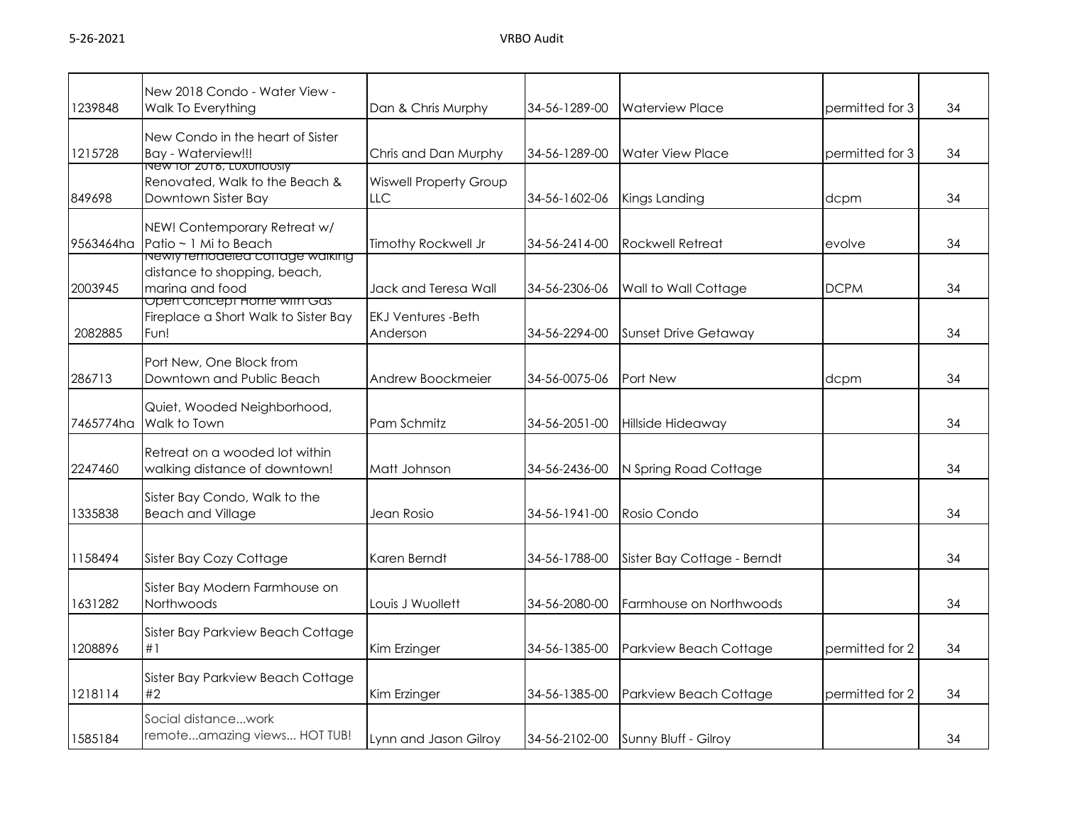| 1239848   | New 2018 Condo - Water View -<br>Walk To Everything                                      | Dan & Chris Murphy                    | 34-56-1289-00 | <b>Waterview Place</b>             | permitted for 3 | 34 |
|-----------|------------------------------------------------------------------------------------------|---------------------------------------|---------------|------------------------------------|-----------------|----|
| 1215728   | New Condo in the heart of Sister<br><b>Bay - Waterview!!!</b>                            | Chris and Dan Murphy                  | 34-56-1289-00 | <b>Water View Place</b>            | permitted for 3 |    |
| 849698    | New for 2016, Luxuriously<br>Renovated, Walk to the Beach &<br>Downtown Sister Bay       | <b>Wiswell Property Group</b><br>LLC. | 34-56-1602-06 | Kings Landing<br>dcpm              |                 | 34 |
| 9563464ha | NEW! Contemporary Retreat w/<br>Patio ~ 1 Mi to Beach<br>Newly remodeled coffage walking | Timothy Rockwell Jr                   | 34-56-2414-00 | Rockwell Retreat                   | evolve          | 34 |
| 2003945   | distance to shopping, beach,<br>marina and food<br>Open Concept Home with Gas            | Jack and Teresa Wall                  | 34-56-2306-06 | Wall to Wall Cottage               | <b>DCPM</b>     | 34 |
| 2082885   | Fireplace a Short Walk to Sister Bay<br>Fun!                                             | <b>EKJ Ventures -Beth</b><br>Anderson | 34-56-2294-00 | <b>Sunset Drive Getaway</b>        |                 | 34 |
| 286713    | Port New, One Block from<br>Downtown and Public Beach                                    | Andrew Boockmeier                     | 34-56-0075-06 | Port New                           | dcpm            | 34 |
| 7465774ha | Quiet, Wooded Neighborhood,<br>Walk to Town                                              | Pam Schmitz                           | 34-56-2051-00 | Hillside Hideaway                  |                 | 34 |
| 2247460   | Retreat on a wooded lot within<br>walking distance of downtown!                          | Matt Johnson                          | 34-56-2436-00 | N Spring Road Cottage              |                 | 34 |
| 1335838   | Sister Bay Condo, Walk to the<br><b>Beach and Village</b>                                | Jean Rosio                            | 34-56-1941-00 | Rosio Condo                        |                 | 34 |
| 1158494   | Sister Bay Cozy Cottage                                                                  | Karen Berndt                          | 34-56-1788-00 | Sister Bay Cottage - Berndt        |                 | 34 |
| 1631282   | Sister Bay Modern Farmhouse on<br><b>Northwoods</b>                                      | Louis J Wuollett                      | 34-56-2080-00 | Farmhouse on Northwoods            |                 | 34 |
| 1208896   | Sister Bay Parkview Beach Cottage<br>#1                                                  | Kim Erzinger                          | 34-56-1385-00 | Parkview Beach Cottage             | permitted for 2 | 34 |
| 1218114   | Sister Bay Parkview Beach Cottage<br>#2                                                  | Kim Erzinger                          | 34-56-1385-00 | Parkview Beach Cottage             | permitted for 2 | 34 |
| 1585184   | Social distancework<br>remoteamazing views HOT TUB!                                      | Lynn and Jason Gilroy                 |               | 34-56-2102-00 Sunny Bluff - Gilroy |                 | 34 |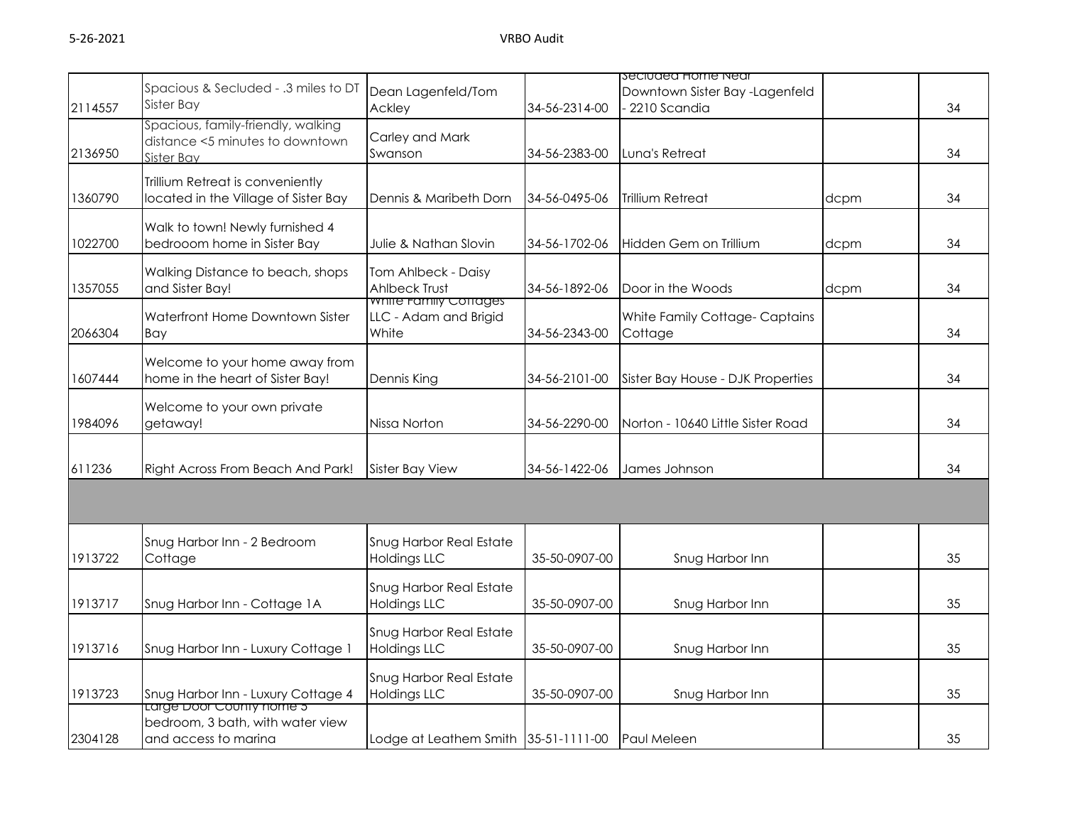|         |                                                                                      |                                                         |               | seciuded Home Near                             |      |    |
|---------|--------------------------------------------------------------------------------------|---------------------------------------------------------|---------------|------------------------------------------------|------|----|
| 2114557 | Spacious & Secluded - .3 miles to DT<br>Sister Bay                                   | Dean Lagenfeld/Tom<br>Ackley                            | 34-56-2314-00 | Downtown Sister Bay -Lagenfeld<br>2210 Scandia |      | 34 |
| 2136950 | Spacious, family-friendly, walking<br>distance <5 minutes to downtown<br>Sister Bay  | Carley and Mark<br>Swanson                              | 34-56-2383-00 | Luna's Retreat                                 |      | 34 |
| 1360790 | Trillium Retreat is conveniently<br>located in the Village of Sister Bay             | Dennis & Maribeth Dorn                                  | 34-56-0495-06 | <b>Trillium Retreat</b>                        | dcpm | 34 |
| 1022700 | Walk to town! Newly furnished 4<br>bedrooom home in Sister Bay                       | Julie & Nathan Slovin                                   | 34-56-1702-06 | Hidden Gem on Trillium                         | dcpm | 34 |
| 1357055 | Walking Distance to beach, shops<br>and Sister Bay!                                  | Tom Ahlbeck - Daisy<br>Ahlbeck Trust                    | 34-56-1892-06 | Door in the Woods                              | dcpm | 34 |
| 2066304 | Waterfront Home Downtown Sister<br>Bay                                               | white Family Cottages<br>LLC - Adam and Brigid<br>White | 34-56-2343-00 | White Family Cottage-Captains<br>Cottage       |      | 34 |
| 1607444 | Welcome to your home away from<br>home in the heart of Sister Bay!                   | Dennis King                                             | 34-56-2101-00 | Sister Bay House - DJK Properties              |      | 34 |
| 1984096 | Welcome to your own private<br>getaway!                                              | Nissa Norton                                            | 34-56-2290-00 | Norton - 10640 Little Sister Road              |      | 34 |
| 611236  | Right Across From Beach And Park!                                                    | <b>Sister Bay View</b>                                  | 34-56-1422-06 | James Johnson                                  |      | 34 |
|         |                                                                                      |                                                         |               |                                                |      |    |
| 1913722 | Snug Harbor Inn - 2 Bedroom<br>Cottage                                               | <b>Snug Harbor Real Estate</b><br><b>Holdings LLC</b>   | 35-50-0907-00 | Snug Harbor Inn                                |      | 35 |
| 1913717 | Snug Harbor Inn - Cottage 1A                                                         | <b>Snug Harbor Real Estate</b><br><b>Holdings LLC</b>   | 35-50-0907-00 | Snug Harbor Inn                                |      | 35 |
| 1913716 | Snug Harbor Inn - Luxury Cottage 1                                                   | <b>Snug Harbor Real Estate</b><br><b>Holdings LLC</b>   | 35-50-0907-00 | Snug Harbor Inn                                |      | 35 |
| 1913723 | Snug Harbor Inn - Luxury Cottage 4                                                   | Snug Harbor Real Estate<br><b>Holdings LLC</b>          | 35-50-0907-00 | Snug Harbor Inn                                |      | 35 |
| 2304128 | Large Door County nome 5<br>bedroom, 3 bath, with water view<br>and access to marina | Lodge at Leathem Smith 35-51-1111-00 Paul Meleen        |               |                                                |      | 35 |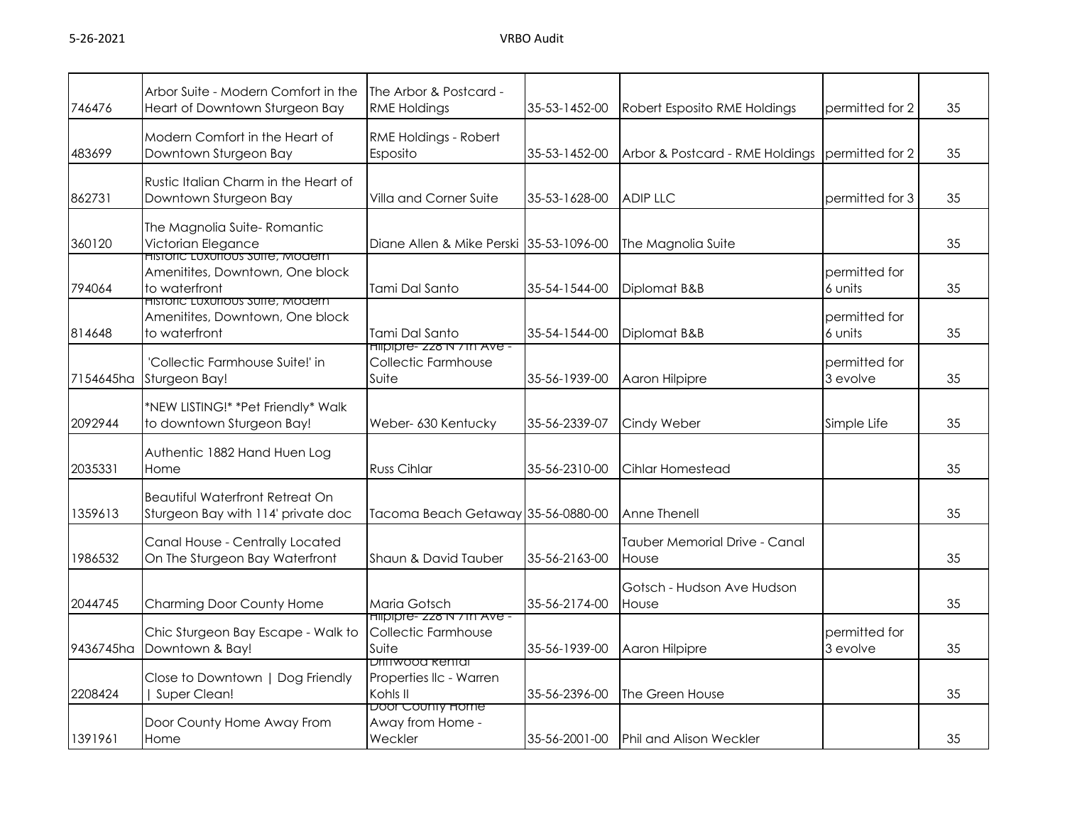| 746476    | Arbor Suite - Modern Comfort in the<br>Heart of Downtown Sturgeon Bay                       | The Arbor & Postcard -<br><b>RME Holdings</b>                     | 35-53-1452-00 | Robert Esposito RME Holdings           | permitted for 2           | 35 |
|-----------|---------------------------------------------------------------------------------------------|-------------------------------------------------------------------|---------------|----------------------------------------|---------------------------|----|
| 483699    | Modern Comfort in the Heart of<br>Downtown Sturgeon Bay                                     | RME Holdings - Robert<br>Esposito                                 | 35-53-1452-00 | Arbor & Postcard - RME Holdings        | permitted for 2           | 35 |
| 862731    | Rustic Italian Charm in the Heart of<br>Downtown Sturgeon Bay                               | Villa and Corner Suite                                            | 35-53-1628-00 | <b>ADIP LLC</b>                        | permitted for 3           | 35 |
| 360120    | The Magnolia Suite-Romantic<br>Victorian Elegance<br><b>HISTORIC LUXUTOUS SUITE, MOGERN</b> | Diane Allen & Mike Perski 35-53-1096-00                           |               | The Magnolia Suite                     |                           | 35 |
| 794064    | Amenitites, Downtown, One block<br>to waterfront<br>HISTORC LUXUROUS SUITE, MOGERN          | Tami Dal Santo                                                    | 35-54-1544-00 | Diplomat B&B                           | permitted for<br>6 units  | 35 |
| 814648    | Amenitites, Downtown, One block<br>to waterfront                                            | Tami Dal Santo                                                    | 35-54-1544-00 | Diplomat B&B                           | permitted for<br>6 units  | 35 |
| 7154645ha | 'Collectic Farmhouse Suite!' in<br>Sturgeon Bay!                                            | Hilpipre- 228 N / Th Ave -<br>Collectic Farmhouse<br>Suite        | 35-56-1939-00 | Aaron Hilpipre                         | permitted for<br>3 evolve | 35 |
| 2092944   | *NEW LISTING!* *Pet Friendly* Walk<br>to downtown Sturgeon Bay!                             | Weber- 630 Kentucky                                               | 35-56-2339-07 | Cindy Weber                            | Simple Life               | 35 |
| 2035331   | Authentic 1882 Hand Huen Log<br>Home                                                        | <b>Russ Cihlar</b>                                                | 35-56-2310-00 | Cihlar Homestead                       |                           | 35 |
| 1359613   | <b>Beautiful Waterfront Retreat On</b><br>Sturgeon Bay with 114' private doc                | Tacoma Beach Getaway 35-56-0880-00                                |               | Anne Thenell                           |                           | 35 |
| 1986532   | Canal House - Centrally Located<br>On The Sturgeon Bay Waterfront                           | Shaun & David Tauber                                              | 35-56-2163-00 | Tauber Memorial Drive - Canal<br>House |                           | 35 |
| 2044745   | Charming Door County Home                                                                   | Maria Gotsch                                                      | 35-56-2174-00 | Gotsch - Hudson Ave Hudson<br>House    |                           | 35 |
| 9436745ha | Chic Sturgeon Bay Escape - Walk to<br>Downtown & Bay!                                       | Hilpipre- 228 N / Th Ave -<br><b>Collectic Farmhouse</b><br>Suite | 35-56-1939-00 | Aaron Hilpipre                         | permitted for<br>3 evolve | 35 |
| 2208424   | Close to Downtown   Dog Friendly<br>Super Clean!                                            | <u>DIIITWOOD RENTAL</u><br>Properties IIc - Warren<br>Kohls II    | 35-56-2396-00 | The Green House                        |                           | 35 |
| 1391961   | Door County Home Away From<br>Home                                                          | Door County Home<br>Away from Home -<br>Weckler                   | 35-56-2001-00 | <b>IPhil and Alison Weckler</b>        |                           | 35 |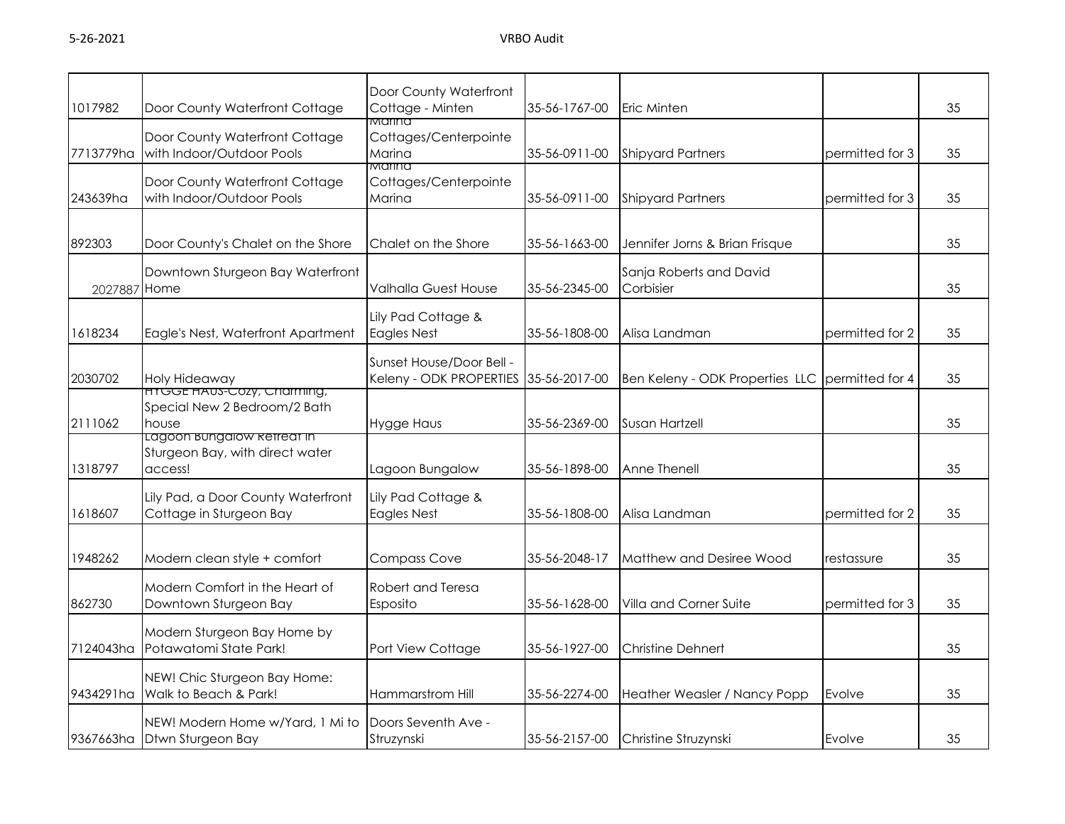| 1017982      | Door County Waterfront Cottage                                             | Door County Waterfront<br>Cottage - Minten                        | 35-56-1767-00 | Eric Minten                                 |                 | 35 |
|--------------|----------------------------------------------------------------------------|-------------------------------------------------------------------|---------------|---------------------------------------------|-----------------|----|
| 7713779ha    | Door County Waterfront Cottage<br>with Indoor/Outdoor Pools                | Marina<br>Cottages/Centerpointe<br>Marina                         | 35-56-0911-00 | <b>Shipyard Partners</b><br>permitted for 3 |                 | 35 |
| 243639ha     | Door County Waterfront Cottage<br>with Indoor/Outdoor Pools                | Marina<br>Cottages/Centerpointe<br>Marina                         | 35-56-0911-00 | <b>Shipyard Partners</b>                    | permitted for 3 | 35 |
| 892303       | Door County's Chalet on the Shore                                          | Chalet on the Shore                                               | 35-56-1663-00 | Jennifer Jorns & Brian Frisque              |                 | 35 |
| 2027887 Home | Downtown Sturgeon Bay Waterfront                                           | Valhalla Guest House                                              | 35-56-2345-00 | Sanja Roberts and David<br>Corbisier        |                 | 35 |
| 1618234      | Eagle's Nest, Waterfront Apartment                                         | Lily Pad Cottage &<br><b>Eagles Nest</b>                          | 35-56-1808-00 | Alisa Landman                               | permitted for 2 | 35 |
| 2030702      | Holy Hideaway                                                              | Sunset House/Door Bell -<br>Keleny - ODK PROPERTIES 35-56-2017-00 |               | Ben Keleny - ODK Properties LLC             | permitted for 4 | 35 |
| 2111062      | <b>HTGGE HAUS-COZY, CNAMMING,</b><br>Special New 2 Bedroom/2 Bath<br>house | <b>Hygge Haus</b>                                                 | 35-56-2369-00 | Susan Hartzell                              |                 | 35 |
| 1318797      | Lagoon bungalow ketteat in<br>Sturgeon Bay, with direct water<br>access!   | Lagoon Bungalow                                                   | 35-56-1898-00 | Anne Thenell                                |                 | 35 |
| 1618607      | Lily Pad, a Door County Waterfront<br>Cottage in Sturgeon Bay              | Lily Pad Cottage &<br><b>Eagles Nest</b>                          | 35-56-1808-00 | Alisa Landman                               | permitted for 2 | 35 |
| 1948262      | Modern clean style + comfort                                               | <b>Compass Cove</b>                                               | 35-56-2048-17 | Matthew and Desiree Wood                    | restassure      | 35 |
| 862730       | Modern Comfort in the Heart of<br>Downtown Sturgeon Bay                    | Robert and Teresa<br>Esposito                                     | 35-56-1628-00 | Villa and Corner Suite                      | permitted for 3 | 35 |
| 7124043ha    | Modern Sturgeon Bay Home by<br>Potawatomi State Park!                      | Port View Cottage                                                 | 35-56-1927-00 | <b>Christine Dehnert</b>                    |                 | 35 |
| 9434291ha    | NEW! Chic Sturgeon Bay Home:<br>Walk to Beach & Park!                      | Hammarstrom Hill                                                  | 35-56-2274-00 | Heather Weasler / Nancy Popp                | Evolve          | 35 |
|              | NEW! Modern Home w/Yard, 1 Mi to<br>9367663ha Dtwn Sturgeon Bay            | Doors Seventh Ave -<br>Struzynski                                 | 35-56-2157-00 | Christine Struzynski                        | Evolve          | 35 |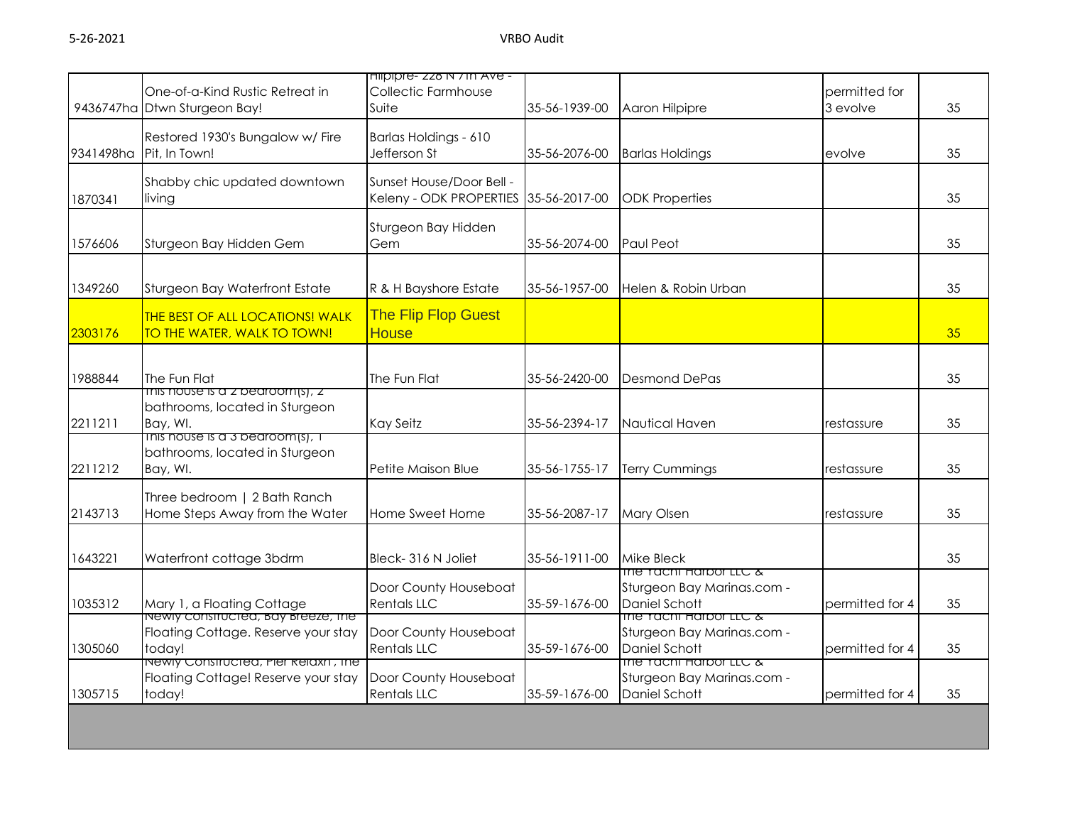|         | One-of-a-Kind Rustic Retreat in<br>9436747ha Dtwn Sturgeon Bay!                      | Hilpipre- 228 N / Th Ave -<br><b>Collectic Farmhouse</b><br>Suite | 35-56-1939-00 | Aaron Hilpipre                                                               | permitted for<br>3 evolve | 35 |
|---------|--------------------------------------------------------------------------------------|-------------------------------------------------------------------|---------------|------------------------------------------------------------------------------|---------------------------|----|
|         | Restored 1930's Bungalow w/ Fire<br>9341498ha Pit, In Town!                          | Barlas Holdings - 610<br>Jefferson St                             | 35-56-2076-00 | <b>Barlas Holdings</b>                                                       | evolve                    | 35 |
| 1870341 | Shabby chic updated downtown<br>living                                               | Sunset House/Door Bell -<br>Keleny - ODK PROPERTIES 35-56-2017-00 |               | <b>ODK Properties</b>                                                        |                           | 35 |
| 1576606 | Sturgeon Bay Hidden Gem                                                              | Sturgeon Bay Hidden<br>Gem                                        | 35-56-2074-00 | Paul Peot                                                                    |                           | 35 |
| 1349260 | Sturgeon Bay Waterfront Estate                                                       | R & H Bayshore Estate                                             | 35-56-1957-00 | Helen & Robin Urban                                                          |                           | 35 |
| 2303176 | <b>THE BEST OF ALL LOCATIONS! WALK</b><br>TO THE WATER, WALK TO TOWN!                | <b>The Flip Flop Guest</b><br><b>House</b>                        |               |                                                                              |                           | 35 |
| 1988844 | The Fun Flat                                                                         | The Fun Flat                                                      | 35-56-2420-00 | <b>Desmond DePas</b>                                                         |                           | 35 |
| 2211211 | This nouse is a z beardom(s), $z$<br>bathrooms, located in Sturgeon<br>Bay, WI.      | Kay Seitz                                                         | 35-56-2394-17 | Nautical Haven                                                               | restassure                | 35 |
| 2211212 | This nouse is a 3 beardom(s), T<br>bathrooms, located in Sturgeon<br>Bay, WI.        | Petite Maison Blue                                                | 35-56-1755-17 | <b>Terry Cummings</b>                                                        | restassure                | 35 |
| 2143713 | Three bedroom   2 Bath Ranch<br>Home Steps Away from the Water                       | Home Sweet Home                                                   | 35-56-2087-17 | <b>Mary Olsen</b>                                                            | restassure                | 35 |
| 1643221 | Waterfront cottage 3bdrm                                                             | Bleck-316 N Joliet                                                | 35-56-1911-00 | <b>Mike Bleck</b><br>The Tacht Harbor LLC &                                  |                           | 35 |
| 1035312 | Mary 1, a Floating Cottage<br>Newly constructed, Bay Breeze, The                     | Door County Houseboat<br><b>Rentals LLC</b>                       | 35-59-1676-00 | Sturgeon Bay Marinas.com -<br>Daniel Schott                                  | permitted for 4           | 35 |
| 1305060 | Floating Cottage. Reserve your stay<br>today!                                        | Door County Houseboat<br><b>Rentals LLC</b>                       | 35-59-1676-00 | The racht Harbor LLC &<br>Sturgeon Bay Marinas.com -<br>Daniel Schott        | permitted for 4           | 35 |
| 1305715 | Newly Constructed, Pier Relaxn, the<br>Floating Cottage! Reserve your stay<br>today! | Door County Houseboat<br><b>Rentals LLC</b>                       | 35-59-1676-00 | The Tacht Harbor LLC &<br>Sturgeon Bay Marinas.com -<br><b>Daniel Schott</b> | permitted for 4           | 35 |
|         |                                                                                      |                                                                   |               |                                                                              |                           |    |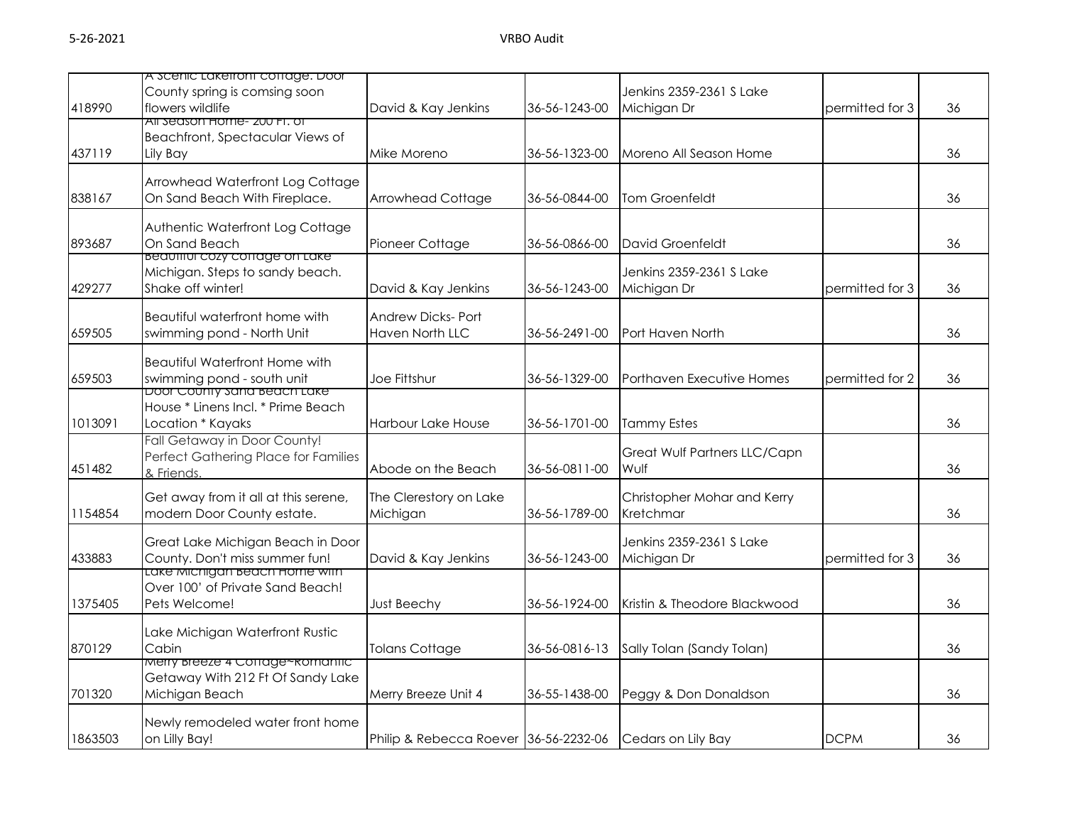|         | A scenic Lakeiront cottage. Door                                        |                                       |               |                              |                 |    |
|---------|-------------------------------------------------------------------------|---------------------------------------|---------------|------------------------------|-----------------|----|
|         | County spring is comsing soon                                           |                                       |               | Jenkins 2359-2361 S Lake     |                 |    |
| 418990  | flowers wildlife                                                        | David & Kay Jenkins                   | 36-56-1243-00 | Michigan Dr                  | permitted for 3 | 36 |
|         | All season Home- 200 FT, of                                             |                                       |               |                              |                 |    |
|         | Beachfront, Spectacular Views of                                        |                                       |               |                              |                 |    |
| 437119  | Lily Bay                                                                | Mike Moreno                           | 36-56-1323-00 | Moreno All Season Home       |                 | 36 |
|         |                                                                         |                                       |               |                              |                 |    |
|         | Arrowhead Waterfront Log Cottage                                        |                                       |               |                              |                 |    |
| 838167  | On Sand Beach With Fireplace.                                           | <b>Arrowhead Cottage</b>              | 36-56-0844-00 | <b>Tom Groenfeldt</b>        |                 | 36 |
|         |                                                                         |                                       |               |                              |                 |    |
|         | Authentic Waterfront Log Cottage                                        |                                       |               |                              |                 |    |
| 893687  | On Sand Beach                                                           | Pioneer Cottage                       | 36-56-0866-00 | David Groenfeldt             |                 | 36 |
|         | <b>Beautiful cozy corrage on Lake</b>                                   |                                       |               |                              |                 |    |
|         | Michigan. Steps to sandy beach.                                         |                                       |               | Jenkins 2359-2361 S Lake     |                 |    |
| 429277  | Shake off winter!                                                       | David & Kay Jenkins                   | 36-56-1243-00 | Michigan Dr                  | permitted for 3 | 36 |
|         |                                                                         |                                       |               |                              |                 |    |
|         | Beautiful waterfront home with                                          | Andrew Dicks- Port                    |               |                              |                 |    |
| 659505  | swimming pond - North Unit                                              | Haven North LLC                       | 36-56-2491-00 | Port Haven North             |                 | 36 |
|         |                                                                         |                                       |               |                              |                 |    |
|         | <b>Beautiful Waterfront Home with</b>                                   |                                       |               |                              |                 |    |
| 659503  | swimming pond - south unit                                              | Joe Fittshur                          | 36-56-1329-00 | Porthaven Executive Homes    | permitted for 2 | 36 |
|         | <u>Door County sana Beach Lake</u>                                      |                                       |               |                              |                 |    |
|         | House * Linens Incl. * Prime Beach                                      |                                       |               |                              |                 |    |
| 1013091 | Location * Kayaks                                                       | <b>Harbour Lake House</b>             | 36-56-1701-00 | <b>Tammy Estes</b>           |                 | 36 |
|         | Fall Getaway in Door County!                                            |                                       |               |                              |                 |    |
|         | Perfect Gathering Place for Families                                    |                                       |               | Great Wulf Partners LLC/Capn |                 |    |
| 451482  | & Friends.                                                              | Abode on the Beach                    | 36-56-0811-00 | Wulf                         |                 | 36 |
|         |                                                                         |                                       |               |                              |                 |    |
|         | Get away from it all at this serene,                                    | The Clerestory on Lake                |               | Christopher Mohar and Kerry  |                 |    |
| 1154854 | modern Door County estate.                                              | Michigan                              | 36-56-1789-00 | Kretchmar                    |                 | 36 |
|         |                                                                         |                                       |               |                              |                 |    |
|         | Great Lake Michigan Beach in Door                                       |                                       |               | Jenkins 2359-2361 S Lake     |                 |    |
| 433883  | County. Don't miss summer fun!<br><u>Lake Michigan Beach Home With </u> | David & Kay Jenkins                   | 36-56-1243-00 | Michigan Dr                  | permitted for 3 | 36 |
|         | Over 100' of Private Sand Beach!                                        |                                       |               |                              |                 |    |
| 1375405 | Pets Welcome!                                                           |                                       | 36-56-1924-00 | Kristin & Theodore Blackwood |                 | 36 |
|         |                                                                         | <b>Just Beechy</b>                    |               |                              |                 |    |
|         | Lake Michigan Waterfront Rustic                                         |                                       |               |                              |                 |    |
| 870129  | Cabin                                                                   | <b>Tolans Cottage</b>                 | 36-56-0816-13 | Sally Tolan (Sandy Tolan)    |                 | 36 |
|         | Merry breeze 4 Corrage~komantic                                         |                                       |               |                              |                 |    |
|         | Getaway With 212 Ft Of Sandy Lake                                       |                                       |               |                              |                 |    |
| 701320  | Michigan Beach                                                          | Merry Breeze Unit 4                   | 36-55-1438-00 | Peggy & Don Donaldson        |                 | 36 |
|         |                                                                         |                                       |               |                              |                 |    |
|         | Newly remodeled water front home                                        |                                       |               |                              |                 |    |
| 1863503 | on Lilly Bay!                                                           | Philip & Rebecca Roever 36-56-2232-06 |               | Cedars on Lily Bay           | <b>DCPM</b>     | 36 |
|         |                                                                         |                                       |               |                              |                 |    |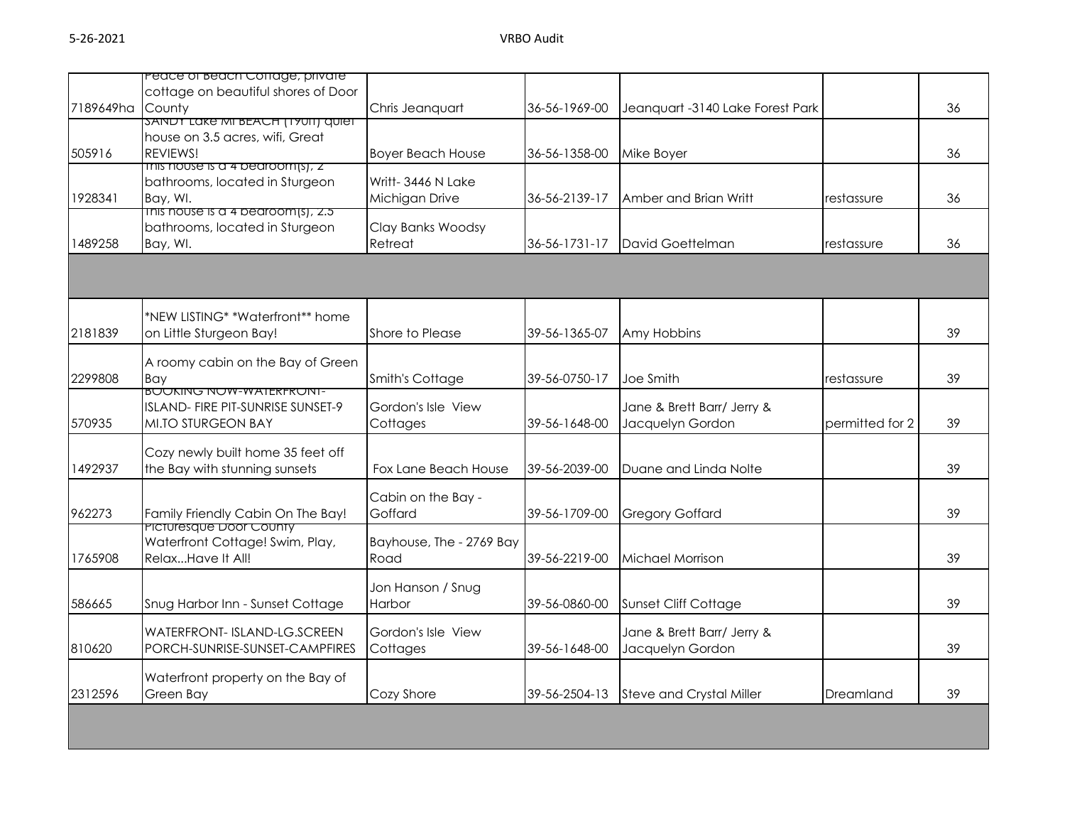|           | reace or beach Corrage, private                 |                          |               |                                  |                 |    |
|-----------|-------------------------------------------------|--------------------------|---------------|----------------------------------|-----------------|----|
|           | cottage on beautiful shores of Door             |                          |               |                                  |                 |    |
| 7189649ha | County                                          | Chris Jeanquart          | 36-56-1969-00 | Jeanquart -3140 Lake Forest Park |                 | 36 |
|           | <b>SANDT LAKE MI BEACH (19011) QUIET</b>        |                          |               |                                  |                 |    |
|           | house on 3.5 acres, wifi, Great                 |                          |               |                                  |                 |    |
| 505916    | REVIEWS!                                        | <b>Boyer Beach House</b> | 36-56-1358-00 | Mike Boyer                       |                 | 36 |
|           | $\frac{1}{1}$ inis nouse is a 4 pearoom(s), $2$ |                          |               |                                  |                 |    |
|           | bathrooms, located in Sturgeon                  | Writt-3446 N Lake        |               |                                  |                 |    |
| 1928341   | Bay, WI.                                        | Michigan Drive           | 36-56-2139-17 | Amber and Brian Writt            | restassure      | 36 |
|           | $\overline{1}$ ms nouse is a 4 beardom(s), 2.5  |                          |               |                                  |                 |    |
|           | bathrooms, located in Sturgeon                  | Clay Banks Woodsy        |               |                                  |                 |    |
| 1489258   | Bay, WI.                                        | Retreat                  | 36-56-1731-17 | David Goettelman                 | restassure      | 36 |
|           |                                                 |                          |               |                                  |                 |    |
|           |                                                 |                          |               |                                  |                 |    |
|           | *NEW LISTING* *Waterfront** home                |                          |               |                                  |                 |    |
| 2181839   | on Little Sturgeon Bay!                         | Shore to Please          | 39-56-1365-07 | Amy Hobbins                      |                 | 39 |
|           |                                                 |                          |               |                                  |                 |    |
|           | A roomy cabin on the Bay of Green               |                          |               |                                  |                 |    |
| 2299808   | Bay                                             | Smith's Cottage          | 39-56-0750-17 | Joe Smith                        | restassure      | 39 |
|           | <b>BUUKING NUW-WATERFRUNT-</b>                  |                          |               |                                  |                 |    |
|           | ISLAND- FIRE PIT-SUNRISE SUNSET-9               | Gordon's Isle View       |               | Jane & Brett Barr/ Jerry &       |                 |    |
| 570935    | MI.TO STURGEON BAY                              | Cottages                 | 39-56-1648-00 | Jacquelyn Gordon                 | permitted for 2 | 39 |
|           | Cozy newly built home 35 feet off               |                          |               |                                  |                 |    |
| 1492937   | the Bay with stunning sunsets                   | Fox Lane Beach House     | 39-56-2039-00 | Duane and Linda Nolte            |                 | 39 |
|           |                                                 |                          |               |                                  |                 |    |
|           |                                                 | Cabin on the Bay -       |               |                                  |                 |    |
| 962273    | Family Friendly Cabin On The Bay!               | Goffard                  | 39-56-1709-00 | <b>Gregory Goffard</b>           |                 | 39 |
|           | <b>PICTUresque Loor County</b>                  |                          |               |                                  |                 |    |
|           | Waterfront Cottage! Swim, Play,                 | Bayhouse, The - 2769 Bay |               |                                  |                 |    |
| 1765908   | RelaxHave It All!                               | Road                     | 39-56-2219-00 | Michael Morrison                 |                 | 39 |
|           |                                                 |                          |               |                                  |                 |    |
|           |                                                 | Jon Hanson / Snug        |               |                                  |                 |    |
| 586665    | Snug Harbor Inn - Sunset Cottage                | Harbor                   | 39-56-0860-00 | <b>Sunset Cliff Cottage</b>      |                 | 39 |
|           | WATERFRONT- ISLAND-LG.SCREEN                    | Gordon's Isle View       |               | Jane & Brett Barr/ Jerry &       |                 |    |
| 810620    | PORCH-SUNRISE-SUNSET-CAMPFIRES                  | Cottages                 | 39-56-1648-00 | Jacquelyn Gordon                 |                 | 39 |
|           |                                                 |                          |               |                                  |                 |    |
|           | Waterfront property on the Bay of               |                          |               |                                  |                 |    |
| 2312596   | Green Bay                                       | Cozy Shore               | 39-56-2504-13 | Steve and Crystal Miller         | Dreamland       | 39 |
|           |                                                 |                          |               |                                  |                 |    |
|           |                                                 |                          |               |                                  |                 |    |
|           |                                                 |                          |               |                                  |                 |    |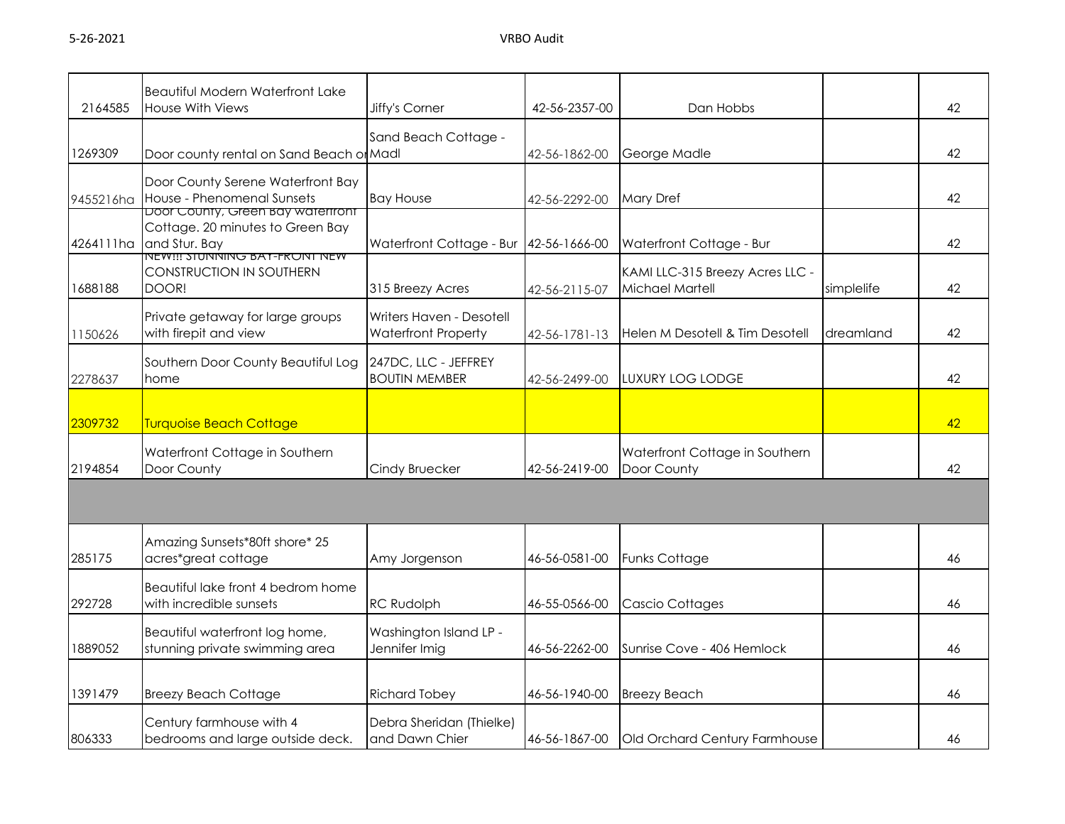| 2164585   | <b>Beautiful Modern Waterfront Lake</b><br>House With Views                                          | Jiffy's Corner                                         | 42-56-2357-00 | Dan Hobbs                                          |            | 42 |
|-----------|------------------------------------------------------------------------------------------------------|--------------------------------------------------------|---------------|----------------------------------------------------|------------|----|
| 1269309   | Door county rental on Sand Beach or Madl                                                             | Sand Beach Cottage -                                   | 42-56-1862-00 | George Madle                                       |            | 42 |
| 9455216ha | Door County Serene Waterfront Bay<br>House - Phenomenal Sunsets<br>Door County, Green bay waterfront | <b>Bay House</b>                                       | 42-56-2292-00 | <b>Mary Dref</b>                                   |            | 42 |
| 4264111ha | Cottage. 20 minutes to Green Bay<br>and Stur. Bay<br><b>NEW!!! SIUNNING BAT-FRONT NEW</b>            | Waterfront Cottage - Bur                               | 42-56-1666-00 | Waterfront Cottage - Bur                           |            | 42 |
| 1688188   | <b>CONSTRUCTION IN SOUTHERN</b><br>DOOR!                                                             | 315 Breezy Acres                                       | 42-56-2115-07 | KAMI LLC-315 Breezy Acres LLC -<br>Michael Martell | simplelife | 42 |
| 1150626   | Private getaway for large groups<br>with firepit and view                                            | Writers Haven - Desotell<br><b>Waterfront Property</b> | 42-56-1781-13 | Helen M Desotell & Tim Desotell                    | dreamland  | 42 |
| 2278637   | Southern Door County Beautiful Log<br>home                                                           | 247DC, LLC - JEFFREY<br><b>BOUTIN MEMBER</b>           | 42-56-2499-00 | <b>LUXURY LOG LODGE</b>                            |            | 42 |
| 2309732   | <b>Turquoise Beach Cottage</b>                                                                       |                                                        |               |                                                    |            | 42 |
| 2194854   | Waterfront Cottage in Southern<br>Door County                                                        | Cindy Bruecker                                         | 42-56-2419-00 | Waterfront Cottage in Southern<br>Door County      |            | 42 |
|           |                                                                                                      |                                                        |               |                                                    |            |    |
| 285175    | Amazing Sunsets*80ft shore* 25<br>acres*great cottage                                                | Amy Jorgenson                                          | 46-56-0581-00 | <b>Funks Cottage</b>                               |            | 46 |
| 292728    | Beautiful lake front 4 bedrom home<br>with incredible sunsets                                        | <b>RC Rudolph</b>                                      | 46-55-0566-00 | <b>Cascio Cottages</b>                             |            | 46 |
| 1889052   | Beautiful waterfront log home,<br>stunning private swimming area                                     | Washington Island LP -<br>Jennifer Imig                | 46-56-2262-00 | Sunrise Cove - 406 Hemlock                         |            | 46 |
| 1391479   | <b>Breezy Beach Cottage</b>                                                                          | <b>Richard Tobey</b>                                   | 46-56-1940-00 | <b>Breezy Beach</b>                                |            | 46 |
| 806333    | Century farmhouse with 4<br>bedrooms and large outside deck.                                         | Debra Sheridan (Thielke)<br>and Dawn Chier             | 46-56-1867-00 | Old Orchard Century Farmhouse                      |            | 46 |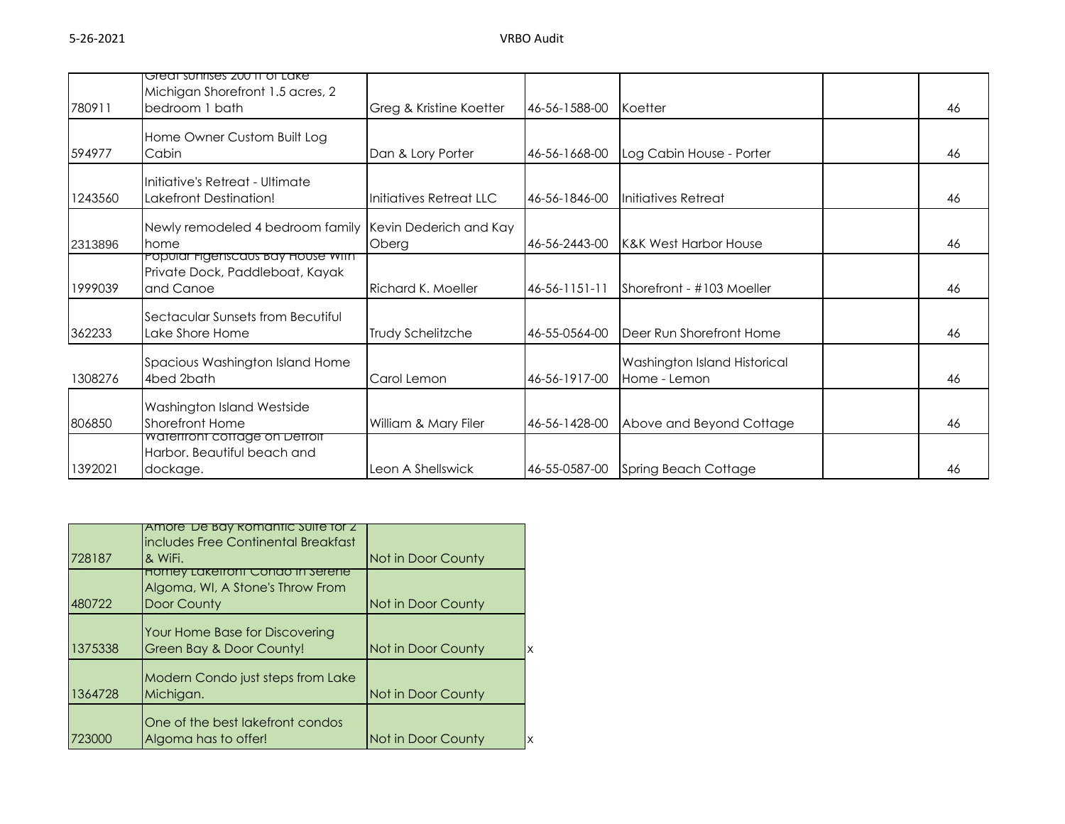|         | Great sunrises 200 tt of Lake<br>Michigan Shorefront 1.5 acres, 2                 |                                 |               |                                              |    |
|---------|-----------------------------------------------------------------------------------|---------------------------------|---------------|----------------------------------------------|----|
| 780911  | bedroom 1 bath                                                                    | Greg & Kristine Koetter         | 46-56-1588-00 | Koetter                                      | 46 |
| 594977  | Home Owner Custom Built Log<br>Cabin                                              | Dan & Lory Porter               | 46-56-1668-00 | Log Cabin House - Porter                     | 46 |
| 1243560 | Initiative's Retreat - Ultimate<br>Lakefront Destination!                         | Initiatives Retreat LLC         | 46-56-1846-00 | Initiatives Retreat                          | 46 |
| 2313896 | Newly remodeled 4 bedroom family<br>home                                          | Kevin Dederich and Kay<br>Oberg | 46-56-2443-00 | <b>K&amp;K West Harbor House</b>             | 46 |
| 1999039 | Popular Figenscaus Bay House With<br>Private Dock, Paddleboat, Kayak<br>and Canoe | Richard K. Moeller              | 46-56-1151-11 | Shorefront - #103 Moeller                    | 46 |
| 362233  | Sectacular Sunsets from Becutiful<br>Lake Shore Home                              | Trudy Schelitzche               | 46-55-0564-00 | Deer Run Shorefront Home                     | 46 |
| 1308276 | Spacious Washington Island Home<br>4bed 2bath                                     | Carol Lemon                     | 46-56-1917-00 | Washington Island Historical<br>Home - Lemon | 46 |
| 806850  | Washington Island Westside<br><b>Shorefront Home</b>                              | William & Mary Filer            | 46-56-1428-00 | Above and Beyond Cottage                     | 46 |
| 1392021 | watertront cottage on Detroit<br>Harbor. Beautiful beach and<br>dockage.          | Leon A Shellswick               | 46-55-0587-00 | Spring Beach Cottage                         | 46 |

|         | <u>Amore De Bay Romantic Suite for Z</u><br>includes Free Continental Breakfast |                    |
|---------|---------------------------------------------------------------------------------|--------------------|
| 728187  | & WiFi.                                                                         | Not in Door County |
|         | <u>HOMEY LAKEITONT CONDO IN SETENE</u><br>Algoma, WI, A Stone's Throw From      |                    |
| 480722  | Door County                                                                     | Not in Door County |
| 1375338 | Your Home Base for Discovering<br>Green Bay & Door County!                      | Not in Door County |
| 1364728 | Modern Condo just steps from Lake<br>Michigan.                                  | Not in Door County |
| 723000  | One of the best lakefront condos<br>Algoma has to offer!                        | Not in Door County |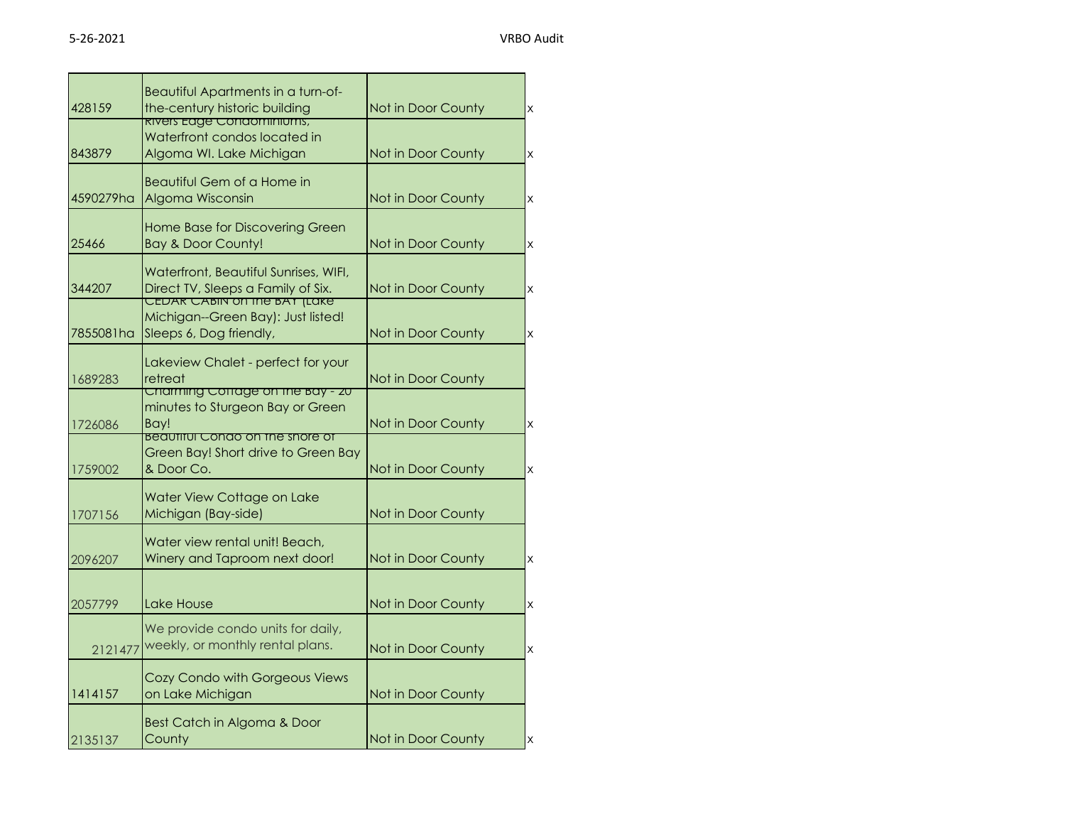|           | Beautiful Apartments in a turn-of-                                 |                    |          |
|-----------|--------------------------------------------------------------------|--------------------|----------|
| 428159    | the-century historic building<br><u>kivers Eagé Condominiums,</u>  | Not in Door County | X        |
|           | Waterfront condos located in                                       |                    |          |
| 843879    | Algoma WI. Lake Michigan                                           | Not in Door County | $\times$ |
|           | Beautiful Gem of a Home in                                         |                    |          |
| 4590279ha | Algoma Wisconsin                                                   | Not in Door County | $\times$ |
|           |                                                                    |                    |          |
|           | Home Base for Discovering Green                                    |                    |          |
| 25466     | <b>Bay &amp; Door County!</b>                                      | Not in Door County | $\times$ |
|           | Waterfront, Beautiful Sunrises, WIFI,                              |                    |          |
| 344207    | Direct TV, Sleeps a Family of Six.<br>CEDAR CABIN on the BAT (Lake | Not in Door County | $\times$ |
|           | Michigan--Green Bay): Just listed!                                 |                    |          |
| 7855081ha | Sleeps 6, Dog friendly,                                            | Not in Door County | $\times$ |
|           |                                                                    |                    |          |
| 1689283   | Lakeview Chalet - perfect for your<br>retreat                      | Not in Door County |          |
|           | Charming Cottage on the Bay - 20                                   |                    |          |
|           | minutes to Sturgeon Bay or Green                                   |                    |          |
| 1726086   | Bay!<br><u>Beaumul Condo on the shore of</u>                       | Not in Door County | $\times$ |
|           | Green Bay! Short drive to Green Bay                                |                    |          |
| 1759002   | & Door Co.                                                         | Not in Door County | $\times$ |
|           | Water View Cottage on Lake                                         |                    |          |
| 1707156   | Michigan (Bay-side)                                                | Not in Door County |          |
|           |                                                                    |                    |          |
|           | Water view rental unit! Beach,<br>Winery and Taproom next door!    | Not in Door County | $\times$ |
| 2096207   |                                                                    |                    |          |
|           |                                                                    |                    |          |
| 2057799   | Lake House                                                         | Not in Door County | X        |
|           | We provide condo units for daily,                                  |                    |          |
| 2121477   | weekly, or monthly rental plans.                                   | Not in Door County | $\times$ |
|           | Cozy Condo with Gorgeous Views                                     |                    |          |
| 1414157   | on Lake Michigan                                                   | Not in Door County |          |
|           |                                                                    |                    |          |
|           | Best Catch in Algoma & Door                                        |                    |          |
| 2135137   | County                                                             | Not in Door County | Ιx       |